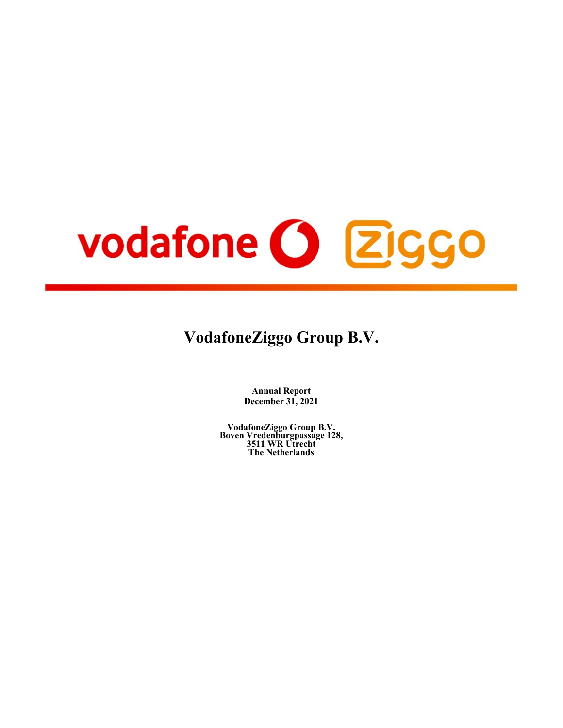# vodafone O Ziggo

# **VodafoneZiggo Group B.V.**

**Annual Report December 31, 2021**

**VodafoneZiggo Group B.V. Boven Vredenburgpassage 128, 3511 WR Utrecht The Netherlands**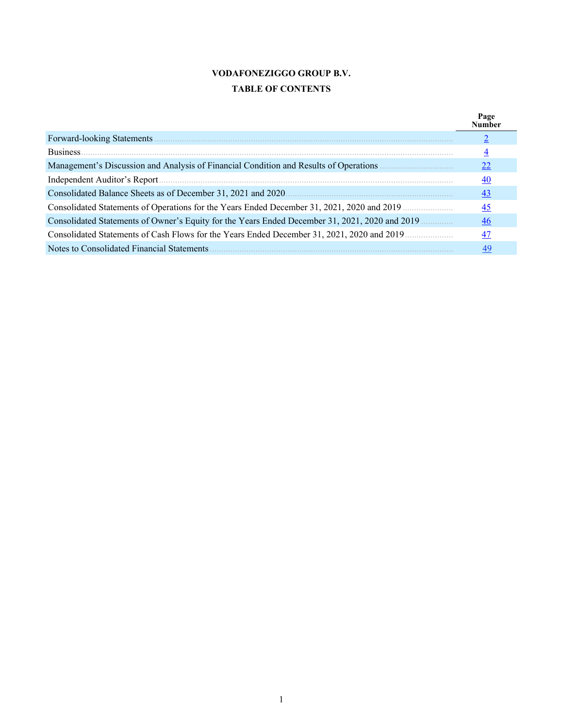# **VODAFONEZIGGO GROUP B.V. TABLE OF CONTENTS**

|                                                                                                | Page<br>√umber |
|------------------------------------------------------------------------------------------------|----------------|
| Forward-looking Statements                                                                     |                |
| Business.                                                                                      | 4              |
|                                                                                                | 22             |
| Independent Auditor's Report                                                                   | 40             |
|                                                                                                | 43             |
|                                                                                                | 45             |
| Consolidated Statements of Owner's Equity for the Years Ended December 31, 2021, 2020 and 2019 | 46             |
| Consolidated Statements of Cash Flows for the Years Ended December 31, 2021, 2020 and 2019     | 47             |
| Notes to Consolidated Financial Statements                                                     | 49             |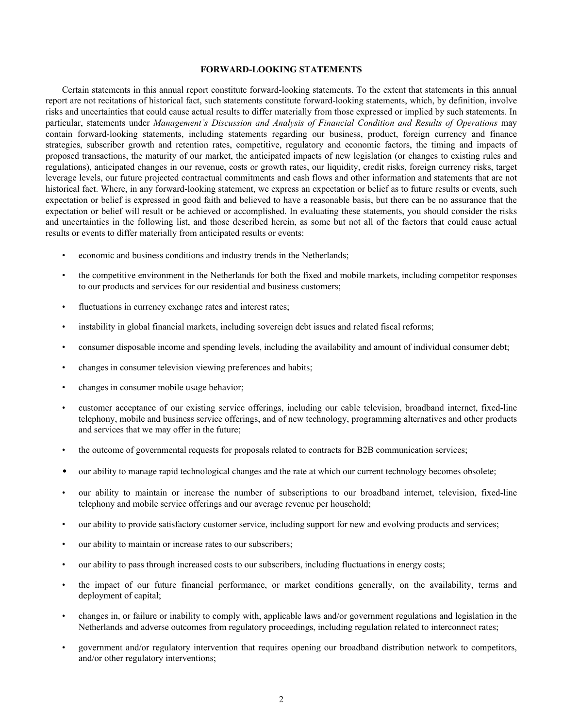#### **FORWARD-LOOKING STATEMENTS**

<span id="page-2-0"></span>Certain statements in this annual report constitute forward-looking statements. To the extent that statements in this annual report are not recitations of historical fact, such statements constitute forward-looking statements, which, by definition, involve risks and uncertainties that could cause actual results to differ materially from those expressed or implied by such statements. In particular, statements under *Management's Discussion and Analysis of Financial Condition and Results of Operations* may contain forward-looking statements, including statements regarding our business, product, foreign currency and finance strategies, subscriber growth and retention rates, competitive, regulatory and economic factors, the timing and impacts of proposed transactions, the maturity of our market, the anticipated impacts of new legislation (or changes to existing rules and regulations), anticipated changes in our revenue, costs or growth rates, our liquidity, credit risks, foreign currency risks, target leverage levels, our future projected contractual commitments and cash flows and other information and statements that are not historical fact. Where, in any forward-looking statement, we express an expectation or belief as to future results or events, such expectation or belief is expressed in good faith and believed to have a reasonable basis, but there can be no assurance that the expectation or belief will result or be achieved or accomplished. In evaluating these statements, you should consider the risks and uncertainties in the following list, and those described herein, as some but not all of the factors that could cause actual results or events to differ materially from anticipated results or events:

- economic and business conditions and industry trends in the Netherlands;
- the competitive environment in the Netherlands for both the fixed and mobile markets, including competitor responses to our products and services for our residential and business customers;
- fluctuations in currency exchange rates and interest rates;
- instability in global financial markets, including sovereign debt issues and related fiscal reforms;
- consumer disposable income and spending levels, including the availability and amount of individual consumer debt;
- changes in consumer television viewing preferences and habits;
- changes in consumer mobile usage behavior;
- customer acceptance of our existing service offerings, including our cable television, broadband internet, fixed-line telephony, mobile and business service offerings, and of new technology, programming alternatives and other products and services that we may offer in the future;
- the outcome of governmental requests for proposals related to contracts for B2B communication services;
- our ability to manage rapid technological changes and the rate at which our current technology becomes obsolete;
- our ability to maintain or increase the number of subscriptions to our broadband internet, television, fixed-line telephony and mobile service offerings and our average revenue per household;
- our ability to provide satisfactory customer service, including support for new and evolving products and services;
- our ability to maintain or increase rates to our subscribers;
- our ability to pass through increased costs to our subscribers, including fluctuations in energy costs;
- the impact of our future financial performance, or market conditions generally, on the availability, terms and deployment of capital;
- changes in, or failure or inability to comply with, applicable laws and/or government regulations and legislation in the Netherlands and adverse outcomes from regulatory proceedings, including regulation related to interconnect rates;
- government and/or regulatory intervention that requires opening our broadband distribution network to competitors, and/or other regulatory interventions;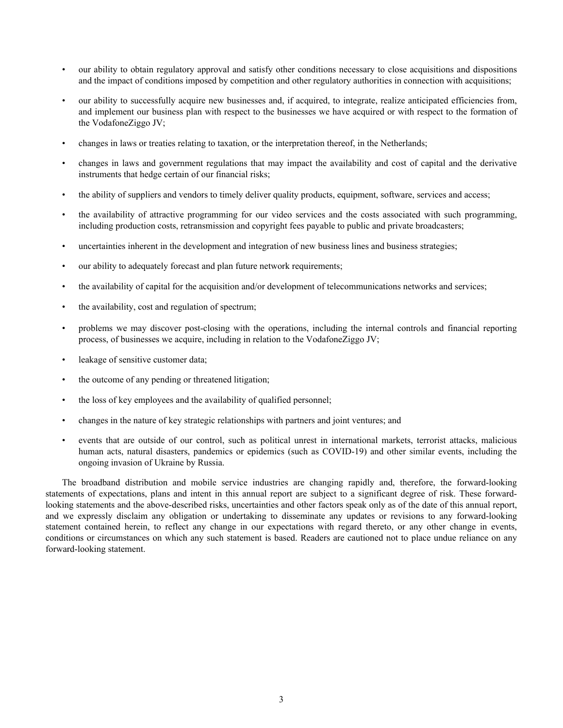- our ability to obtain regulatory approval and satisfy other conditions necessary to close acquisitions and dispositions and the impact of conditions imposed by competition and other regulatory authorities in connection with acquisitions;
- our ability to successfully acquire new businesses and, if acquired, to integrate, realize anticipated efficiencies from, and implement our business plan with respect to the businesses we have acquired or with respect to the formation of the VodafoneZiggo JV;
- changes in laws or treaties relating to taxation, or the interpretation thereof, in the Netherlands;
- changes in laws and government regulations that may impact the availability and cost of capital and the derivative instruments that hedge certain of our financial risks;
- the ability of suppliers and vendors to timely deliver quality products, equipment, software, services and access;
- the availability of attractive programming for our video services and the costs associated with such programming, including production costs, retransmission and copyright fees payable to public and private broadcasters;
- uncertainties inherent in the development and integration of new business lines and business strategies;
- our ability to adequately forecast and plan future network requirements;
- the availability of capital for the acquisition and/or development of telecommunications networks and services;
- the availability, cost and regulation of spectrum;
- problems we may discover post-closing with the operations, including the internal controls and financial reporting process, of businesses we acquire, including in relation to the VodafoneZiggo JV;
- leakage of sensitive customer data;
- the outcome of any pending or threatened litigation;
- the loss of key employees and the availability of qualified personnel;
- changes in the nature of key strategic relationships with partners and joint ventures; and
- events that are outside of our control, such as political unrest in international markets, terrorist attacks, malicious human acts, natural disasters, pandemics or epidemics (such as COVID-19) and other similar events, including the ongoing invasion of Ukraine by Russia.

The broadband distribution and mobile service industries are changing rapidly and, therefore, the forward-looking statements of expectations, plans and intent in this annual report are subject to a significant degree of risk. These forwardlooking statements and the above-described risks, uncertainties and other factors speak only as of the date of this annual report, and we expressly disclaim any obligation or undertaking to disseminate any updates or revisions to any forward-looking statement contained herein, to reflect any change in our expectations with regard thereto, or any other change in events, conditions or circumstances on which any such statement is based. Readers are cautioned not to place undue reliance on any forward-looking statement.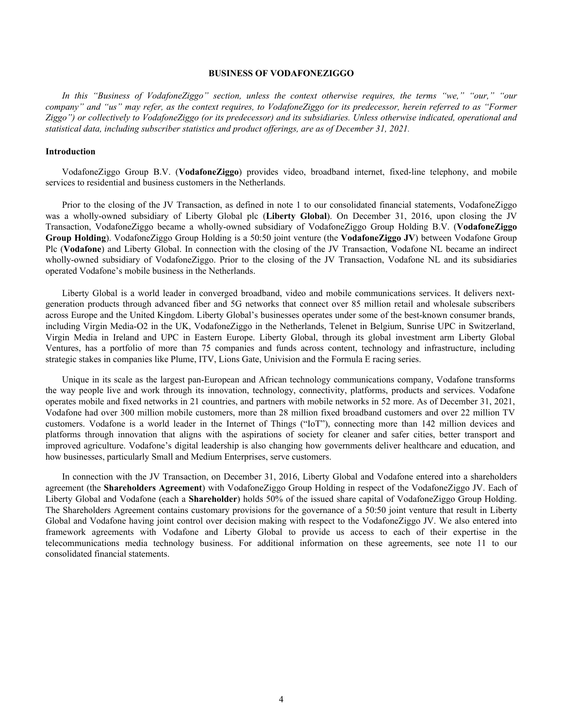#### **BUSINESS OF VODAFONEZIGGO**

<span id="page-4-0"></span>*In this "Business of VodafoneZiggo" section, unless the context otherwise requires, the terms "we," "our," "our company" and "us" may refer, as the context requires, to VodafoneZiggo (or its predecessor, herein referred to as "Former Ziggo") or collectively to VodafoneZiggo (or its predecessor) and its subsidiaries. Unless otherwise indicated, operational and statistical data, including subscriber statistics and product offerings, are as of December 31, 2021.*

# **Introduction**

VodafoneZiggo Group B.V. (**VodafoneZiggo**) provides video, broadband internet, fixed-line telephony, and mobile services to residential and business customers in the Netherlands.

Prior to the closing of the JV Transaction, as defined in note 1 to our consolidated financial statements, VodafoneZiggo was a wholly-owned subsidiary of Liberty Global plc (**Liberty Global**). On December 31, 2016, upon closing the JV Transaction, VodafoneZiggo became a wholly-owned subsidiary of VodafoneZiggo Group Holding B.V. (**VodafoneZiggo Group Holding**). VodafoneZiggo Group Holding is a 50:50 joint venture (the **VodafoneZiggo JV**) between Vodafone Group Plc (**Vodafone**) and Liberty Global. In connection with the closing of the JV Transaction, Vodafone NL became an indirect wholly-owned subsidiary of VodafoneZiggo. Prior to the closing of the JV Transaction, Vodafone NL and its subsidiaries operated Vodafone's mobile business in the Netherlands.

Liberty Global is a world leader in converged broadband, video and mobile communications services. It delivers nextgeneration products through advanced fiber and 5G networks that connect over 85 million retail and wholesale subscribers across Europe and the United Kingdom. Liberty Global's businesses operates under some of the best-known consumer brands, including Virgin Media-O2 in the UK, VodafoneZiggo in the Netherlands, Telenet in Belgium, Sunrise UPC in Switzerland, Virgin Media in Ireland and UPC in Eastern Europe. Liberty Global, through its global investment arm Liberty Global Ventures, has a portfolio of more than 75 companies and funds across content, technology and infrastructure, including strategic stakes in companies like Plume, ITV, Lions Gate, Univision and the Formula E racing series.

Unique in its scale as the largest pan-European and African technology communications company, Vodafone transforms the way people live and work through its innovation, technology, connectivity, platforms, products and services. Vodafone operates mobile and fixed networks in 21 countries, and partners with mobile networks in 52 more. As of December 31, 2021, Vodafone had over 300 million mobile customers, more than 28 million fixed broadband customers and over 22 million TV customers. Vodafone is a world leader in the Internet of Things ("IoT"), connecting more than 142 million devices and platforms through innovation that aligns with the aspirations of society for cleaner and safer cities, better transport and improved agriculture. Vodafone's digital leadership is also changing how governments deliver healthcare and education, and how businesses, particularly Small and Medium Enterprises, serve customers.

In connection with the JV Transaction, on December 31, 2016, Liberty Global and Vodafone entered into a shareholders agreement (the **Shareholders Agreement**) with VodafoneZiggo Group Holding in respect of the VodafoneZiggo JV. Each of Liberty Global and Vodafone (each a **Shareholder**) holds 50% of the issued share capital of VodafoneZiggo Group Holding. The Shareholders Agreement contains customary provisions for the governance of a 50:50 joint venture that result in Liberty Global and Vodafone having joint control over decision making with respect to the VodafoneZiggo JV. We also entered into framework agreements with Vodafone and Liberty Global to provide us access to each of their expertise in the telecommunications media technology business. For additional information on these agreements, see note 11 to our consolidated financial statements.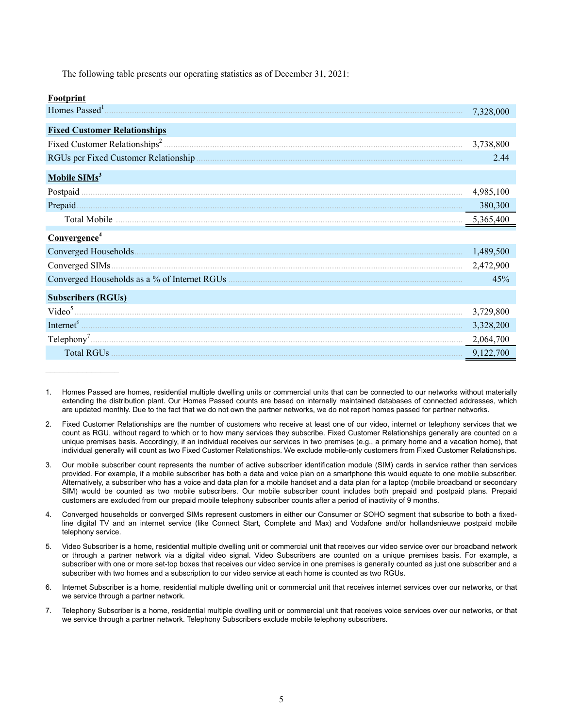The following table presents our operating statistics as of December 31, 2021:

| ootnrini |
|----------|
|----------|

 $\mathcal{L}_\text{max}$  and  $\mathcal{L}_\text{max}$ 

| Homes Passed <sup>1</sup>           | 7,328,000 |
|-------------------------------------|-----------|
| <b>Fixed Customer Relationships</b> |           |
|                                     | 3,738,800 |
|                                     | 2.44      |
| Mobile SIMs <sup>3</sup>            |           |
| Postpaid                            | 4,985,100 |
| Prepaid                             | 380,300   |
| Total Mobile                        | 5,365,400 |
| Convergence <sup>4</sup>            |           |
|                                     | 1,489,500 |
|                                     | 2,472,900 |
|                                     | 45%       |
| <b>Subscribers (RGUs)</b>           |           |
|                                     | 3,729,800 |
|                                     | 3,328,200 |
|                                     | 2,064,700 |
| <b>Total RGUs</b>                   | 9,122,700 |

<sup>1.</sup> Homes Passed are homes, residential multiple dwelling units or commercial units that can be connected to our networks without materially extending the distribution plant. Our Homes Passed counts are based on internally maintained databases of connected addresses, which are updated monthly. Due to the fact that we do not own the partner networks, we do not report homes passed for partner networks.

<sup>2.</sup> Fixed Customer Relationships are the number of customers who receive at least one of our video, internet or telephony services that we count as RGU, without regard to which or to how many services they subscribe. Fixed Customer Relationships generally are counted on a unique premises basis. Accordingly, if an individual receives our services in two premises (e.g., a primary home and a vacation home), that individual generally will count as two Fixed Customer Relationships. We exclude mobile-only customers from Fixed Customer Relationships.

<sup>3.</sup> Our mobile subscriber count represents the number of active subscriber identification module (SIM) cards in service rather than services provided. For example, if a mobile subscriber has both a data and voice plan on a smartphone this would equate to one mobile subscriber. Alternatively, a subscriber who has a voice and data plan for a mobile handset and a data plan for a laptop (mobile broadband or secondary SIM) would be counted as two mobile subscribers. Our mobile subscriber count includes both prepaid and postpaid plans. Prepaid customers are excluded from our prepaid mobile telephony subscriber counts after a period of inactivity of 9 months.

<sup>4.</sup> Converged households or converged SIMs represent customers in either our Consumer or SOHO segment that subscribe to both a fixedline digital TV and an internet service (like Connect Start, Complete and Max) and Vodafone and/or hollandsnieuwe postpaid mobile telephony service.

<sup>5.</sup> Video Subscriber is a home, residential multiple dwelling unit or commercial unit that receives our video service over our broadband network or through a partner network via a digital video signal. Video Subscribers are counted on a unique premises basis. For example, a subscriber with one or more set-top boxes that receives our video service in one premises is generally counted as just one subscriber and a subscriber with two homes and a subscription to our video service at each home is counted as two RGUs.

<sup>6.</sup> Internet Subscriber is a home, residential multiple dwelling unit or commercial unit that receives internet services over our networks, or that we service through a partner network.

<sup>7.</sup> Telephony Subscriber is a home, residential multiple dwelling unit or commercial unit that receives voice services over our networks, or that we service through a partner network. Telephony Subscribers exclude mobile telephony subscribers.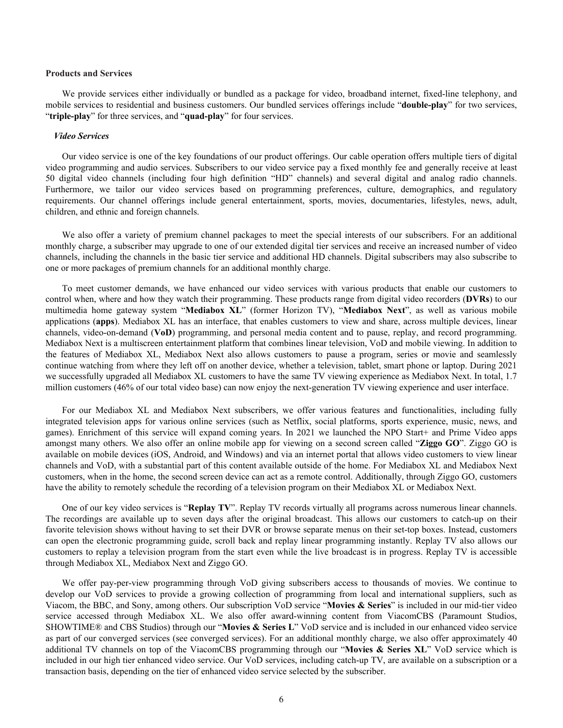#### **Products and Services**

We provide services either individually or bundled as a package for video, broadband internet, fixed-line telephony, and mobile services to residential and business customers. Our bundled services offerings include "**double-play**" for two services, "**triple-play**" for three services, and "**quad-play**" for four services.

#### *Video Services*

Our video service is one of the key foundations of our product offerings. Our cable operation offers multiple tiers of digital video programming and audio services. Subscribers to our video service pay a fixed monthly fee and generally receive at least 50 digital video channels (including four high definition "HD" channels) and several digital and analog radio channels. Furthermore, we tailor our video services based on programming preferences, culture, demographics, and regulatory requirements. Our channel offerings include general entertainment, sports, movies, documentaries, lifestyles, news, adult, children, and ethnic and foreign channels.

We also offer a variety of premium channel packages to meet the special interests of our subscribers. For an additional monthly charge, a subscriber may upgrade to one of our extended digital tier services and receive an increased number of video channels, including the channels in the basic tier service and additional HD channels. Digital subscribers may also subscribe to one or more packages of premium channels for an additional monthly charge.

To meet customer demands, we have enhanced our video services with various products that enable our customers to control when, where and how they watch their programming. These products range from digital video recorders (**DVRs**) to our multimedia home gateway system "**Mediabox XL**" (former Horizon TV), "**Mediabox Next**", as well as various mobile applications (**apps**). Mediabox XL has an interface, that enables customers to view and share, across multiple devices, linear channels, video-on-demand (**VoD**) programming, and personal media content and to pause, replay, and record programming. Mediabox Next is a multiscreen entertainment platform that combines linear television, VoD and mobile viewing. In addition to the features of Mediabox XL, Mediabox Next also allows customers to pause a program, series or movie and seamlessly continue watching from where they left off on another device, whether a television, tablet, smart phone or laptop. During 2021 we successfully upgraded all Mediabox XL customers to have the same TV viewing experience as Mediabox Next. In total, 1.7 million customers (46% of our total video base) can now enjoy the next-generation TV viewing experience and user interface.

For our Mediabox XL and Mediabox Next subscribers, we offer various features and functionalities, including fully integrated television apps for various online services (such as Netflix, social platforms, sports experience, music, news, and games). Enrichment of this service will expand coming years. In 2021 we launched the NPO Start+ and Prime Video apps amongst many others. We also offer an online mobile app for viewing on a second screen called "**Ziggo GO**". Ziggo GO is available on mobile devices (iOS, Android, and Windows) and via an internet portal that allows video customers to view linear channels and VoD, with a substantial part of this content available outside of the home. For Mediabox XL and Mediabox Next customers, when in the home, the second screen device can act as a remote control. Additionally, through Ziggo GO, customers have the ability to remotely schedule the recording of a television program on their Mediabox XL or Mediabox Next.

One of our key video services is "**Replay TV**". Replay TV records virtually all programs across numerous linear channels. The recordings are available up to seven days after the original broadcast. This allows our customers to catch-up on their favorite television shows without having to set their DVR or browse separate menus on their set-top boxes. Instead, customers can open the electronic programming guide, scroll back and replay linear programming instantly. Replay TV also allows our customers to replay a television program from the start even while the live broadcast is in progress. Replay TV is accessible through Mediabox XL, Mediabox Next and Ziggo GO.

We offer pay-per-view programming through VoD giving subscribers access to thousands of movies. We continue to develop our VoD services to provide a growing collection of programming from local and international suppliers, such as Viacom, the BBC, and Sony, among others. Our subscription VoD service "**Movies & Series**" is included in our mid-tier video service accessed through Mediabox XL. We also offer award-winning content from ViacomCBS (Paramount Studios, SHOWTIME® and CBS Studios) through our "**Movies & Series L**" VoD service and is included in our enhanced video service as part of our converged services (see converged services). For an additional monthly charge, we also offer approximately 40 additional TV channels on top of the ViacomCBS programming through our "**Movies & Series XL**" VoD service which is included in our high tier enhanced video service. Our VoD services, including catch-up TV, are available on a subscription or a transaction basis, depending on the tier of enhanced video service selected by the subscriber.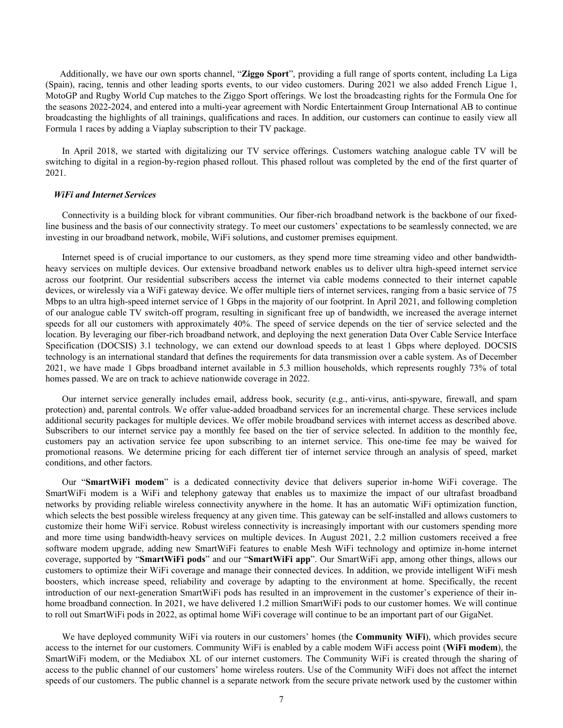Additionally, we have our own sports channel, "**Ziggo Sport**", providing a full range of sports content, including La Liga (Spain), racing, tennis and other leading sports events, to our video customers. During 2021 we also added French Ligue 1, MotoGP and Rugby World Cup matches to the Ziggo Sport offerings. We lost the broadcasting rights for the Formula One for the seasons 2022-2024, and entered into a multi-year agreement with Nordic Entertainment Group International AB to continue broadcasting the highlights of all trainings, qualifications and races. In addition, our customers can continue to easily view all Formula 1 races by adding a Viaplay subscription to their TV package.

In April 2018, we started with digitalizing our TV service offerings. Customers watching analogue cable TV will be switching to digital in a region-by-region phased rollout. This phased rollout was completed by the end of the first quarter of 2021.

#### *WiFi and Internet Services*

Connectivity is a building block for vibrant communities. Our fiber-rich broadband network is the backbone of our fixedline business and the basis of our connectivity strategy. To meet our customers' expectations to be seamlessly connected, we are investing in our broadband network, mobile, WiFi solutions, and customer premises equipment.

Internet speed is of crucial importance to our customers, as they spend more time streaming video and other bandwidthheavy services on multiple devices. Our extensive broadband network enables us to deliver ultra high-speed internet service across our footprint. Our residential subscribers access the internet via cable modems connected to their internet capable devices, or wirelessly via a WiFi gateway device. We offer multiple tiers of internet services, ranging from a basic service of 75 Mbps to an ultra high-speed internet service of 1 Gbps in the majority of our footprint. In April 2021, and following completion of our analogue cable TV switch-off program, resulting in significant free up of bandwidth, we increased the average internet speeds for all our customers with approximately 40%. The speed of service depends on the tier of service selected and the location. By leveraging our fiber-rich broadband network, and deploying the next generation Data Over Cable Service Interface Specification (DOCSIS) 3.1 technology, we can extend our download speeds to at least 1 Gbps where deployed. DOCSIS technology is an international standard that defines the requirements for data transmission over a cable system. As of December 2021, we have made 1 Gbps broadband internet available in 5.3 million households, which represents roughly 73% of total homes passed. We are on track to achieve nationwide coverage in 2022.

Our internet service generally includes email, address book, security (e.g., anti-virus, anti-spyware, firewall, and spam protection) and, parental controls. We offer value-added broadband services for an incremental charge. These services include additional security packages for multiple devices. We offer mobile broadband services with internet access as described above. Subscribers to our internet service pay a monthly fee based on the tier of service selected. In addition to the monthly fee, customers pay an activation service fee upon subscribing to an internet service. This one-time fee may be waived for promotional reasons. We determine pricing for each different tier of internet service through an analysis of speed, market conditions, and other factors.

Our "**SmartWiFi modem**" is a dedicated connectivity device that delivers superior in-home WiFi coverage. The SmartWiFi modem is a WiFi and telephony gateway that enables us to maximize the impact of our ultrafast broadband networks by providing reliable wireless connectivity anywhere in the home. It has an automatic WiFi optimization function, which selects the best possible wireless frequency at any given time. This gateway can be self-installed and allows customers to customize their home WiFi service. Robust wireless connectivity is increasingly important with our customers spending more and more time using bandwidth-heavy services on multiple devices. In August 2021, 2.2 million customers received a free software modem upgrade, adding new SmartWiFi features to enable Mesh WiFi technology and optimize in-home internet coverage, supported by "**SmartWiFi pods**" and our "**SmartWiFi app**". Our SmartWiFi app, among other things, allows our customers to optimize their WiFi coverage and manage their connected devices. In addition, we provide intelligent WiFi mesh boosters, which increase speed, reliability and coverage by adapting to the environment at home. Specifically, the recent introduction of our next-generation SmartWiFi pods has resulted in an improvement in the customer's experience of their inhome broadband connection. In 2021, we have delivered 1.2 million SmartWiFi pods to our customer homes. We will continue to roll out SmartWiFi pods in 2022, as optimal home WiFi coverage will continue to be an important part of our GigaNet.

We have deployed community WiFi via routers in our customers' homes (the **Community WiFi**), which provides secure access to the internet for our customers. Community WiFi is enabled by a cable modem WiFi access point (**WiFi modem**), the SmartWiFi modem, or the Mediabox XL of our internet customers. The Community WiFi is created through the sharing of access to the public channel of our customers' home wireless routers. Use of the Community WiFi does not affect the internet speeds of our customers. The public channel is a separate network from the secure private network used by the customer within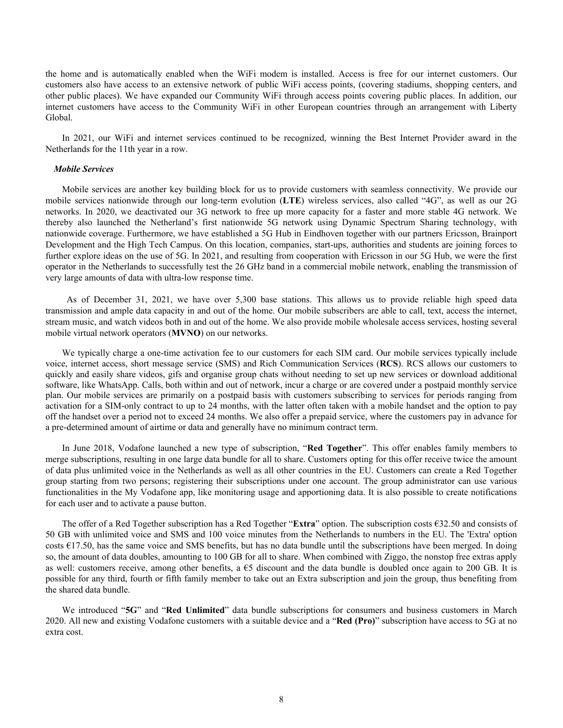the home and is automatically enabled when the WiFi modem is installed. Access is free for our internet customers. Our customers also have access to an extensive network of public WiFi access points, (covering stadiums, shopping centers, and other public places). We have expanded our Community WiFi through access points covering public places. In addition, our internet customers have access to the Community WiFi in other European countries through an arrangement with Liberty Global.

In 2021, our WiFi and internet services continued to be recognized, winning the Best Internet Provider award in the Netherlands for the 11th year in a row.

#### *Mobile Services*

Mobile services are another key building block for us to provide customers with seamless connectivity. We provide our mobile services nationwide through our long-term evolution (**LTE**) wireless services, also called "4G", as well as our 2G networks. In 2020, we deactivated our 3G network to free up more capacity for a faster and more stable 4G network. We thereby also launched the Netherland's first nationwide 5G network using Dynamic Spectrum Sharing technology, with nationwide coverage. Furthermore, we have established a 5G Hub in Eindhoven together with our partners Ericsson, Brainport Development and the High Tech Campus. On this location, companies, start-ups, authorities and students are joining forces to further explore ideas on the use of 5G. In 2021, and resulting from cooperation with Ericsson in our 5G Hub, we were the first operator in the Netherlands to successfully test the 26 GHz band in a commercial mobile network, enabling the transmission of very large amounts of data with ultra-low response time.

 As of December 31, 2021, we have over 5,300 base stations. This allows us to provide reliable high speed data transmission and ample data capacity in and out of the home. Our mobile subscribers are able to call, text, access the internet, stream music, and watch videos both in and out of the home. We also provide mobile wholesale access services, hosting several mobile virtual network operators (**MVNO**) on our networks.

We typically charge a one-time activation fee to our customers for each SIM card. Our mobile services typically include voice, internet access, short message service (SMS) and Rich Communication Services (**RCS**). RCS allows our customers to quickly and easily share videos, gifs and organise group chats without needing to set up new services or download additional software, like WhatsApp. Calls, both within and out of network, incur a charge or are covered under a postpaid monthly service plan. Our mobile services are primarily on a postpaid basis with customers subscribing to services for periods ranging from activation for a SIM-only contract to up to 24 months, with the latter often taken with a mobile handset and the option to pay off the handset over a period not to exceed 24 months. We also offer a prepaid service, where the customers pay in advance for a pre-determined amount of airtime or data and generally have no minimum contract term.

In June 2018, Vodafone launched a new type of subscription, "**Red Together**". This offer enables family members to merge subscriptions, resulting in one large data bundle for all to share. Customers opting for this offer receive twice the amount of data plus unlimited voice in the Netherlands as well as all other countries in the EU. Customers can create a Red Together group starting from two persons; registering their subscriptions under one account. The group administrator can use various functionalities in the My Vodafone app, like monitoring usage and apportioning data. It is also possible to create notifications for each user and to activate a pause button.

The offer of a Red Together subscription has a Red Together "**Extra**" option. The subscription costs €32.50 and consists of 50 GB with unlimited voice and SMS and 100 voice minutes from the Netherlands to numbers in the EU. The 'Extra' option costs  $E17.50$ , has the same voice and SMS benefits, but has no data bundle until the subscriptions have been merged. In doing so, the amount of data doubles, amounting to 100 GB for all to share. When combined with Ziggo, the nonstop free extras apply as well: customers receive, among other benefits, a  $\epsilon$ 5 discount and the data bundle is doubled once again to 200 GB. It is possible for any third, fourth or fifth family member to take out an Extra subscription and join the group, thus benefiting from the shared data bundle.

We introduced "**5G**" and "**Red Unlimited**" data bundle subscriptions for consumers and business customers in March 2020. All new and existing Vodafone customers with a suitable device and a "**Red (Pro)**" subscription have access to 5G at no extra cost.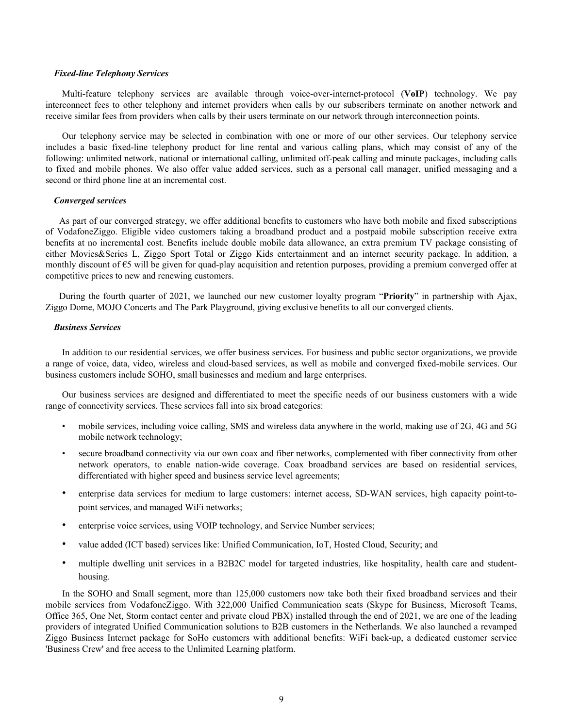#### *Fixed-line Telephony Services*

Multi-feature telephony services are available through voice-over-internet-protocol (**VoIP**) technology. We pay interconnect fees to other telephony and internet providers when calls by our subscribers terminate on another network and receive similar fees from providers when calls by their users terminate on our network through interconnection points.

Our telephony service may be selected in combination with one or more of our other services. Our telephony service includes a basic fixed-line telephony product for line rental and various calling plans, which may consist of any of the following: unlimited network, national or international calling, unlimited off-peak calling and minute packages, including calls to fixed and mobile phones. We also offer value added services, such as a personal call manager, unified messaging and a second or third phone line at an incremental cost.

#### *Converged services*

 As part of our converged strategy, we offer additional benefits to customers who have both mobile and fixed subscriptions of VodafoneZiggo. Eligible video customers taking a broadband product and a postpaid mobile subscription receive extra benefits at no incremental cost. Benefits include double mobile data allowance, an extra premium TV package consisting of either Movies&Series L, Ziggo Sport Total or Ziggo Kids entertainment and an internet security package. In addition, a monthly discount of  $\epsilon$ 5 will be given for quad-play acquisition and retention purposes, providing a premium converged offer at competitive prices to new and renewing customers.

 During the fourth quarter of 2021, we launched our new customer loyalty program "**Priority**" in partnership with Ajax, Ziggo Dome, MOJO Concerts and The Park Playground, giving exclusive benefits to all our converged clients.

#### *Business Services*

In addition to our residential services, we offer business services. For business and public sector organizations, we provide a range of voice, data, video, wireless and cloud-based services, as well as mobile and converged fixed-mobile services. Our business customers include SOHO, small businesses and medium and large enterprises.

Our business services are designed and differentiated to meet the specific needs of our business customers with a wide range of connectivity services. These services fall into six broad categories:

- mobile services, including voice calling, SMS and wireless data anywhere in the world, making use of 2G, 4G and 5G mobile network technology;
- secure broadband connectivity via our own coax and fiber networks, complemented with fiber connectivity from other network operators, to enable nation-wide coverage. Coax broadband services are based on residential services, differentiated with higher speed and business service level agreements;
- enterprise data services for medium to large customers: internet access, SD-WAN services, high capacity point-topoint services, and managed WiFi networks;
- enterprise voice services, using VOIP technology, and Service Number services;
- value added (ICT based) services like: Unified Communication, IoT, Hosted Cloud, Security; and
- multiple dwelling unit services in a B2B2C model for targeted industries, like hospitality, health care and studenthousing.

 In the SOHO and Small segment, more than 125,000 customers now take both their fixed broadband services and their mobile services from VodafoneZiggo. With 322,000 Unified Communication seats (Skype for Business, Microsoft Teams, Office 365, One Net, Storm contact center and private cloud PBX) installed through the end of 2021, we are one of the leading providers of integrated Unified Communication solutions to B2B customers in the Netherlands. We also launched a revamped Ziggo Business Internet package for SoHo customers with additional benefits: WiFi back-up, a dedicated customer service 'Business Crew' and free access to the Unlimited Learning platform.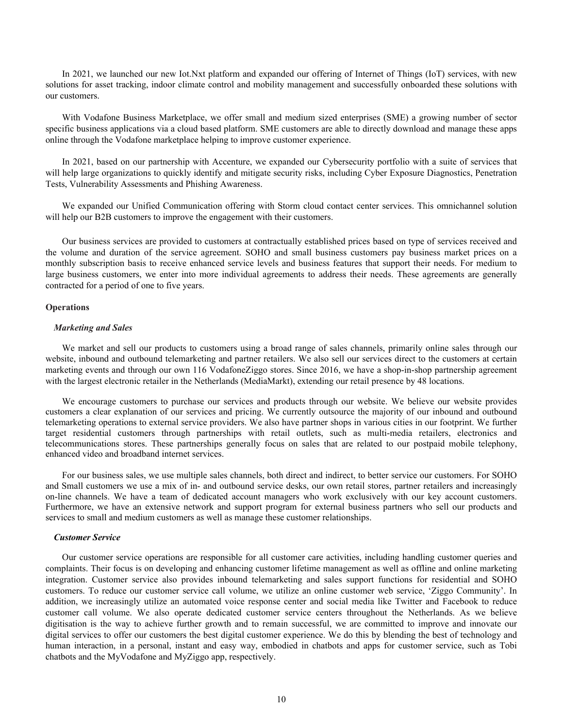In 2021, we launched our new Iot.Nxt platform and expanded our offering of Internet of Things (IoT) services, with new solutions for asset tracking, indoor climate control and mobility management and successfully onboarded these solutions with our customers.

With Vodafone Business Marketplace, we offer small and medium sized enterprises (SME) a growing number of sector specific business applications via a cloud based platform. SME customers are able to directly download and manage these apps online through the Vodafone marketplace helping to improve customer experience.

In 2021, based on our partnership with Accenture, we expanded our Cybersecurity portfolio with a suite of services that will help large organizations to quickly identify and mitigate security risks, including Cyber Exposure Diagnostics, Penetration Tests, Vulnerability Assessments and Phishing Awareness.

We expanded our Unified Communication offering with Storm cloud contact center services. This omnichannel solution will help our B2B customers to improve the engagement with their customers.

Our business services are provided to customers at contractually established prices based on type of services received and the volume and duration of the service agreement. SOHO and small business customers pay business market prices on a monthly subscription basis to receive enhanced service levels and business features that support their needs. For medium to large business customers, we enter into more individual agreements to address their needs. These agreements are generally contracted for a period of one to five years.

#### **Operations**

#### *Marketing and Sales*

We market and sell our products to customers using a broad range of sales channels, primarily online sales through our website, inbound and outbound telemarketing and partner retailers. We also sell our services direct to the customers at certain marketing events and through our own 116 VodafoneZiggo stores. Since 2016, we have a shop-in-shop partnership agreement with the largest electronic retailer in the Netherlands (MediaMarkt), extending our retail presence by 48 locations.

We encourage customers to purchase our services and products through our website. We believe our website provides customers a clear explanation of our services and pricing. We currently outsource the majority of our inbound and outbound telemarketing operations to external service providers. We also have partner shops in various cities in our footprint. We further target residential customers through partnerships with retail outlets, such as multi-media retailers, electronics and telecommunications stores. These partnerships generally focus on sales that are related to our postpaid mobile telephony, enhanced video and broadband internet services.

For our business sales, we use multiple sales channels, both direct and indirect, to better service our customers. For SOHO and Small customers we use a mix of in- and outbound service desks, our own retail stores, partner retailers and increasingly on-line channels. We have a team of dedicated account managers who work exclusively with our key account customers. Furthermore, we have an extensive network and support program for external business partners who sell our products and services to small and medium customers as well as manage these customer relationships.

#### *Customer Service*

Our customer service operations are responsible for all customer care activities, including handling customer queries and complaints. Their focus is on developing and enhancing customer lifetime management as well as offline and online marketing integration. Customer service also provides inbound telemarketing and sales support functions for residential and SOHO customers. To reduce our customer service call volume, we utilize an online customer web service, 'Ziggo Community'. In addition, we increasingly utilize an automated voice response center and social media like Twitter and Facebook to reduce customer call volume. We also operate dedicated customer service centers throughout the Netherlands. As we believe digitisation is the way to achieve further growth and to remain successful, we are committed to improve and innovate our digital services to offer our customers the best digital customer experience. We do this by blending the best of technology and human interaction, in a personal, instant and easy way, embodied in chatbots and apps for customer service, such as Tobi chatbots and the MyVodafone and MyZiggo app, respectively.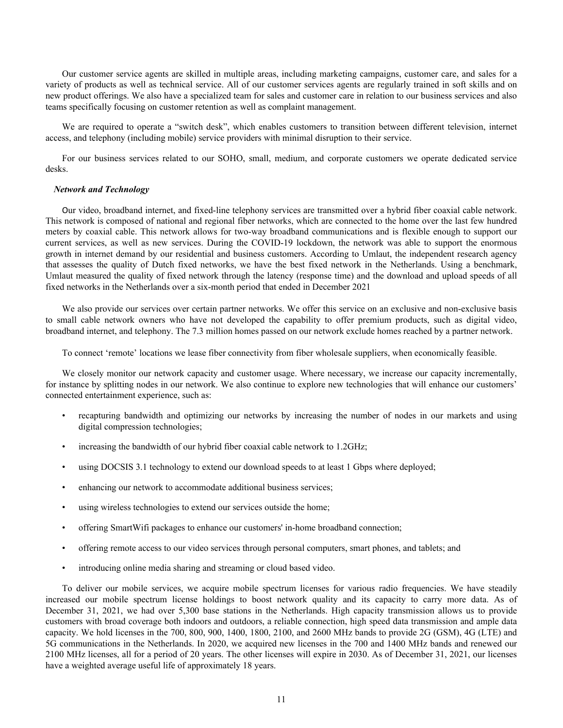Our customer service agents are skilled in multiple areas, including marketing campaigns, customer care, and sales for a variety of products as well as technical service. All of our customer services agents are regularly trained in soft skills and on new product offerings. We also have a specialized team for sales and customer care in relation to our business services and also teams specifically focusing on customer retention as well as complaint management.

We are required to operate a "switch desk", which enables customers to transition between different television, internet access, and telephony (including mobile) service providers with minimal disruption to their service.

For our business services related to our SOHO, small, medium, and corporate customers we operate dedicated service desks.

# *Network and Technology*

Our video, broadband internet, and fixed-line telephony services are transmitted over a hybrid fiber coaxial cable network. This network is composed of national and regional fiber networks, which are connected to the home over the last few hundred meters by coaxial cable. This network allows for two-way broadband communications and is flexible enough to support our current services, as well as new services. During the COVID-19 lockdown, the network was able to support the enormous growth in internet demand by our residential and business customers. According to Umlaut, the independent research agency that assesses the quality of Dutch fixed networks, we have the best fixed network in the Netherlands. Using a benchmark, Umlaut measured the quality of fixed network through the latency (response time) and the download and upload speeds of all fixed networks in the Netherlands over a six-month period that ended in December 2021

We also provide our services over certain partner networks. We offer this service on an exclusive and non-exclusive basis to small cable network owners who have not developed the capability to offer premium products, such as digital video, broadband internet, and telephony. The 7.3 million homes passed on our network exclude homes reached by a partner network.

To connect 'remote' locations we lease fiber connectivity from fiber wholesale suppliers, when economically feasible.

We closely monitor our network capacity and customer usage. Where necessary, we increase our capacity incrementally, for instance by splitting nodes in our network. We also continue to explore new technologies that will enhance our customers' connected entertainment experience, such as:

- recapturing bandwidth and optimizing our networks by increasing the number of nodes in our markets and using digital compression technologies;
- increasing the bandwidth of our hybrid fiber coaxial cable network to 1.2GHz;
- using DOCSIS 3.1 technology to extend our download speeds to at least 1 Gbps where deployed;
- enhancing our network to accommodate additional business services;
- using wireless technologies to extend our services outside the home;
- offering SmartWifi packages to enhance our customers' in-home broadband connection;
- offering remote access to our video services through personal computers, smart phones, and tablets; and
- introducing online media sharing and streaming or cloud based video.

To deliver our mobile services, we acquire mobile spectrum licenses for various radio frequencies. We have steadily increased our mobile spectrum license holdings to boost network quality and its capacity to carry more data. As of December 31, 2021, we had over 5,300 base stations in the Netherlands. High capacity transmission allows us to provide customers with broad coverage both indoors and outdoors, a reliable connection, high speed data transmission and ample data capacity. We hold licenses in the 700, 800, 900, 1400, 1800, 2100, and 2600 MHz bands to provide 2G (GSM), 4G (LTE) and 5G communications in the Netherlands. In 2020, we acquired new licenses in the 700 and 1400 MHz bands and renewed our 2100 MHz licenses, all for a period of 20 years. The other licenses will expire in 2030. As of December 31, 2021, our licenses have a weighted average useful life of approximately 18 years.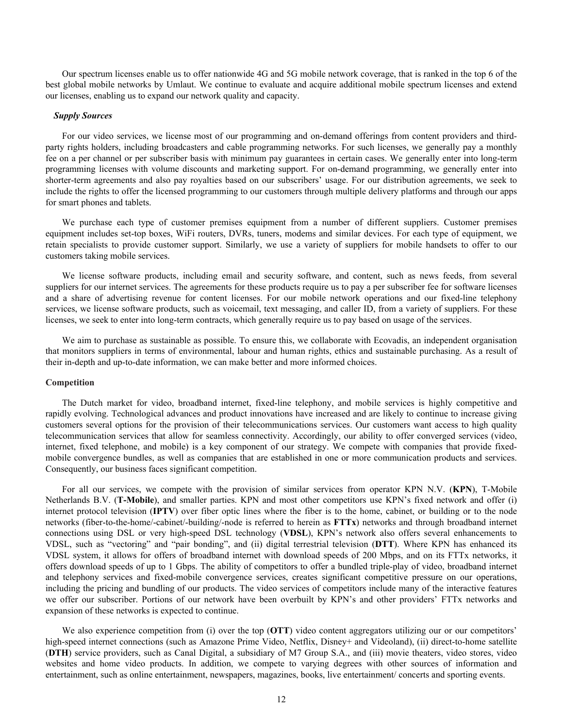Our spectrum licenses enable us to offer nationwide 4G and 5G mobile network coverage, that is ranked in the top 6 of the best global mobile networks by Umlaut. We continue to evaluate and acquire additional mobile spectrum licenses and extend our licenses, enabling us to expand our network quality and capacity.

#### *Supply Sources*

For our video services, we license most of our programming and on-demand offerings from content providers and thirdparty rights holders, including broadcasters and cable programming networks. For such licenses, we generally pay a monthly fee on a per channel or per subscriber basis with minimum pay guarantees in certain cases. We generally enter into long-term programming licenses with volume discounts and marketing support. For on-demand programming, we generally enter into shorter-term agreements and also pay royalties based on our subscribers' usage. For our distribution agreements, we seek to include the rights to offer the licensed programming to our customers through multiple delivery platforms and through our apps for smart phones and tablets.

We purchase each type of customer premises equipment from a number of different suppliers. Customer premises equipment includes set-top boxes, WiFi routers, DVRs, tuners, modems and similar devices. For each type of equipment, we retain specialists to provide customer support. Similarly, we use a variety of suppliers for mobile handsets to offer to our customers taking mobile services.

We license software products, including email and security software, and content, such as news feeds, from several suppliers for our internet services. The agreements for these products require us to pay a per subscriber fee for software licenses and a share of advertising revenue for content licenses. For our mobile network operations and our fixed-line telephony services, we license software products, such as voicemail, text messaging, and caller ID, from a variety of suppliers. For these licenses, we seek to enter into long-term contracts, which generally require us to pay based on usage of the services.

We aim to purchase as sustainable as possible. To ensure this, we collaborate with Ecovadis, an independent organisation that monitors suppliers in terms of environmental, labour and human rights, ethics and sustainable purchasing. As a result of their in-depth and up-to-date information, we can make better and more informed choices.

#### **Competition**

The Dutch market for video, broadband internet, fixed-line telephony, and mobile services is highly competitive and rapidly evolving. Technological advances and product innovations have increased and are likely to continue to increase giving customers several options for the provision of their telecommunications services. Our customers want access to high quality telecommunication services that allow for seamless connectivity. Accordingly, our ability to offer converged services (video, internet, fixed telephone, and mobile) is a key component of our strategy. We compete with companies that provide fixedmobile convergence bundles, as well as companies that are established in one or more communication products and services. Consequently, our business faces significant competition.

For all our services, we compete with the provision of similar services from operator KPN N.V. (**KPN**), T-Mobile Netherlands B.V. (**T-Mobile**), and smaller parties. KPN and most other competitors use KPN's fixed network and offer (i) internet protocol television (**IPTV**) over fiber optic lines where the fiber is to the home, cabinet, or building or to the node networks (fiber-to-the-home/-cabinet/-building/-node is referred to herein as **FTTx**) networks and through broadband internet connections using DSL or very high-speed DSL technology (**VDSL**), KPN's network also offers several enhancements to VDSL, such as "vectoring" and "pair bonding", and (ii) digital terrestrial television (**DTT**). Where KPN has enhanced its VDSL system, it allows for offers of broadband internet with download speeds of 200 Mbps, and on its FTTx networks, it offers download speeds of up to 1 Gbps. The ability of competitors to offer a bundled triple-play of video, broadband internet and telephony services and fixed-mobile convergence services, creates significant competitive pressure on our operations, including the pricing and bundling of our products. The video services of competitors include many of the interactive features we offer our subscriber. Portions of our network have been overbuilt by KPN's and other providers' FTTx networks and expansion of these networks is expected to continue.

We also experience competition from (i) over the top (**OTT**) video content aggregators utilizing our or our competitors' high-speed internet connections (such as Amazone Prime Video, Netflix, Disney+ and Videoland), (ii) direct-to-home satellite (**DTH**) service providers, such as Canal Digital, a subsidiary of M7 Group S.A., and (iii) movie theaters, video stores, video websites and home video products. In addition, we compete to varying degrees with other sources of information and entertainment, such as online entertainment, newspapers, magazines, books, live entertainment/ concerts and sporting events.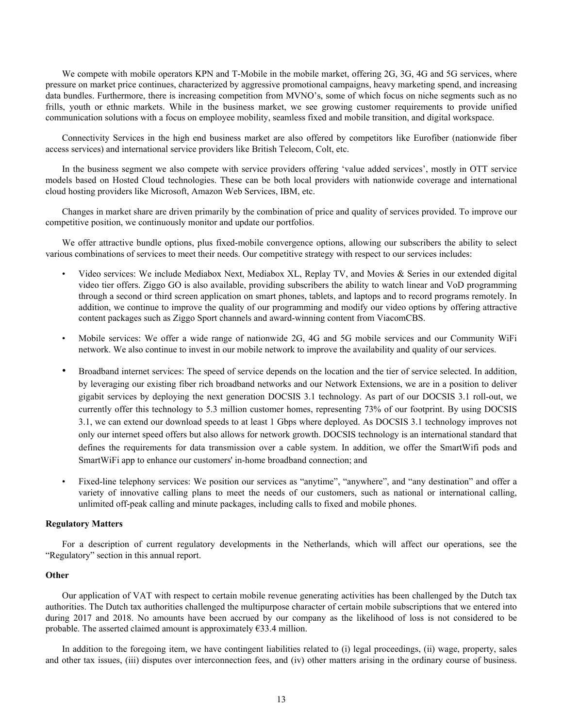We compete with mobile operators KPN and T-Mobile in the mobile market, offering 2G, 3G, 4G and 5G services, where pressure on market price continues, characterized by aggressive promotional campaigns, heavy marketing spend, and increasing data bundles. Furthermore, there is increasing competition from MVNO's, some of which focus on niche segments such as no frills, youth or ethnic markets. While in the business market, we see growing customer requirements to provide unified communication solutions with a focus on employee mobility, seamless fixed and mobile transition, and digital workspace.

Connectivity Services in the high end business market are also offered by competitors like Eurofiber (nationwide fiber access services) and international service providers like British Telecom, Colt, etc.

In the business segment we also compete with service providers offering 'value added services', mostly in OTT service models based on Hosted Cloud technologies. These can be both local providers with nationwide coverage and international cloud hosting providers like Microsoft, Amazon Web Services, IBM, etc.

Changes in market share are driven primarily by the combination of price and quality of services provided. To improve our competitive position, we continuously monitor and update our portfolios.

We offer attractive bundle options, plus fixed-mobile convergence options, allowing our subscribers the ability to select various combinations of services to meet their needs. Our competitive strategy with respect to our services includes:

- Video services: We include Mediabox Next, Mediabox XL, Replay TV, and Movies & Series in our extended digital video tier offers. Ziggo GO is also available, providing subscribers the ability to watch linear and VoD programming through a second or third screen application on smart phones, tablets, and laptops and to record programs remotely. In addition, we continue to improve the quality of our programming and modify our video options by offering attractive content packages such as Ziggo Sport channels and award-winning content from ViacomCBS.
- Mobile services: We offer a wide range of nationwide 2G, 4G and 5G mobile services and our Community WiFi network. We also continue to invest in our mobile network to improve the availability and quality of our services.
- Broadband internet services: The speed of service depends on the location and the tier of service selected. In addition, by leveraging our existing fiber rich broadband networks and our Network Extensions, we are in a position to deliver gigabit services by deploying the next generation DOCSIS 3.1 technology. As part of our DOCSIS 3.1 roll-out, we currently offer this technology to 5.3 million customer homes, representing 73% of our footprint. By using DOCSIS 3.1, we can extend our download speeds to at least 1 Gbps where deployed. As DOCSIS 3.1 technology improves not only our internet speed offers but also allows for network growth. DOCSIS technology is an international standard that defines the requirements for data transmission over a cable system. In addition, we offer the SmartWifi pods and SmartWiFi app to enhance our customers' in-home broadband connection; and
- Fixed-line telephony services: We position our services as "anytime", "anywhere", and "any destination" and offer a variety of innovative calling plans to meet the needs of our customers, such as national or international calling, unlimited off-peak calling and minute packages, including calls to fixed and mobile phones.

# **Regulatory Matters**

For a description of current regulatory developments in the Netherlands, which will affect our operations, see the "Regulatory" section in this annual report.

# **Other**

Our application of VAT with respect to certain mobile revenue generating activities has been challenged by the Dutch tax authorities. The Dutch tax authorities challenged the multipurpose character of certain mobile subscriptions that we entered into during 2017 and 2018. No amounts have been accrued by our company as the likelihood of loss is not considered to be probable. The asserted claimed amount is approximately  $\epsilon$ 33.4 million.

In addition to the foregoing item, we have contingent liabilities related to (i) legal proceedings, (ii) wage, property, sales and other tax issues, (iii) disputes over interconnection fees, and (iv) other matters arising in the ordinary course of business.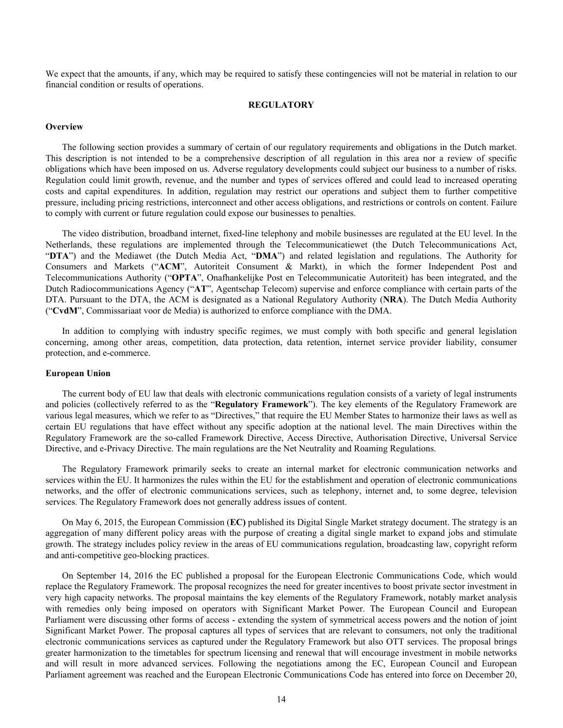We expect that the amounts, if any, which may be required to satisfy these contingencies will not be material in relation to our financial condition or results of operations.

#### **REGULATORY**

# **Overview**

The following section provides a summary of certain of our regulatory requirements and obligations in the Dutch market. This description is not intended to be a comprehensive description of all regulation in this area nor a review of specific obligations which have been imposed on us. Adverse regulatory developments could subject our business to a number of risks. Regulation could limit growth, revenue, and the number and types of services offered and could lead to increased operating costs and capital expenditures. In addition, regulation may restrict our operations and subject them to further competitive pressure, including pricing restrictions, interconnect and other access obligations, and restrictions or controls on content. Failure to comply with current or future regulation could expose our businesses to penalties.

The video distribution, broadband internet, fixed-line telephony and mobile businesses are regulated at the EU level. In the Netherlands, these regulations are implemented through the Telecommunicatiewet (the Dutch Telecommunications Act, "**DTA**") and the Mediawet (the Dutch Media Act, "**DMA**") and related legislation and regulations. The Authority for Consumers and Markets ("**ACM**", Autoriteit Consument & Markt), in which the former Independent Post and Telecommunications Authority ("**OPTA**", Onafhankelijke Post en Telecommunicatie Autoriteit) has been integrated, and the Dutch Radiocommunications Agency ("**AT**", Agentschap Telecom) supervise and enforce compliance with certain parts of the DTA. Pursuant to the DTA, the ACM is designated as a National Regulatory Authority (**NRA**). The Dutch Media Authority ("**CvdM**", Commissariaat voor de Media) is authorized to enforce compliance with the DMA.

In addition to complying with industry specific regimes, we must comply with both specific and general legislation concerning, among other areas, competition, data protection, data retention, internet service provider liability, consumer protection, and e-commerce.

#### **European Union**

The current body of EU law that deals with electronic communications regulation consists of a variety of legal instruments and policies (collectively referred to as the "**Regulatory Framework**"). The key elements of the Regulatory Framework are various legal measures, which we refer to as "Directives," that require the EU Member States to harmonize their laws as well as certain EU regulations that have effect without any specific adoption at the national level. The main Directives within the Regulatory Framework are the so-called Framework Directive, Access Directive, Authorisation Directive, Universal Service Directive, and e-Privacy Directive. The main regulations are the Net Neutrality and Roaming Regulations.

The Regulatory Framework primarily seeks to create an internal market for electronic communication networks and services within the EU. It harmonizes the rules within the EU for the establishment and operation of electronic communications networks, and the offer of electronic communications services, such as telephony, internet and, to some degree, television services. The Regulatory Framework does not generally address issues of content.

On May 6, 2015, the European Commission (**EC)** published its Digital Single Market strategy document. The strategy is an aggregation of many different policy areas with the purpose of creating a digital single market to expand jobs and stimulate growth. The strategy includes policy review in the areas of EU communications regulation, broadcasting law, copyright reform and anti-competitive geo-blocking practices.

On September 14, 2016 the EC published a proposal for the European Electronic Communications Code, which would replace the Regulatory Framework. The proposal recognizes the need for greater incentives to boost private sector investment in very high capacity networks. The proposal maintains the key elements of the Regulatory Framework, notably market analysis with remedies only being imposed on operators with Significant Market Power. The European Council and European Parliament were discussing other forms of access - extending the system of symmetrical access powers and the notion of joint Significant Market Power. The proposal captures all types of services that are relevant to consumers, not only the traditional electronic communications services as captured under the Regulatory Framework but also OTT services. The proposal brings greater harmonization to the timetables for spectrum licensing and renewal that will encourage investment in mobile networks and will result in more advanced services. Following the negotiations among the EC, European Council and European Parliament agreement was reached and the European Electronic Communications Code has entered into force on December 20,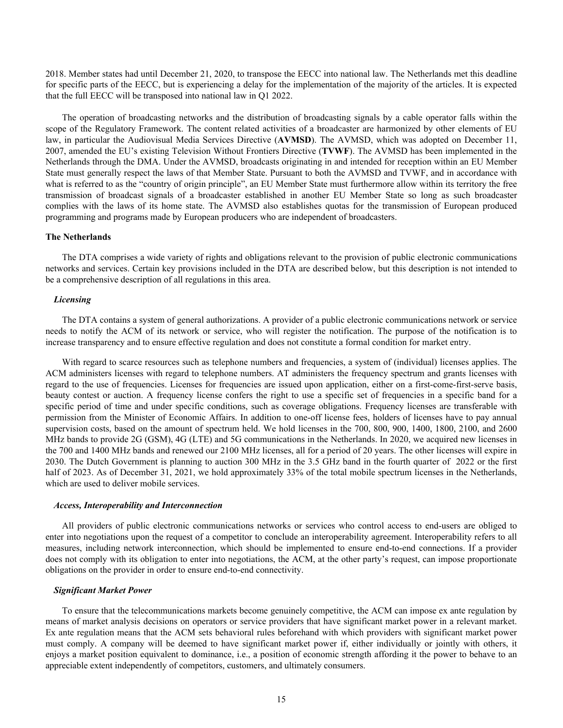2018. Member states had until December 21, 2020, to transpose the EECC into national law. The Netherlands met this deadline for specific parts of the EECC, but is experiencing a delay for the implementation of the majority of the articles. It is expected that the full EECC will be transposed into national law in Q1 2022.

The operation of broadcasting networks and the distribution of broadcasting signals by a cable operator falls within the scope of the Regulatory Framework. The content related activities of a broadcaster are harmonized by other elements of EU law, in particular the Audiovisual Media Services Directive (**AVMSD**). The AVMSD, which was adopted on December 11, 2007, amended the EU's existing Television Without Frontiers Directive (**TVWF**). The AVMSD has been implemented in the Netherlands through the DMA. Under the AVMSD, broadcasts originating in and intended for reception within an EU Member State must generally respect the laws of that Member State. Pursuant to both the AVMSD and TVWF, and in accordance with what is referred to as the "country of origin principle", an EU Member State must furthermore allow within its territory the free transmission of broadcast signals of a broadcaster established in another EU Member State so long as such broadcaster complies with the laws of its home state. The AVMSD also establishes quotas for the transmission of European produced programming and programs made by European producers who are independent of broadcasters.

#### **The Netherlands**

The DTA comprises a wide variety of rights and obligations relevant to the provision of public electronic communications networks and services. Certain key provisions included in the DTA are described below, but this description is not intended to be a comprehensive description of all regulations in this area.

#### *Licensing*

The DTA contains a system of general authorizations. A provider of a public electronic communications network or service needs to notify the ACM of its network or service, who will register the notification. The purpose of the notification is to increase transparency and to ensure effective regulation and does not constitute a formal condition for market entry.

With regard to scarce resources such as telephone numbers and frequencies, a system of (individual) licenses applies. The ACM administers licenses with regard to telephone numbers. AT administers the frequency spectrum and grants licenses with regard to the use of frequencies. Licenses for frequencies are issued upon application, either on a first-come-first-serve basis, beauty contest or auction. A frequency license confers the right to use a specific set of frequencies in a specific band for a specific period of time and under specific conditions, such as coverage obligations. Frequency licenses are transferable with permission from the Minister of Economic Affairs. In addition to one-off license fees, holders of licenses have to pay annual supervision costs, based on the amount of spectrum held. We hold licenses in the 700, 800, 900, 1400, 1800, 2100, and 2600 MHz bands to provide 2G (GSM), 4G (LTE) and 5G communications in the Netherlands. In 2020, we acquired new licenses in the 700 and 1400 MHz bands and renewed our 2100 MHz licenses, all for a period of 20 years. The other licenses will expire in 2030. The Dutch Government is planning to auction 300 MHz in the 3.5 GHz band in the fourth quarter of 2022 or the first half of 2023. As of December 31, 2021, we hold approximately 33% of the total mobile spectrum licenses in the Netherlands, which are used to deliver mobile services.

#### *Access, Interoperability and Interconnection*

All providers of public electronic communications networks or services who control access to end-users are obliged to enter into negotiations upon the request of a competitor to conclude an interoperability agreement. Interoperability refers to all measures, including network interconnection, which should be implemented to ensure end-to-end connections. If a provider does not comply with its obligation to enter into negotiations, the ACM, at the other party's request, can impose proportionate obligations on the provider in order to ensure end-to-end connectivity.

#### *Significant Market Power*

To ensure that the telecommunications markets become genuinely competitive, the ACM can impose ex ante regulation by means of market analysis decisions on operators or service providers that have significant market power in a relevant market. Ex ante regulation means that the ACM sets behavioral rules beforehand with which providers with significant market power must comply. A company will be deemed to have significant market power if, either individually or jointly with others, it enjoys a market position equivalent to dominance, i.e., a position of economic strength affording it the power to behave to an appreciable extent independently of competitors, customers, and ultimately consumers.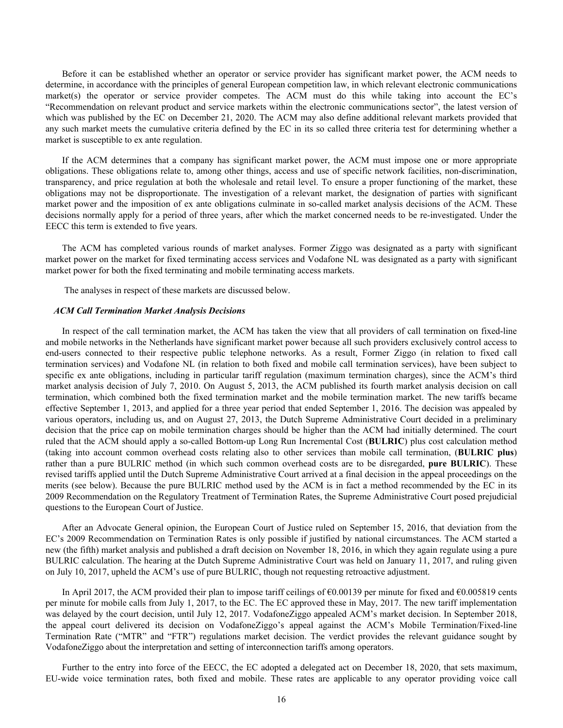Before it can be established whether an operator or service provider has significant market power, the ACM needs to determine, in accordance with the principles of general European competition law, in which relevant electronic communications market(s) the operator or service provider competes. The ACM must do this while taking into account the EC's "Recommendation on relevant product and service markets within the electronic communications sector", the latest version of which was published by the EC on December 21, 2020. The ACM may also define additional relevant markets provided that any such market meets the cumulative criteria defined by the EC in its so called three criteria test for determining whether a market is susceptible to ex ante regulation.

If the ACM determines that a company has significant market power, the ACM must impose one or more appropriate obligations. These obligations relate to, among other things, access and use of specific network facilities, non-discrimination, transparency, and price regulation at both the wholesale and retail level. To ensure a proper functioning of the market, these obligations may not be disproportionate. The investigation of a relevant market, the designation of parties with significant market power and the imposition of ex ante obligations culminate in so-called market analysis decisions of the ACM. These decisions normally apply for a period of three years, after which the market concerned needs to be re-investigated. Under the EECC this term is extended to five years.

The ACM has completed various rounds of market analyses. Former Ziggo was designated as a party with significant market power on the market for fixed terminating access services and Vodafone NL was designated as a party with significant market power for both the fixed terminating and mobile terminating access markets.

The analyses in respect of these markets are discussed below.

#### *ACM Call Termination Market Analysis Decisions*

In respect of the call termination market, the ACM has taken the view that all providers of call termination on fixed-line and mobile networks in the Netherlands have significant market power because all such providers exclusively control access to end-users connected to their respective public telephone networks. As a result, Former Ziggo (in relation to fixed call termination services) and Vodafone NL (in relation to both fixed and mobile call termination services), have been subject to specific ex ante obligations, including in particular tariff regulation (maximum termination charges), since the ACM's third market analysis decision of July 7, 2010. On August 5, 2013, the ACM published its fourth market analysis decision on call termination, which combined both the fixed termination market and the mobile termination market. The new tariffs became effective September 1, 2013, and applied for a three year period that ended September 1, 2016. The decision was appealed by various operators, including us, and on August 27, 2013, the Dutch Supreme Administrative Court decided in a preliminary decision that the price cap on mobile termination charges should be higher than the ACM had initially determined. The court ruled that the ACM should apply a so-called Bottom-up Long Run Incremental Cost (**BULRIC**) plus cost calculation method (taking into account common overhead costs relating also to other services than mobile call termination, (**BULRIC plus**) rather than a pure BULRIC method (in which such common overhead costs are to be disregarded, **pure BULRIC**). These revised tariffs applied until the Dutch Supreme Administrative Court arrived at a final decision in the appeal proceedings on the merits (see below). Because the pure BULRIC method used by the ACM is in fact a method recommended by the EC in its 2009 Recommendation on the Regulatory Treatment of Termination Rates, the Supreme Administrative Court posed prejudicial questions to the European Court of Justice.

After an Advocate General opinion, the European Court of Justice ruled on September 15, 2016, that deviation from the EC's 2009 Recommendation on Termination Rates is only possible if justified by national circumstances. The ACM started a new (the fifth) market analysis and published a draft decision on November 18, 2016, in which they again regulate using a pure BULRIC calculation. The hearing at the Dutch Supreme Administrative Court was held on January 11, 2017, and ruling given on July 10, 2017, upheld the ACM's use of pure BULRIC, though not requesting retroactive adjustment.

In April 2017, the ACM provided their plan to impose tariff ceilings of €0.00139 per minute for fixed and €0.005819 cents per minute for mobile calls from July 1, 2017, to the EC. The EC approved these in May, 2017. The new tariff implementation was delayed by the court decision, until July 12, 2017. VodafoneZiggo appealed ACM's market decision. In September 2018, the appeal court delivered its decision on VodafoneZiggo's appeal against the ACM's Mobile Termination/Fixed-line Termination Rate ("MTR" and "FTR") regulations market decision. The verdict provides the relevant guidance sought by VodafoneZiggo about the interpretation and setting of interconnection tariffs among operators.

Further to the entry into force of the EECC, the EC adopted a delegated act on December 18, 2020, that sets maximum, EU-wide voice termination rates, both fixed and mobile. These rates are applicable to any operator providing voice call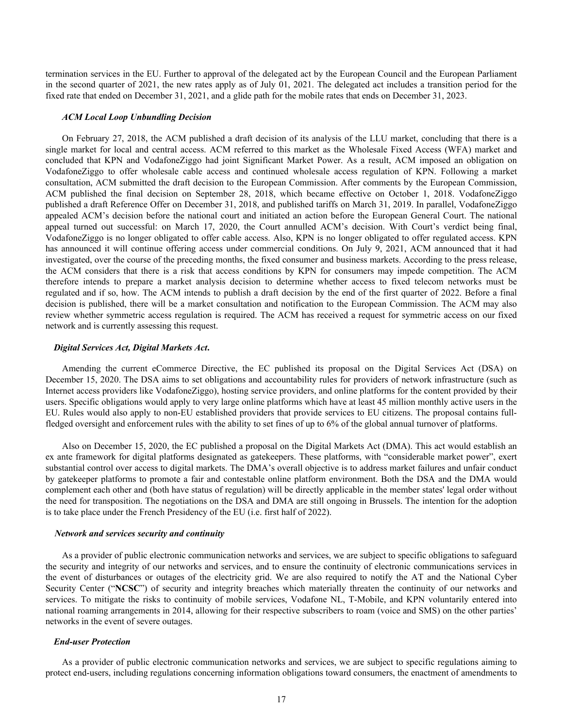termination services in the EU. Further to approval of the delegated act by the European Council and the European Parliament in the second quarter of 2021, the new rates apply as of July 01, 2021. The delegated act includes a transition period for the fixed rate that ended on December 31, 2021, and a glide path for the mobile rates that ends on December 31, 2023.

#### *ACM Local Loop Unbundling Decision*

On February 27, 2018, the ACM published a draft decision of its analysis of the LLU market, concluding that there is a single market for local and central access. ACM referred to this market as the Wholesale Fixed Access (WFA) market and concluded that KPN and VodafoneZiggo had joint Significant Market Power. As a result, ACM imposed an obligation on VodafoneZiggo to offer wholesale cable access and continued wholesale access regulation of KPN. Following a market consultation, ACM submitted the draft decision to the European Commission. After comments by the European Commission, ACM published the final decision on September 28, 2018, which became effective on October 1, 2018. VodafoneZiggo published a draft Reference Offer on December 31, 2018, and published tariffs on March 31, 2019. In parallel, VodafoneZiggo appealed ACM's decision before the national court and initiated an action before the European General Court. The national appeal turned out successful: on March 17, 2020, the Court annulled ACM's decision. With Court's verdict being final, VodafoneZiggo is no longer obligated to offer cable access. Also, KPN is no longer obligated to offer regulated access. KPN has announced it will continue offering access under commercial conditions. On July 9, 2021, ACM announced that it had investigated, over the course of the preceding months, the fixed consumer and business markets. According to the press release, the ACM considers that there is a risk that access conditions by KPN for consumers may impede competition. The ACM therefore intends to prepare a market analysis decision to determine whether access to fixed telecom networks must be regulated and if so, how. The ACM intends to publish a draft decision by the end of the first quarter of 2022. Before a final decision is published, there will be a market consultation and notification to the European Commission. The ACM may also review whether symmetric access regulation is required. The ACM has received a request for symmetric access on our fixed network and is currently assessing this request.

#### *Digital Services Act, Digital Markets Act***.**

Amending the current eCommerce Directive, the EC published its proposal on the Digital Services Act (DSA) on December 15, 2020. The DSA aims to set obligations and accountability rules for providers of network infrastructure (such as Internet access providers like VodafoneZiggo), hosting service providers, and online platforms for the content provided by their users. Specific obligations would apply to very large online platforms which have at least 45 million monthly active users in the EU. Rules would also apply to non-EU established providers that provide services to EU citizens. The proposal contains fullfledged oversight and enforcement rules with the ability to set fines of up to 6% of the global annual turnover of platforms.

Also on December 15, 2020, the EC published a proposal on the Digital Markets Act (DMA). This act would establish an ex ante framework for digital platforms designated as gatekeepers. These platforms, with "considerable market power", exert substantial control over access to digital markets. The DMA's overall objective is to address market failures and unfair conduct by gatekeeper platforms to promote a fair and contestable online platform environment. Both the DSA and the DMA would complement each other and (both have status of regulation) will be directly applicable in the member states' legal order without the need for transposition. The negotiations on the DSA and DMA are still ongoing in Brussels. The intention for the adoption is to take place under the French Presidency of the EU (i.e. first half of 2022).

#### *Network and services security and continuity*

As a provider of public electronic communication networks and services, we are subject to specific obligations to safeguard the security and integrity of our networks and services, and to ensure the continuity of electronic communications services in the event of disturbances or outages of the electricity grid. We are also required to notify the AT and the National Cyber Security Center ("**NCSC**") of security and integrity breaches which materially threaten the continuity of our networks and services. To mitigate the risks to continuity of mobile services, Vodafone NL, T-Mobile, and KPN voluntarily entered into national roaming arrangements in 2014, allowing for their respective subscribers to roam (voice and SMS) on the other parties' networks in the event of severe outages.

#### *End-user Protection*

As a provider of public electronic communication networks and services, we are subject to specific regulations aiming to protect end-users, including regulations concerning information obligations toward consumers, the enactment of amendments to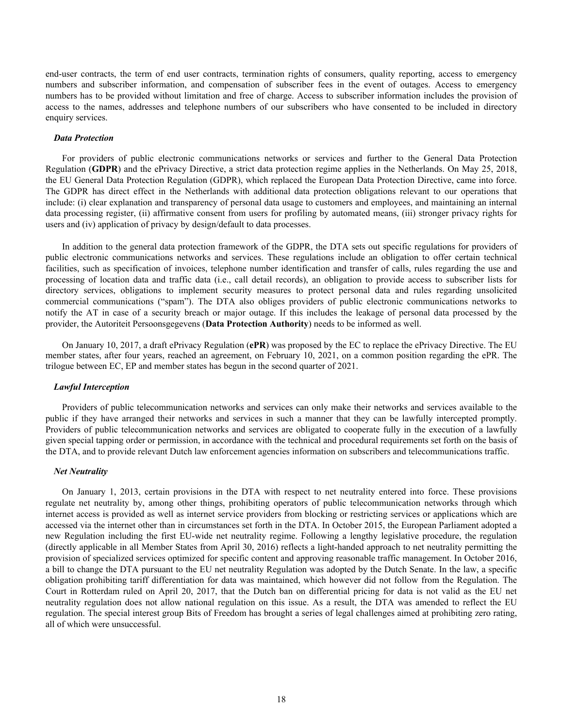end-user contracts, the term of end user contracts, termination rights of consumers, quality reporting, access to emergency numbers and subscriber information, and compensation of subscriber fees in the event of outages. Access to emergency numbers has to be provided without limitation and free of charge. Access to subscriber information includes the provision of access to the names, addresses and telephone numbers of our subscribers who have consented to be included in directory enquiry services.

#### *Data Protection*

For providers of public electronic communications networks or services and further to the General Data Protection Regulation (**GDPR**) and the ePrivacy Directive, a strict data protection regime applies in the Netherlands. On May 25, 2018, the EU General Data Protection Regulation (GDPR), which replaced the European Data Protection Directive, came into force. The GDPR has direct effect in the Netherlands with additional data protection obligations relevant to our operations that include: (i) clear explanation and transparency of personal data usage to customers and employees, and maintaining an internal data processing register, (ii) affirmative consent from users for profiling by automated means, (iii) stronger privacy rights for users and (iv) application of privacy by design/default to data processes.

In addition to the general data protection framework of the GDPR, the DTA sets out specific regulations for providers of public electronic communications networks and services. These regulations include an obligation to offer certain technical facilities, such as specification of invoices, telephone number identification and transfer of calls, rules regarding the use and processing of location data and traffic data (i.e., call detail records), an obligation to provide access to subscriber lists for directory services, obligations to implement security measures to protect personal data and rules regarding unsolicited commercial communications ("spam"). The DTA also obliges providers of public electronic communications networks to notify the AT in case of a security breach or major outage. If this includes the leakage of personal data processed by the provider, the Autoriteit Persoonsgegevens (**Data Protection Authority**) needs to be informed as well.

On January 10, 2017, a draft ePrivacy Regulation (**ePR**) was proposed by the EC to replace the ePrivacy Directive. The EU member states, after four years, reached an agreement, on February 10, 2021, on a common position regarding the ePR. The trilogue between EC, EP and member states has begun in the second quarter of 2021.

#### *Lawful Interception*

Providers of public telecommunication networks and services can only make their networks and services available to the public if they have arranged their networks and services in such a manner that they can be lawfully intercepted promptly. Providers of public telecommunication networks and services are obligated to cooperate fully in the execution of a lawfully given special tapping order or permission, in accordance with the technical and procedural requirements set forth on the basis of the DTA, and to provide relevant Dutch law enforcement agencies information on subscribers and telecommunications traffic.

#### *Net Neutrality*

On January 1, 2013, certain provisions in the DTA with respect to net neutrality entered into force. These provisions regulate net neutrality by, among other things, prohibiting operators of public telecommunication networks through which internet access is provided as well as internet service providers from blocking or restricting services or applications which are accessed via the internet other than in circumstances set forth in the DTA. In October 2015, the European Parliament adopted a new Regulation including the first EU-wide net neutrality regime. Following a lengthy legislative procedure, the regulation (directly applicable in all Member States from April 30, 2016) reflects a light-handed approach to net neutrality permitting the provision of specialized services optimized for specific content and approving reasonable traffic management. In October 2016, a bill to change the DTA pursuant to the EU net neutrality Regulation was adopted by the Dutch Senate. In the law, a specific obligation prohibiting tariff differentiation for data was maintained, which however did not follow from the Regulation. The Court in Rotterdam ruled on April 20, 2017, that the Dutch ban on differential pricing for data is not valid as the EU net neutrality regulation does not allow national regulation on this issue. As a result, the DTA was amended to reflect the EU regulation. The special interest group Bits of Freedom has brought a series of legal challenges aimed at prohibiting zero rating, all of which were unsuccessful.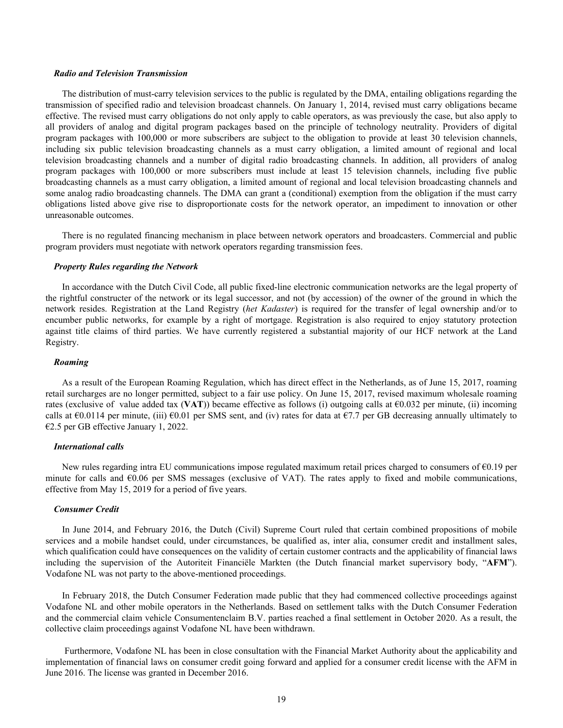#### *Radio and Television Transmission*

The distribution of must-carry television services to the public is regulated by the DMA, entailing obligations regarding the transmission of specified radio and television broadcast channels. On January 1, 2014, revised must carry obligations became effective. The revised must carry obligations do not only apply to cable operators, as was previously the case, but also apply to all providers of analog and digital program packages based on the principle of technology neutrality. Providers of digital program packages with 100,000 or more subscribers are subject to the obligation to provide at least 30 television channels, including six public television broadcasting channels as a must carry obligation, a limited amount of regional and local television broadcasting channels and a number of digital radio broadcasting channels. In addition, all providers of analog program packages with 100,000 or more subscribers must include at least 15 television channels, including five public broadcasting channels as a must carry obligation, a limited amount of regional and local television broadcasting channels and some analog radio broadcasting channels. The DMA can grant a (conditional) exemption from the obligation if the must carry obligations listed above give rise to disproportionate costs for the network operator, an impediment to innovation or other unreasonable outcomes.

There is no regulated financing mechanism in place between network operators and broadcasters. Commercial and public program providers must negotiate with network operators regarding transmission fees.

#### *Property Rules regarding the Network*

In accordance with the Dutch Civil Code, all public fixed-line electronic communication networks are the legal property of the rightful constructer of the network or its legal successor, and not (by accession) of the owner of the ground in which the network resides. Registration at the Land Registry (*het Kadaster*) is required for the transfer of legal ownership and/or to encumber public networks, for example by a right of mortgage. Registration is also required to enjoy statutory protection against title claims of third parties. We have currently registered a substantial majority of our HCF network at the Land Registry.

#### *Roaming*

As a result of the European Roaming Regulation, which has direct effect in the Netherlands, as of June 15, 2017, roaming retail surcharges are no longer permitted, subject to a fair use policy. On June 15, 2017, revised maximum wholesale roaming rates (exclusive of value added tax (**VAT**)) became effective as follows (i) outgoing calls at  $\epsilon$ 0.032 per minute, (ii) incoming calls at  $\epsilon$ 0.0114 per minute, (iii)  $\epsilon$ 0.01 per SMS sent, and (iv) rates for data at  $\epsilon$ 7.7 per GB decreasing annually ultimately to €2.5 per GB effective January 1, 2022.

#### *International calls*

New rules regarding intra EU communications impose regulated maximum retail prices charged to consumers of €0.19 per minute for calls and €0.06 per SMS messages (exclusive of VAT). The rates apply to fixed and mobile communications, effective from May 15, 2019 for a period of five years.

#### *Consumer Credit*

In June 2014, and February 2016, the Dutch (Civil) Supreme Court ruled that certain combined propositions of mobile services and a mobile handset could, under circumstances, be qualified as, inter alia, consumer credit and installment sales, which qualification could have consequences on the validity of certain customer contracts and the applicability of financial laws including the supervision of the Autoriteit Financiële Markten (the Dutch financial market supervisory body, "**AFM**"). Vodafone NL was not party to the above-mentioned proceedings.

In February 2018, the Dutch Consumer Federation made public that they had commenced collective proceedings against Vodafone NL and other mobile operators in the Netherlands. Based on settlement talks with the Dutch Consumer Federation and the commercial claim vehicle Consumentenclaim B.V. parties reached a final settlement in October 2020. As a result, the collective claim proceedings against Vodafone NL have been withdrawn.

 Furthermore, Vodafone NL has been in close consultation with the Financial Market Authority about the applicability and implementation of financial laws on consumer credit going forward and applied for a consumer credit license with the AFM in June 2016. The license was granted in December 2016.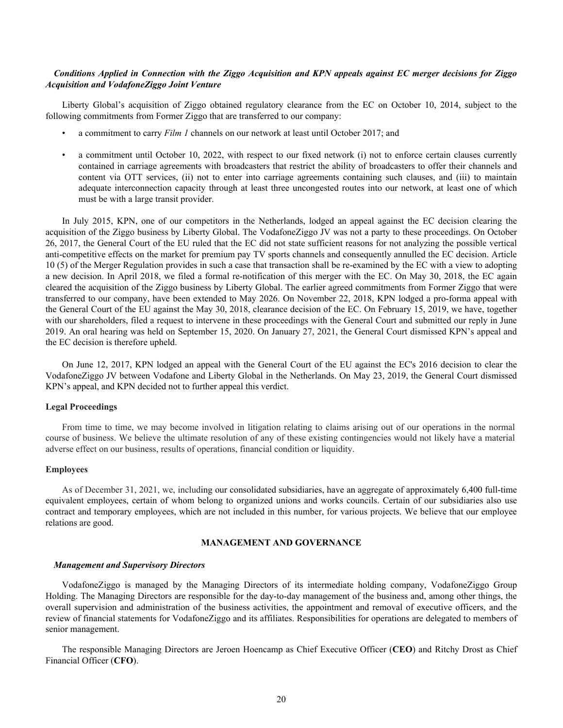# *Conditions Applied in Connection with the Ziggo Acquisition and KPN appeals against EC merger decisions for Ziggo Acquisition and VodafoneZiggo Joint Venture*

Liberty Global's acquisition of Ziggo obtained regulatory clearance from the EC on October 10, 2014, subject to the following commitments from Former Ziggo that are transferred to our company:

- a commitment to carry *Film 1* channels on our network at least until October 2017; and
- a commitment until October 10, 2022, with respect to our fixed network (i) not to enforce certain clauses currently contained in carriage agreements with broadcasters that restrict the ability of broadcasters to offer their channels and content via OTT services, (ii) not to enter into carriage agreements containing such clauses, and (iii) to maintain adequate interconnection capacity through at least three uncongested routes into our network, at least one of which must be with a large transit provider.

In July 2015, KPN, one of our competitors in the Netherlands, lodged an appeal against the EC decision clearing the acquisition of the Ziggo business by Liberty Global. The VodafoneZiggo JV was not a party to these proceedings. On October 26, 2017, the General Court of the EU ruled that the EC did not state sufficient reasons for not analyzing the possible vertical anti-competitive effects on the market for premium pay TV sports channels and consequently annulled the EC decision. Article 10 (5) of the Merger Regulation provides in such a case that transaction shall be re-examined by the EC with a view to adopting a new decision. In April 2018, we filed a formal re-notification of this merger with the EC. On May 30, 2018, the EC again cleared the acquisition of the Ziggo business by Liberty Global. The earlier agreed commitments from Former Ziggo that were transferred to our company, have been extended to May 2026. On November 22, 2018, KPN lodged a pro-forma appeal with the General Court of the EU against the May 30, 2018, clearance decision of the EC. On February 15, 2019, we have, together with our shareholders, filed a request to intervene in these proceedings with the General Court and submitted our reply in June 2019. An oral hearing was held on September 15, 2020. On January 27, 2021, the General Court dismissed KPN's appeal and the EC decision is therefore upheld.

On June 12, 2017, KPN lodged an appeal with the General Court of the EU against the EC's 2016 decision to clear the VodafoneZiggo JV between Vodafone and Liberty Global in the Netherlands. On May 23, 2019, the General Court dismissed KPN's appeal, and KPN decided not to further appeal this verdict.

#### **Legal Proceedings**

From time to time, we may become involved in litigation relating to claims arising out of our operations in the normal course of business. We believe the ultimate resolution of any of these existing contingencies would not likely have a material adverse effect on our business, results of operations, financial condition or liquidity.

# **Employees**

As of December 31, 2021, we, including our consolidated subsidiaries, have an aggregate of approximately 6,400 full-time equivalent employees, certain of whom belong to organized unions and works councils. Certain of our subsidiaries also use contract and temporary employees, which are not included in this number, for various projects. We believe that our employee relations are good.

#### **MANAGEMENT AND GOVERNANCE**

#### *Management and Supervisory Directors*

VodafoneZiggo is managed by the Managing Directors of its intermediate holding company, VodafoneZiggo Group Holding. The Managing Directors are responsible for the day-to-day management of the business and, among other things, the overall supervision and administration of the business activities, the appointment and removal of executive officers, and the review of financial statements for VodafoneZiggo and its affiliates. Responsibilities for operations are delegated to members of senior management.

The responsible Managing Directors are Jeroen Hoencamp as Chief Executive Officer (**CEO**) and Ritchy Drost as Chief Financial Officer (**CFO**).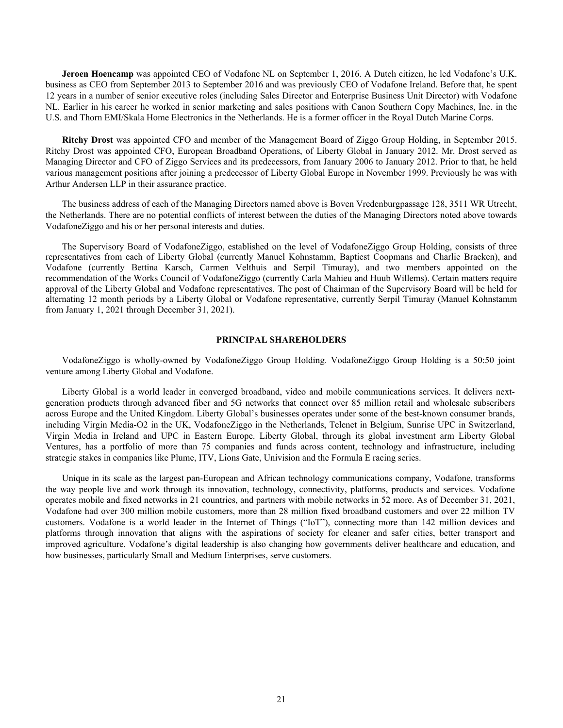**Jeroen Hoencamp** was appointed CEO of Vodafone NL on September 1, 2016. A Dutch citizen, he led Vodafone's U.K. business as CEO from September 2013 to September 2016 and was previously CEO of Vodafone Ireland. Before that, he spent 12 years in a number of senior executive roles (including Sales Director and Enterprise Business Unit Director) with Vodafone NL. Earlier in his career he worked in senior marketing and sales positions with Canon Southern Copy Machines, Inc. in the U.S. and Thorn EMI/Skala Home Electronics in the Netherlands. He is a former officer in the Royal Dutch Marine Corps.

**Ritchy Drost** was appointed CFO and member of the Management Board of Ziggo Group Holding, in September 2015. Ritchy Drost was appointed CFO, European Broadband Operations, of Liberty Global in January 2012. Mr. Drost served as Managing Director and CFO of Ziggo Services and its predecessors, from January 2006 to January 2012. Prior to that, he held various management positions after joining a predecessor of Liberty Global Europe in November 1999. Previously he was with Arthur Andersen LLP in their assurance practice.

The business address of each of the Managing Directors named above is Boven Vredenburgpassage 128, 3511 WR Utrecht, the Netherlands. There are no potential conflicts of interest between the duties of the Managing Directors noted above towards VodafoneZiggo and his or her personal interests and duties.

The Supervisory Board of VodafoneZiggo, established on the level of VodafoneZiggo Group Holding, consists of three representatives from each of Liberty Global (currently Manuel Kohnstamm, Baptiest Coopmans and Charlie Bracken), and Vodafone (currently Bettina Karsch, Carmen Velthuis and Serpil Timuray), and two members appointed on the recommendation of the Works Council of VodafoneZiggo (currently Carla Mahieu and Huub Willems). Certain matters require approval of the Liberty Global and Vodafone representatives. The post of Chairman of the Supervisory Board will be held for alternating 12 month periods by a Liberty Global or Vodafone representative, currently Serpil Timuray (Manuel Kohnstamm from January 1, 2021 through December 31, 2021).

#### **PRINCIPAL SHAREHOLDERS**

VodafoneZiggo is wholly-owned by VodafoneZiggo Group Holding. VodafoneZiggo Group Holding is a 50:50 joint venture among Liberty Global and Vodafone.

Liberty Global is a world leader in converged broadband, video and mobile communications services. It delivers nextgeneration products through advanced fiber and 5G networks that connect over 85 million retail and wholesale subscribers across Europe and the United Kingdom. Liberty Global's businesses operates under some of the best-known consumer brands, including Virgin Media-O2 in the UK, VodafoneZiggo in the Netherlands, Telenet in Belgium, Sunrise UPC in Switzerland, Virgin Media in Ireland and UPC in Eastern Europe. Liberty Global, through its global investment arm Liberty Global Ventures, has a portfolio of more than 75 companies and funds across content, technology and infrastructure, including strategic stakes in companies like Plume, ITV, Lions Gate, Univision and the Formula E racing series.

Unique in its scale as the largest pan-European and African technology communications company, Vodafone, transforms the way people live and work through its innovation, technology, connectivity, platforms, products and services. Vodafone operates mobile and fixed networks in 21 countries, and partners with mobile networks in 52 more. As of December 31, 2021, Vodafone had over 300 million mobile customers, more than 28 million fixed broadband customers and over 22 million TV customers. Vodafone is a world leader in the Internet of Things ("IoT"), connecting more than 142 million devices and platforms through innovation that aligns with the aspirations of society for cleaner and safer cities, better transport and improved agriculture. Vodafone's digital leadership is also changing how governments deliver healthcare and education, and how businesses, particularly Small and Medium Enterprises, serve customers.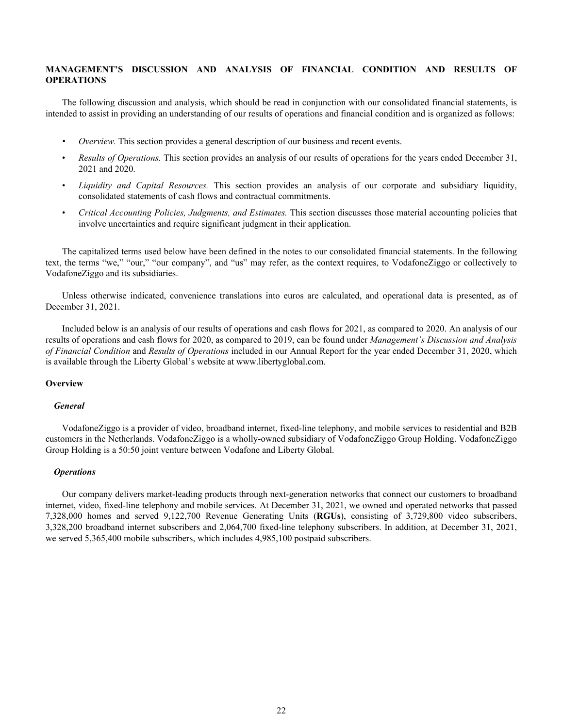# <span id="page-22-0"></span>**MANAGEMENT'S DISCUSSION AND ANALYSIS OF FINANCIAL CONDITION AND RESULTS OF OPERATIONS**

The following discussion and analysis, which should be read in conjunction with our consolidated financial statements, is intended to assist in providing an understanding of our results of operations and financial condition and is organized as follows:

- *• Overview.* This section provides a general description of our business and recent events.
- *Results of Operations.* This section provides an analysis of our results of operations for the years ended December 31, 2021 and 2020.
- *Liquidity and Capital Resources.* This section provides an analysis of our corporate and subsidiary liquidity, consolidated statements of cash flows and contractual commitments.
- *Critical Accounting Policies, Judgments, and Estimates.* This section discusses those material accounting policies that involve uncertainties and require significant judgment in their application.

The capitalized terms used below have been defined in the notes to our consolidated financial statements. In the following text, the terms "we," "our," "our company", and "us" may refer, as the context requires, to VodafoneZiggo or collectively to VodafoneZiggo and its subsidiaries.

Unless otherwise indicated, convenience translations into euros are calculated, and operational data is presented, as of December 31, 2021.

Included below is an analysis of our results of operations and cash flows for 2021, as compared to 2020. An analysis of our results of operations and cash flows for 2020, as compared to 2019, can be found under *Management's Discussion and Analysis of Financial Condition* and *Results of Operations* included in our Annual Report for the year ended December 31, 2020, which is available through the Liberty Global's website at www.libertyglobal.com.

# **Overview**

#### *General*

VodafoneZiggo is a provider of video, broadband internet, fixed-line telephony, and mobile services to residential and B2B customers in the Netherlands. VodafoneZiggo is a wholly-owned subsidiary of VodafoneZiggo Group Holding. VodafoneZiggo Group Holding is a 50:50 joint venture between Vodafone and Liberty Global.

# *Operations*

Our company delivers market-leading products through next-generation networks that connect our customers to broadband internet, video, fixed-line telephony and mobile services. At December 31, 2021, we owned and operated networks that passed 7,328,000 homes and served 9,122,700 Revenue Generating Units (**RGUs**), consisting of 3,729,800 video subscribers, 3,328,200 broadband internet subscribers and 2,064,700 fixed-line telephony subscribers. In addition, at December 31, 2021, we served 5,365,400 mobile subscribers, which includes 4,985,100 postpaid subscribers.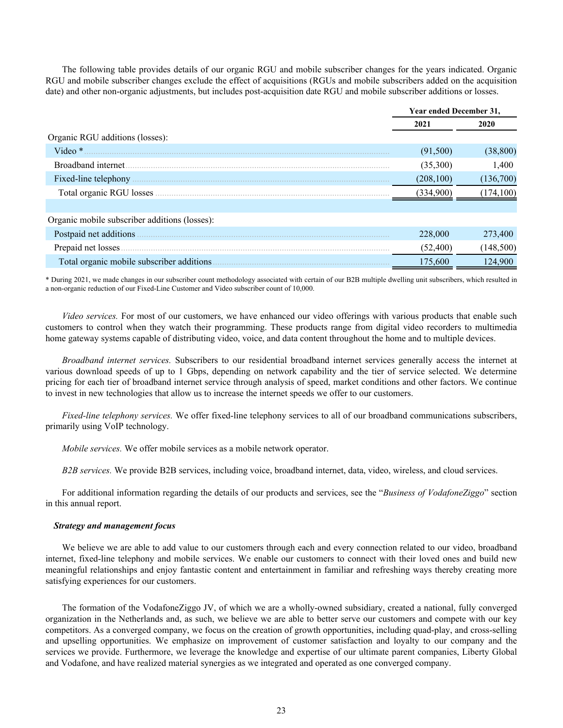The following table provides details of our organic RGU and mobile subscriber changes for the years indicated. Organic RGU and mobile subscriber changes exclude the effect of acquisitions (RGUs and mobile subscribers added on the acquisition date) and other non-organic adjustments, but includes post-acquisition date RGU and mobile subscriber additions or losses.

|                                               | Year ended December 31, |            |  |
|-----------------------------------------------|-------------------------|------------|--|
|                                               | 2021                    | 2020       |  |
| Organic RGU additions (losses):               |                         |            |  |
| Video $*$                                     | (91,500)                | (38, 800)  |  |
| Broadband internet                            | (35,300)                | 1,400      |  |
| Fixed-line telephony                          | (208, 100)              | (136,700)  |  |
|                                               | (334,900)               | (174, 100) |  |
|                                               |                         |            |  |
| Organic mobile subscriber additions (losses): |                         |            |  |
|                                               | 228,000                 | 273,400    |  |
| Prepaid net losses.                           | (52, 400)               | (148, 500) |  |
| Total organic mobile subscriber additions     | 175,600                 | 124,900    |  |

\* During 2021, we made changes in our subscriber count methodology associated with certain of our B2B multiple dwelling unit subscribers, which resulted in a non-organic reduction of our Fixed-Line Customer and Video subscriber count of 10,000.

*Video services.* For most of our customers, we have enhanced our video offerings with various products that enable such customers to control when they watch their programming. These products range from digital video recorders to multimedia home gateway systems capable of distributing video, voice, and data content throughout the home and to multiple devices.

*Broadband internet services.* Subscribers to our residential broadband internet services generally access the internet at various download speeds of up to 1 Gbps, depending on network capability and the tier of service selected. We determine pricing for each tier of broadband internet service through analysis of speed, market conditions and other factors. We continue to invest in new technologies that allow us to increase the internet speeds we offer to our customers.

*Fixed-line telephony services.* We offer fixed-line telephony services to all of our broadband communications subscribers, primarily using VoIP technology.

*Mobile services.* We offer mobile services as a mobile network operator.

*B2B services.* We provide B2B services, including voice, broadband internet, data, video, wireless, and cloud services.

For additional information regarding the details of our products and services, see the "*Business of VodafoneZiggo*" section in this annual report.

#### *Strategy and management focus*

We believe we are able to add value to our customers through each and every connection related to our video, broadband internet, fixed-line telephony and mobile services. We enable our customers to connect with their loved ones and build new meaningful relationships and enjoy fantastic content and entertainment in familiar and refreshing ways thereby creating more satisfying experiences for our customers.

The formation of the VodafoneZiggo JV, of which we are a wholly-owned subsidiary, created a national, fully converged organization in the Netherlands and, as such, we believe we are able to better serve our customers and compete with our key competitors. As a converged company, we focus on the creation of growth opportunities, including quad-play, and cross-selling and upselling opportunities. We emphasize on improvement of customer satisfaction and loyalty to our company and the services we provide. Furthermore, we leverage the knowledge and expertise of our ultimate parent companies, Liberty Global and Vodafone, and have realized material synergies as we integrated and operated as one converged company.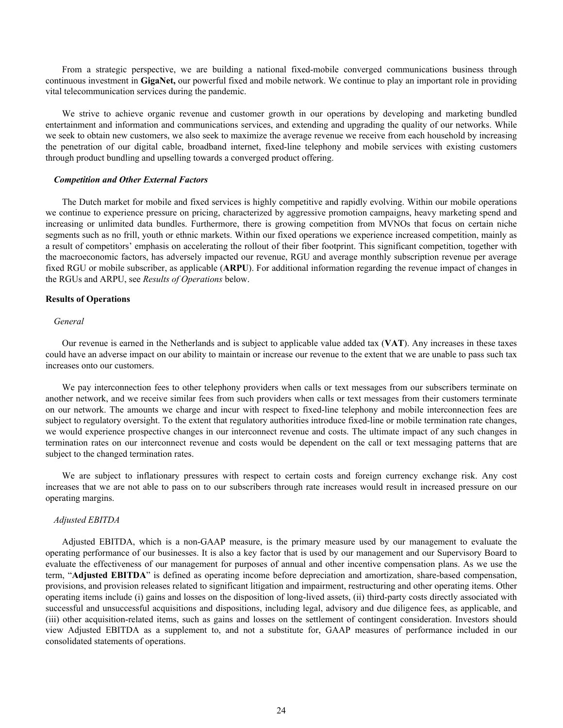From a strategic perspective, we are building a national fixed-mobile converged communications business through continuous investment in **GigaNet,** our powerful fixed and mobile network. We continue to play an important role in providing vital telecommunication services during the pandemic.

We strive to achieve organic revenue and customer growth in our operations by developing and marketing bundled entertainment and information and communications services, and extending and upgrading the quality of our networks. While we seek to obtain new customers, we also seek to maximize the average revenue we receive from each household by increasing the penetration of our digital cable, broadband internet, fixed-line telephony and mobile services with existing customers through product bundling and upselling towards a converged product offering.

#### *Competition and Other External Factors*

The Dutch market for mobile and fixed services is highly competitive and rapidly evolving. Within our mobile operations we continue to experience pressure on pricing, characterized by aggressive promotion campaigns, heavy marketing spend and increasing or unlimited data bundles. Furthermore, there is growing competition from MVNOs that focus on certain niche segments such as no frill, youth or ethnic markets. Within our fixed operations we experience increased competition, mainly as a result of competitors' emphasis on accelerating the rollout of their fiber footprint. This significant competition, together with the macroeconomic factors, has adversely impacted our revenue, RGU and average monthly subscription revenue per average fixed RGU or mobile subscriber, as applicable (**ARPU**). For additional information regarding the revenue impact of changes in the RGUs and ARPU, see *Results of Operations* below.

#### **Results of Operations**

# *General*

Our revenue is earned in the Netherlands and is subject to applicable value added tax (**VAT**). Any increases in these taxes could have an adverse impact on our ability to maintain or increase our revenue to the extent that we are unable to pass such tax increases onto our customers.

We pay interconnection fees to other telephony providers when calls or text messages from our subscribers terminate on another network, and we receive similar fees from such providers when calls or text messages from their customers terminate on our network. The amounts we charge and incur with respect to fixed-line telephony and mobile interconnection fees are subject to regulatory oversight. To the extent that regulatory authorities introduce fixed-line or mobile termination rate changes, we would experience prospective changes in our interconnect revenue and costs. The ultimate impact of any such changes in termination rates on our interconnect revenue and costs would be dependent on the call or text messaging patterns that are subject to the changed termination rates.

We are subject to inflationary pressures with respect to certain costs and foreign currency exchange risk. Any cost increases that we are not able to pass on to our subscribers through rate increases would result in increased pressure on our operating margins.

#### *Adjusted EBITDA*

Adjusted EBITDA, which is a non-GAAP measure, is the primary measure used by our management to evaluate the operating performance of our businesses. It is also a key factor that is used by our management and our Supervisory Board to evaluate the effectiveness of our management for purposes of annual and other incentive compensation plans. As we use the term, "**Adjusted EBITDA**" is defined as operating income before depreciation and amortization, share-based compensation, provisions, and provision releases related to significant litigation and impairment, restructuring and other operating items. Other operating items include (i) gains and losses on the disposition of long-lived assets, (ii) third-party costs directly associated with successful and unsuccessful acquisitions and dispositions, including legal, advisory and due diligence fees, as applicable, and (iii) other acquisition-related items, such as gains and losses on the settlement of contingent consideration. Investors should view Adjusted EBITDA as a supplement to, and not a substitute for, GAAP measures of performance included in our consolidated statements of operations.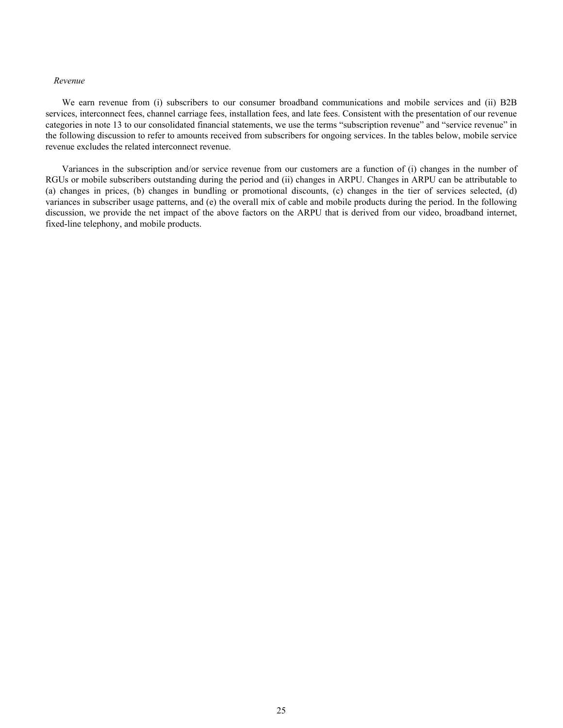# *Revenue*

We earn revenue from (i) subscribers to our consumer broadband communications and mobile services and (ii) B2B services, interconnect fees, channel carriage fees, installation fees, and late fees. Consistent with the presentation of our revenue categories in note 13 to our consolidated financial statements, we use the terms "subscription revenue" and "service revenue" in the following discussion to refer to amounts received from subscribers for ongoing services. In the tables below, mobile service revenue excludes the related interconnect revenue.

Variances in the subscription and/or service revenue from our customers are a function of (i) changes in the number of RGUs or mobile subscribers outstanding during the period and (ii) changes in ARPU. Changes in ARPU can be attributable to (a) changes in prices, (b) changes in bundling or promotional discounts, (c) changes in the tier of services selected, (d) variances in subscriber usage patterns, and (e) the overall mix of cable and mobile products during the period. In the following discussion, we provide the net impact of the above factors on the ARPU that is derived from our video, broadband internet, fixed-line telephony, and mobile products.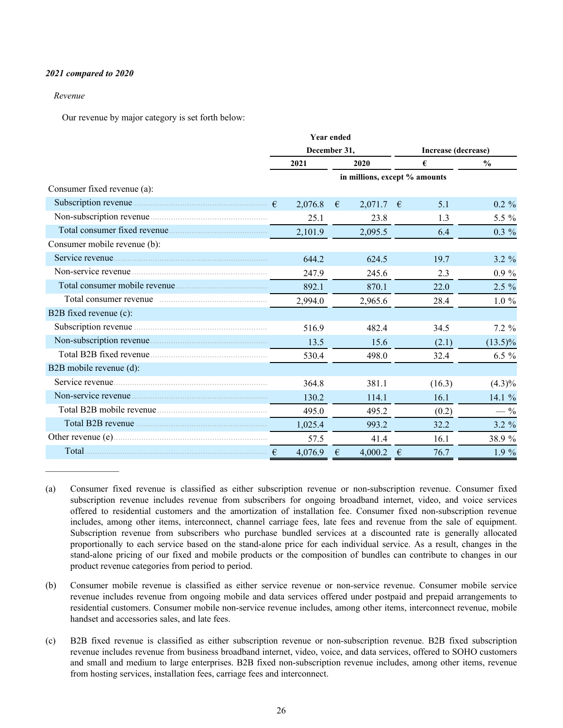# *2021 compared to 2020*

# *Revenue*

Our revenue by major category is set forth below:

|                                                                                                                  |              |         | <b>Year ended</b> |                               |            |                     |            |
|------------------------------------------------------------------------------------------------------------------|--------------|---------|-------------------|-------------------------------|------------|---------------------|------------|
|                                                                                                                  | December 31, |         |                   |                               |            | Increase (decrease) |            |
|                                                                                                                  | 2021         |         | 2020              | €                             |            | $\frac{0}{0}$       |            |
|                                                                                                                  |              |         |                   | in millions, except % amounts |            |                     |            |
| Consumer fixed revenue (a):                                                                                      |              |         |                   |                               |            |                     |            |
| Subscription revenue $\ldots$ $\epsilon$                                                                         |              | 2,076.8 | €                 | 2,071.7 $\in$                 |            | 5.1                 | $0.2 \%$   |
|                                                                                                                  |              | 25.1    |                   | 23.8                          |            | 1.3                 | 5.5 %      |
|                                                                                                                  |              | 2,101.9 |                   | 2,095.5                       |            | 6.4                 | $0.3\%$    |
| Consumer mobile revenue (b):                                                                                     |              |         |                   |                               |            |                     |            |
|                                                                                                                  |              | 644.2   |                   | 624.5                         |            | 19.7                | $3.2 \%$   |
|                                                                                                                  |              | 247.9   |                   | 245.6                         |            | 2.3                 | $0.9 \%$   |
|                                                                                                                  |              | 892.1   |                   | 870.1                         |            | 22.0                | 2.5 %      |
| Total consumer revenue manuscrittan consumer revenue manuscrittan consumer revenue manuscrittan consumer revenue |              | 2,994.0 |                   | 2,965.6                       |            | 28.4                | $1.0\%$    |
| B2B fixed revenue (c):                                                                                           |              |         |                   |                               |            |                     |            |
|                                                                                                                  |              | 516.9   |                   | 482.4                         |            | 34.5                | $7.2 \%$   |
|                                                                                                                  |              | 13.5    |                   | 15.6                          |            | (2.1)               | $(13.5)\%$ |
|                                                                                                                  |              | 530.4   |                   | 498.0                         |            | 32.4                | $6.5 \%$   |
| B2B mobile revenue (d):                                                                                          |              |         |                   |                               |            |                     |            |
|                                                                                                                  |              | 364.8   |                   | 381.1                         |            | (16.3)              | $(4.3)\%$  |
| Non-service revenue                                                                                              |              | 130.2   |                   | 114.1                         |            | 16.1                | 14.1 %     |
|                                                                                                                  |              | 495.0   |                   | 495.2                         |            | (0.2)               | $-$ %      |
|                                                                                                                  |              | 1,025.4 |                   | 993.2                         |            | 32.2                | $3.2 \%$   |
|                                                                                                                  |              | 57.5    |                   | 41.4                          |            | 16.1                | 38.9 %     |
| $Total \dots$                                                                                                    | $\epsilon$   | 4,076.9 | €                 | 4,000.2                       | $\epsilon$ | 76.7                | $1.9\%$    |

<sup>(</sup>a) Consumer fixed revenue is classified as either subscription revenue or non-subscription revenue. Consumer fixed subscription revenue includes revenue from subscribers for ongoing broadband internet, video, and voice services offered to residential customers and the amortization of installation fee. Consumer fixed non-subscription revenue includes, among other items, interconnect, channel carriage fees, late fees and revenue from the sale of equipment. Subscription revenue from subscribers who purchase bundled services at a discounted rate is generally allocated proportionally to each service based on the stand-alone price for each individual service. As a result, changes in the stand-alone pricing of our fixed and mobile products or the composition of bundles can contribute to changes in our product revenue categories from period to period.

- (b) Consumer mobile revenue is classified as either service revenue or non-service revenue. Consumer mobile service revenue includes revenue from ongoing mobile and data services offered under postpaid and prepaid arrangements to residential customers. Consumer mobile non-service revenue includes, among other items, interconnect revenue, mobile handset and accessories sales, and late fees.
- (c) B2B fixed revenue is classified as either subscription revenue or non-subscription revenue. B2B fixed subscription revenue includes revenue from business broadband internet, video, voice, and data services, offered to SOHO customers and small and medium to large enterprises. B2B fixed non-subscription revenue includes, among other items, revenue from hosting services, installation fees, carriage fees and interconnect.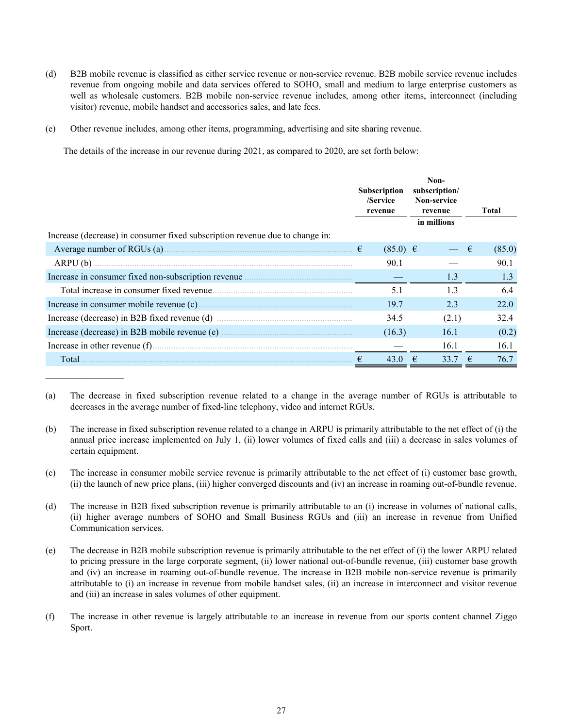- (d) B2B mobile revenue is classified as either service revenue or non-service revenue. B2B mobile service revenue includes revenue from ongoing mobile and data services offered to SOHO, small and medium to large enterprise customers as well as wholesale customers. B2B mobile non-service revenue includes, among other items, interconnect (including visitor) revenue, mobile handset and accessories sales, and late fees.
- (e) Other revenue includes, among other items, programming, advertising and site sharing revenue.

The details of the increase in our revenue during 2021, as compared to 2020, are set forth below:

|                                                                                                                                      | <b>Subscription</b><br>/Service<br>revenue |              |             |       |   |        |  |  | Non-<br>subscription/<br>Non-service<br>revenue |  |  | <b>Total</b> |  |
|--------------------------------------------------------------------------------------------------------------------------------------|--------------------------------------------|--------------|-------------|-------|---|--------|--|--|-------------------------------------------------|--|--|--------------|--|
| Increase (decrease) in consumer fixed subscription revenue due to change in:                                                         |                                            |              | in millions |       |   |        |  |  |                                                 |  |  |              |  |
|                                                                                                                                      |                                            |              |             |       |   |        |  |  |                                                 |  |  |              |  |
|                                                                                                                                      |                                            | $(85.0) \in$ |             |       | € | (85.0) |  |  |                                                 |  |  |              |  |
|                                                                                                                                      |                                            | 90.1         |             |       |   | 90.1   |  |  |                                                 |  |  |              |  |
| Increase in consumer fixed non-subscription revenue <i>manufacture in consumer</i> fixed non-subscription revenue <i>manufacture</i> |                                            |              |             | 1.3   |   | 1.3    |  |  |                                                 |  |  |              |  |
|                                                                                                                                      |                                            | 5.1          |             | 1.3   |   | 6.4    |  |  |                                                 |  |  |              |  |
|                                                                                                                                      |                                            | 19.7         |             | 2.3   |   | 22.0   |  |  |                                                 |  |  |              |  |
|                                                                                                                                      |                                            | 34.5         |             | (2.1) |   | 32.4   |  |  |                                                 |  |  |              |  |
|                                                                                                                                      |                                            | (16.3)       |             | 16.1  |   | (0.2)  |  |  |                                                 |  |  |              |  |
|                                                                                                                                      |                                            |              |             | 16.1  |   | 16.1   |  |  |                                                 |  |  |              |  |
| Total                                                                                                                                |                                            | 43.0         |             | 33.7  | € | 76.7   |  |  |                                                 |  |  |              |  |

- (a) The decrease in fixed subscription revenue related to a change in the average number of RGUs is attributable to decreases in the average number of fixed-line telephony, video and internet RGUs.
- (b) The increase in fixed subscription revenue related to a change in ARPU is primarily attributable to the net effect of (i) the annual price increase implemented on July 1, (ii) lower volumes of fixed calls and (iii) a decrease in sales volumes of certain equipment.
- (c) The increase in consumer mobile service revenue is primarily attributable to the net effect of (i) customer base growth, (ii) the launch of new price plans, (iii) higher converged discounts and (iv) an increase in roaming out-of-bundle revenue.
- (d) The increase in B2B fixed subscription revenue is primarily attributable to an (i) increase in volumes of national calls, (ii) higher average numbers of SOHO and Small Business RGUs and (iii) an increase in revenue from Unified Communication services.
- (e) The decrease in B2B mobile subscription revenue is primarily attributable to the net effect of (i) the lower ARPU related to pricing pressure in the large corporate segment, (ii) lower national out-of-bundle revenue, (iii) customer base growth and (iv) an increase in roaming out-of-bundle revenue. The increase in B2B mobile non-service revenue is primarily attributable to (i) an increase in revenue from mobile handset sales, (ii) an increase in interconnect and visitor revenue and (iii) an increase in sales volumes of other equipment.
- (f) The increase in other revenue is largely attributable to an increase in revenue from our sports content channel Ziggo Sport.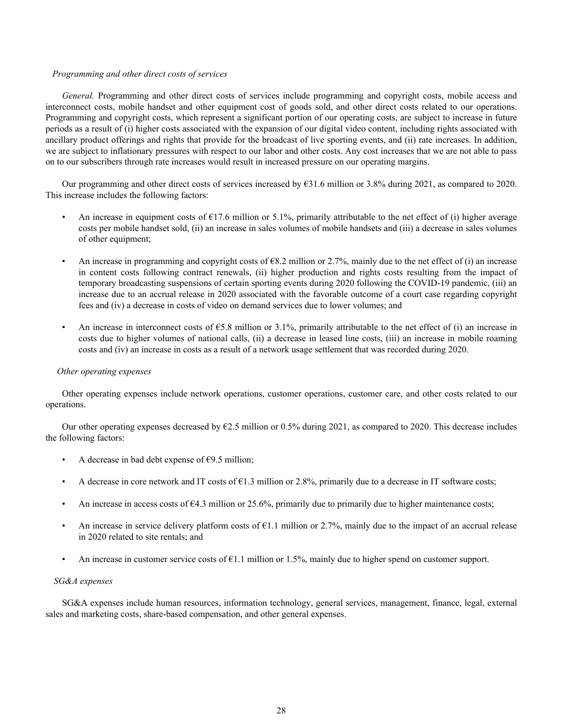# *Programming and other direct costs of services*

*General.* Programming and other direct costs of services include programming and copyright costs, mobile access and interconnect costs, mobile handset and other equipment cost of goods sold, and other direct costs related to our operations. Programming and copyright costs, which represent a significant portion of our operating costs, are subject to increase in future periods as a result of (i) higher costs associated with the expansion of our digital video content, including rights associated with ancillary product offerings and rights that provide for the broadcast of live sporting events, and (ii) rate increases. In addition, we are subject to inflationary pressures with respect to our labor and other costs. Any cost increases that we are not able to pass on to our subscribers through rate increases would result in increased pressure on our operating margins.

Our programming and other direct costs of services increased by  $\epsilon$ 31.6 million or 3.8% during 2021, as compared to 2020. This increase includes the following factors:

- An increase in equipment costs of  $\epsilon$ 17.6 million or 5.1%, primarily attributable to the net effect of (i) higher average costs per mobile handset sold, (ii) an increase in sales volumes of mobile handsets and (iii) a decrease in sales volumes of other equipment;
- An increase in programming and copyright costs of  $68.2$  million or 2.7%, mainly due to the net effect of (i) an increase in content costs following contract renewals, (ii) higher production and rights costs resulting from the impact of temporary broadcasting suspensions of certain sporting events during 2020 following the COVID-19 pandemic, (iii) an increase due to an accrual release in 2020 associated with the favorable outcome of a court case regarding copyright fees and (iv) a decrease in costs of video on demand services due to lower volumes; and
- An increase in interconnect costs of  $\epsilon$ 5.8 million or 3.1%, primarily attributable to the net effect of (i) an increase in costs due to higher volumes of national calls, (ii) a decrease in leased line costs, (iii) an increase in mobile roaming costs and (iv) an increase in costs as a result of a network usage settlement that was recorded during 2020.

#### *Other operating expenses*

Other operating expenses include network operations, customer operations, customer care, and other costs related to our operations.

Our other operating expenses decreased by  $\epsilon$ 2.5 million or 0.5% during 2021, as compared to 2020. This decrease includes the following factors:

- A decrease in bad debt expense of  $\epsilon$ 9.5 million;
- A decrease in core network and IT costs of  $\epsilon$ 1.3 million or 2.8%, primarily due to a decrease in IT software costs;
- An increase in access costs of €4.3 million or 25.6%, primarily due to primarily due to higher maintenance costs;
- An increase in service delivery platform costs of  $\epsilon$ 1.1 million or 2.7%, mainly due to the impact of an accrual release in 2020 related to site rentals; and
- An increase in customer service costs of  $\epsilon$ 1.1 million or 1.5%, mainly due to higher spend on customer support.

#### *SG&A expenses*

SG&A expenses include human resources, information technology, general services, management, finance, legal, external sales and marketing costs, share-based compensation, and other general expenses.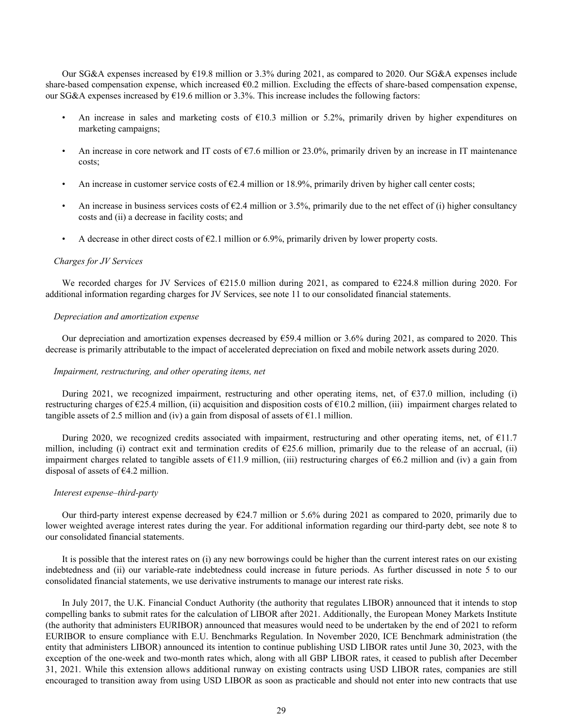Our SG&A expenses increased by €19.8 million or 3.3% during 2021, as compared to 2020. Our SG&A expenses include share-based compensation expense, which increased  $60.2$  million. Excluding the effects of share-based compensation expense, our SG&A expenses increased by  $\epsilon$ 19.6 million or 3.3%. This increase includes the following factors:

- An increase in sales and marketing costs of  $\epsilon$ 10.3 million or 5.2%, primarily driven by higher expenditures on marketing campaigns;
- An increase in core network and IT costs of  $\epsilon$ 7.6 million or 23.0%, primarily driven by an increase in IT maintenance costs;
- An increase in customer service costs of  $\epsilon$ 2.4 million or 18.9%, primarily driven by higher call center costs;
- An increase in business services costs of  $\epsilon$ 2.4 million or 3.5%, primarily due to the net effect of (i) higher consultancy costs and (ii) a decrease in facility costs; and
- A decrease in other direct costs of  $\epsilon$ 2.1 million or 6.9%, primarily driven by lower property costs.

#### *Charges for JV Services*

We recorded charges for JV Services of €215.0 million during 2021, as compared to €224.8 million during 2020. For additional information regarding charges for JV Services, see note 11 to our consolidated financial statements.

#### *Depreciation and amortization expense*

Our depreciation and amortization expenses decreased by €59.4 million or 3.6% during 2021, as compared to 2020. This decrease is primarily attributable to the impact of accelerated depreciation on fixed and mobile network assets during 2020.

#### *Impairment, restructuring, and other operating items, net*

During 2021, we recognized impairment, restructuring and other operating items, net, of €37.0 million, including (i) restructuring charges of  $\epsilon$ 25.4 million, (ii) acquisition and disposition costs of  $\epsilon$ 10.2 million, (iii) impairment charges related to tangible assets of 2.5 million and (iv) a gain from disposal of assets of  $\epsilon$ 1.1 million.

During 2020, we recognized credits associated with impairment, restructuring and other operating items, net, of €11.7 million, including (i) contract exit and termination credits of  $E25.6$  million, primarily due to the release of an accrual, (ii) impairment charges related to tangible assets of  $\epsilon$ 11.9 million, (iii) restructuring charges of  $\epsilon$ 6.2 million and (iv) a gain from disposal of assets of  $E4.2$  million.

#### *Interest expense–third-party*

Our third-party interest expense decreased by  $\epsilon$ 24.7 million or 5.6% during 2021 as compared to 2020, primarily due to lower weighted average interest rates during the year. For additional information regarding our third-party debt, see note 8 to our consolidated financial statements.

It is possible that the interest rates on (i) any new borrowings could be higher than the current interest rates on our existing indebtedness and (ii) our variable-rate indebtedness could increase in future periods. As further discussed in note 5 to our consolidated financial statements, we use derivative instruments to manage our interest rate risks.

In July 2017, the U.K. Financial Conduct Authority (the authority that regulates LIBOR) announced that it intends to stop compelling banks to submit rates for the calculation of LIBOR after 2021. Additionally, the European Money Markets Institute (the authority that administers EURIBOR) announced that measures would need to be undertaken by the end of 2021 to reform EURIBOR to ensure compliance with E.U. Benchmarks Regulation. In November 2020, ICE Benchmark administration (the entity that administers LIBOR) announced its intention to continue publishing USD LIBOR rates until June 30, 2023, with the exception of the one-week and two-month rates which, along with all GBP LIBOR rates, it ceased to publish after December 31, 2021. While this extension allows additional runway on existing contracts using USD LIBOR rates, companies are still encouraged to transition away from using USD LIBOR as soon as practicable and should not enter into new contracts that use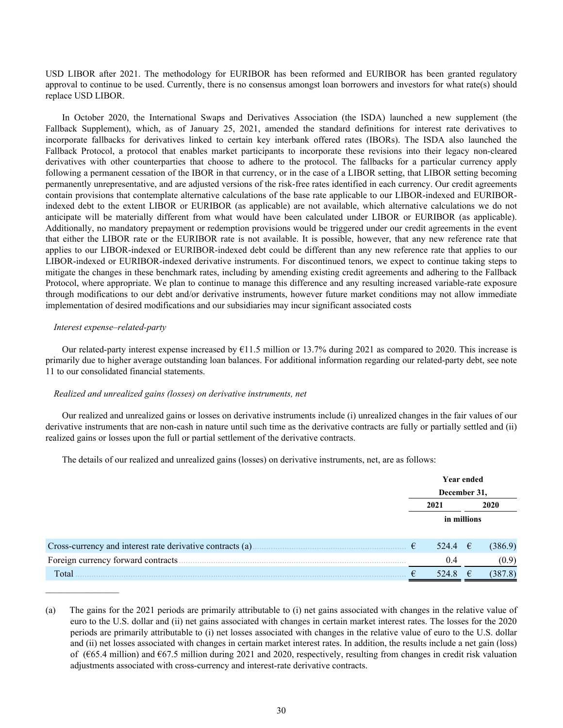USD LIBOR after 2021. The methodology for EURIBOR has been reformed and EURIBOR has been granted regulatory approval to continue to be used. Currently, there is no consensus amongst loan borrowers and investors for what rate(s) should replace USD LIBOR.

In October 2020, the International Swaps and Derivatives Association (the ISDA) launched a new supplement (the Fallback Supplement), which, as of January 25, 2021, amended the standard definitions for interest rate derivatives to incorporate fallbacks for derivatives linked to certain key interbank offered rates (IBORs). The ISDA also launched the Fallback Protocol, a protocol that enables market participants to incorporate these revisions into their legacy non-cleared derivatives with other counterparties that choose to adhere to the protocol. The fallbacks for a particular currency apply following a permanent cessation of the IBOR in that currency, or in the case of a LIBOR setting, that LIBOR setting becoming permanently unrepresentative, and are adjusted versions of the risk-free rates identified in each currency. Our credit agreements contain provisions that contemplate alternative calculations of the base rate applicable to our LIBOR-indexed and EURIBORindexed debt to the extent LIBOR or EURIBOR (as applicable) are not available, which alternative calculations we do not anticipate will be materially different from what would have been calculated under LIBOR or EURIBOR (as applicable). Additionally, no mandatory prepayment or redemption provisions would be triggered under our credit agreements in the event that either the LIBOR rate or the EURIBOR rate is not available. It is possible, however, that any new reference rate that applies to our LIBOR-indexed or EURIBOR-indexed debt could be different than any new reference rate that applies to our LIBOR-indexed or EURIBOR-indexed derivative instruments. For discontinued tenors, we expect to continue taking steps to mitigate the changes in these benchmark rates, including by amending existing credit agreements and adhering to the Fallback Protocol, where appropriate. We plan to continue to manage this difference and any resulting increased variable-rate exposure through modifications to our debt and/or derivative instruments, however future market conditions may not allow immediate implementation of desired modifications and our subsidiaries may incur significant associated costs

# *Interest expense–related-party*

Our related-party interest expense increased by  $E11.5$  million or 13.7% during 2021 as compared to 2020. This increase is primarily due to higher average outstanding loan balances. For additional information regarding our related-party debt, see note 11 to our consolidated financial statements.

#### *Realized and unrealized gains (losses) on derivative instruments, net*

Our realized and unrealized gains or losses on derivative instruments include (i) unrealized changes in the fair values of our derivative instruments that are non-cash in nature until such time as the derivative contracts are fully or partially settled and (ii) realized gains or losses upon the full or partial settlement of the derivative contracts.

The details of our realized and unrealized gains (losses) on derivative instruments, net, are as follows:

|                                                            | Year ended<br>December 31, |             |   |         |
|------------------------------------------------------------|----------------------------|-------------|---|---------|
|                                                            |                            |             |   |         |
|                                                            | 2021                       |             |   | 2020    |
|                                                            |                            | in millions |   |         |
| Cross-currency and interest rate derivative contracts (a). | €                          | $524.4 \t∈$ |   | (386.9) |
| Foreign currency forward contracts                         |                            | 0.4         |   | (0.9)   |
| Total                                                      |                            | 524.8       | € | 387.8   |

<sup>(</sup>a) The gains for the 2021 periods are primarily attributable to (i) net gains associated with changes in the relative value of euro to the U.S. dollar and (ii) net gains associated with changes in certain market interest rates. The losses for the 2020 periods are primarily attributable to (i) net losses associated with changes in the relative value of euro to the U.S. dollar and (ii) net losses associated with changes in certain market interest rates. In addition, the results include a net gain (loss) of ( $65.4$  million) and  $667.5$  million during 2021 and 2020, respectively, resulting from changes in credit risk valuation adjustments associated with cross-currency and interest-rate derivative contracts.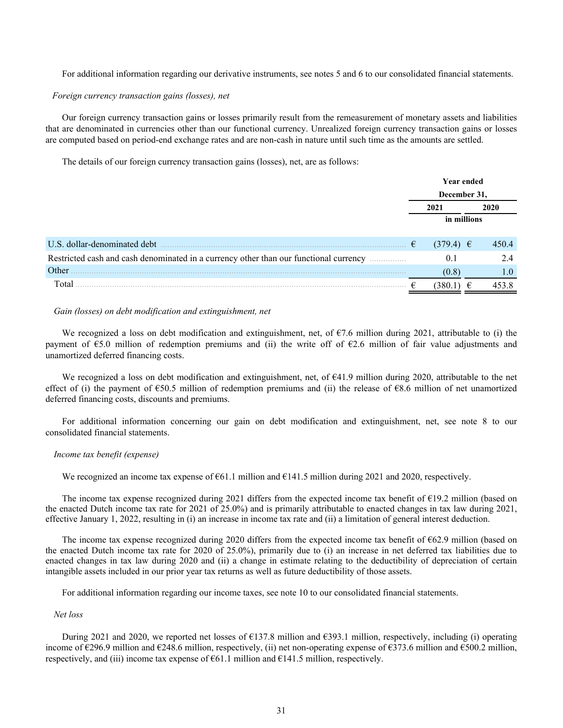For additional information regarding our derivative instruments, see notes 5 and 6 to our consolidated financial statements.

#### *Foreign currency transaction gains (losses), net*

Our foreign currency transaction gains or losses primarily result from the remeasurement of monetary assets and liabilities that are denominated in currencies other than our functional currency. Unrealized foreign currency transaction gains or losses are computed based on period-end exchange rates and are non-cash in nature until such time as the amounts are settled.

The details of our foreign currency transaction gains (losses), net, are as follows:

|                                                                                       | <b>Year ended</b> |               |  |       |
|---------------------------------------------------------------------------------------|-------------------|---------------|--|-------|
|                                                                                       | December 31,      |               |  |       |
|                                                                                       | 2021              |               |  | 2020  |
|                                                                                       | in millions       |               |  |       |
|                                                                                       |                   |               |  |       |
| U.S. dollar-denominated debt                                                          | €                 | $(379.4) \in$ |  | 450.4 |
| Restricted cash and cash denominated in a currency other than our functional currency |                   | 0.1           |  | 2.4   |
| Other                                                                                 |                   | (0.8)         |  | l.O   |
| Total                                                                                 |                   | 380.1         |  |       |

#### *Gain (losses) on debt modification and extinguishment, net*

We recognized a loss on debt modification and extinguishment, net, of €7.6 million during 2021, attributable to (i) the payment of €5.0 million of redemption premiums and (ii) the write off of €2.6 million of fair value adjustments and unamortized deferred financing costs.

We recognized a loss on debt modification and extinguishment, net, of  $\epsilon$ 41.9 million during 2020, attributable to the net effect of (i) the payment of  $\epsilon$ 50.5 million of redemption premiums and (ii) the release of  $\epsilon$ 8.6 million of net unamortized deferred financing costs, discounts and premiums.

For additional information concerning our gain on debt modification and extinguishment, net, see note 8 to our consolidated financial statements.

#### *Income tax benefit (expense)*

We recognized an income tax expense of  $\epsilon$ 61.1 million and  $\epsilon$ 141.5 million during 2021 and 2020, respectively.

The income tax expense recognized during 2021 differs from the expected income tax benefit of  $\epsilon$ 19.2 million (based on the enacted Dutch income tax rate for 2021 of 25.0%) and is primarily attributable to enacted changes in tax law during 2021, effective January 1, 2022, resulting in (i) an increase in income tax rate and (ii) a limitation of general interest deduction.

The income tax expense recognized during 2020 differs from the expected income tax benefit of  $\epsilon$ 62.9 million (based on the enacted Dutch income tax rate for 2020 of 25.0%), primarily due to (i) an increase in net deferred tax liabilities due to enacted changes in tax law during 2020 and (ii) a change in estimate relating to the deductibility of depreciation of certain intangible assets included in our prior year tax returns as well as future deductibility of those assets.

For additional information regarding our income taxes, see note 10 to our consolidated financial statements.

#### *Net loss*

During 2021 and 2020, we reported net losses of  $\epsilon$ 137.8 million and  $\epsilon$ 393.1 million, respectively, including (i) operating income of  $\epsilon$ 296.9 million and  $\epsilon$ 248.6 million, respectively, (ii) net non-operating expense of  $\epsilon$ 373.6 million and  $\epsilon$ 500.2 million, respectively, and (iii) income tax expense of  $\epsilon$ 61.1 million and  $\epsilon$ 141.5 million, respectively.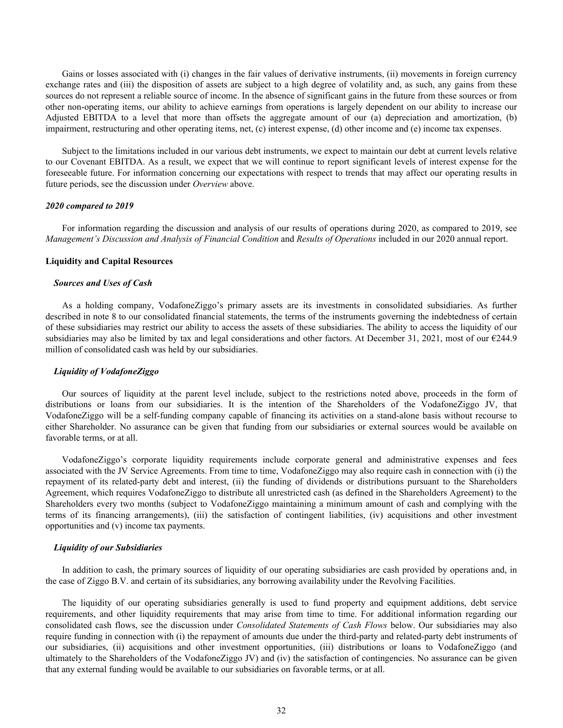Gains or losses associated with (i) changes in the fair values of derivative instruments, (ii) movements in foreign currency exchange rates and (iii) the disposition of assets are subject to a high degree of volatility and, as such, any gains from these sources do not represent a reliable source of income. In the absence of significant gains in the future from these sources or from other non-operating items, our ability to achieve earnings from operations is largely dependent on our ability to increase our Adjusted EBITDA to a level that more than offsets the aggregate amount of our (a) depreciation and amortization, (b) impairment, restructuring and other operating items, net, (c) interest expense, (d) other income and (e) income tax expenses.

Subject to the limitations included in our various debt instruments, we expect to maintain our debt at current levels relative to our Covenant EBITDA. As a result, we expect that we will continue to report significant levels of interest expense for the foreseeable future. For information concerning our expectations with respect to trends that may affect our operating results in future periods, see the discussion under *Overview* above.

#### *2020 compared to 2019*

For information regarding the discussion and analysis of our results of operations during 2020, as compared to 2019, see *Management's Discussion and Analysis of Financial Condition* and *Results of Operations* included in our 2020 annual report.

#### **Liquidity and Capital Resources**

#### *Sources and Uses of Cash*

As a holding company, VodafoneZiggo's primary assets are its investments in consolidated subsidiaries. As further described in note 8 to our consolidated financial statements, the terms of the instruments governing the indebtedness of certain of these subsidiaries may restrict our ability to access the assets of these subsidiaries. The ability to access the liquidity of our subsidiaries may also be limited by tax and legal considerations and other factors. At December 31, 2021, most of our  $\epsilon$ 244.9 million of consolidated cash was held by our subsidiaries.

#### *Liquidity of VodafoneZiggo*

Our sources of liquidity at the parent level include, subject to the restrictions noted above, proceeds in the form of distributions or loans from our subsidiaries. It is the intention of the Shareholders of the VodafoneZiggo JV, that VodafoneZiggo will be a self-funding company capable of financing its activities on a stand-alone basis without recourse to either Shareholder. No assurance can be given that funding from our subsidiaries or external sources would be available on favorable terms, or at all.

VodafoneZiggo's corporate liquidity requirements include corporate general and administrative expenses and fees associated with the JV Service Agreements. From time to time, VodafoneZiggo may also require cash in connection with (i) the repayment of its related-party debt and interest, (ii) the funding of dividends or distributions pursuant to the Shareholders Agreement, which requires VodafoneZiggo to distribute all unrestricted cash (as defined in the Shareholders Agreement) to the Shareholders every two months (subject to VodafoneZiggo maintaining a minimum amount of cash and complying with the terms of its financing arrangements), (iii) the satisfaction of contingent liabilities, (iv) acquisitions and other investment opportunities and (v) income tax payments.

#### *Liquidity of our Subsidiaries*

In addition to cash, the primary sources of liquidity of our operating subsidiaries are cash provided by operations and, in the case of Ziggo B.V. and certain of its subsidiaries, any borrowing availability under the Revolving Facilities.

The liquidity of our operating subsidiaries generally is used to fund property and equipment additions, debt service requirements, and other liquidity requirements that may arise from time to time. For additional information regarding our consolidated cash flows, see the discussion under *Consolidated Statements of Cash Flows* below. Our subsidiaries may also require funding in connection with (i) the repayment of amounts due under the third-party and related-party debt instruments of our subsidiaries, (ii) acquisitions and other investment opportunities, (iii) distributions or loans to VodafoneZiggo (and ultimately to the Shareholders of the VodafoneZiggo JV) and (iv) the satisfaction of contingencies. No assurance can be given that any external funding would be available to our subsidiaries on favorable terms, or at all.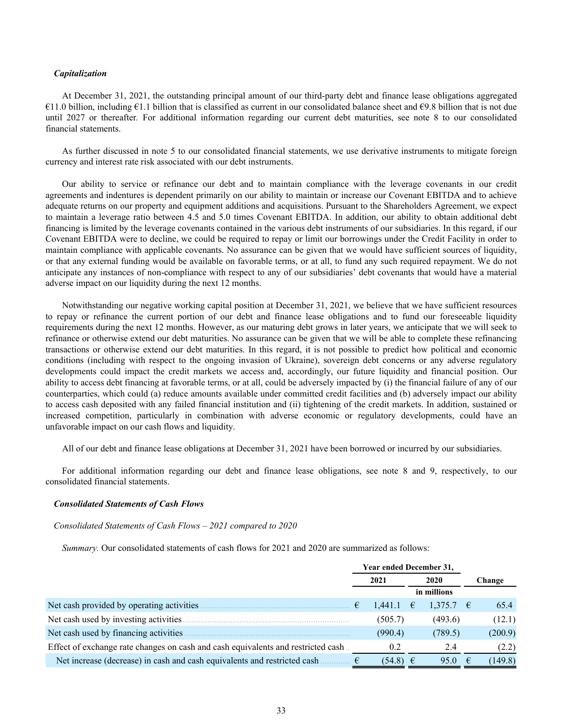#### *Capitalization*

At December 31, 2021, the outstanding principal amount of our third-party debt and finance lease obligations aggregated €11.0 billion, including €1.1 billion that is classified as current in our consolidated balance sheet and €9.8 billion that is not due until 2027 or thereafter*.* For additional information regarding our current debt maturities, see note 8 to our consolidated financial statements.

As further discussed in note 5 to our consolidated financial statements, we use derivative instruments to mitigate foreign currency and interest rate risk associated with our debt instruments.

Our ability to service or refinance our debt and to maintain compliance with the leverage covenants in our credit agreements and indentures is dependent primarily on our ability to maintain or increase our Covenant EBITDA and to achieve adequate returns on our property and equipment additions and acquisitions. Pursuant to the Shareholders Agreement, we expect to maintain a leverage ratio between 4.5 and 5.0 times Covenant EBITDA. In addition, our ability to obtain additional debt financing is limited by the leverage covenants contained in the various debt instruments of our subsidiaries. In this regard, if our Covenant EBITDA were to decline, we could be required to repay or limit our borrowings under the Credit Facility in order to maintain compliance with applicable covenants. No assurance can be given that we would have sufficient sources of liquidity, or that any external funding would be available on favorable terms, or at all, to fund any such required repayment. We do not anticipate any instances of non-compliance with respect to any of our subsidiaries' debt covenants that would have a material adverse impact on our liquidity during the next 12 months.

Notwithstanding our negative working capital position at December 31, 2021, we believe that we have sufficient resources to repay or refinance the current portion of our debt and finance lease obligations and to fund our foreseeable liquidity requirements during the next 12 months. However, as our maturing debt grows in later years, we anticipate that we will seek to refinance or otherwise extend our debt maturities. No assurance can be given that we will be able to complete these refinancing transactions or otherwise extend our debt maturities. In this regard, it is not possible to predict how political and economic conditions (including with respect to the ongoing invasion of Ukraine), sovereign debt concerns or any adverse regulatory developments could impact the credit markets we access and, accordingly, our future liquidity and financial position. Our ability to access debt financing at favorable terms, or at all, could be adversely impacted by (i) the financial failure of any of our counterparties, which could (a) reduce amounts available under committed credit facilities and (b) adversely impact our ability to access cash deposited with any failed financial institution and (ii) tightening of the credit markets. In addition, sustained or increased competition, particularly in combination with adverse economic or regulatory developments, could have an unfavorable impact on our cash flows and liquidity.

All of our debt and finance lease obligations at December 31, 2021 have been borrowed or incurred by our subsidiaries.

For additional information regarding our debt and finance lease obligations, see note 8 and 9, respectively, to our consolidated financial statements.

#### *Consolidated Statements of Cash Flows*

#### *Consolidated Statements of Cash Flows – 2021 compared to 2020*

*Summary.* Our consolidated statements of cash flows for 2021 and 2020 are summarized as follows:

|                                                                                   | Year ended December 31,<br>2021<br>2020 |                    |  |             |    |         |
|-----------------------------------------------------------------------------------|-----------------------------------------|--------------------|--|-------------|----|---------|
|                                                                                   |                                         |                    |  |             |    | Change  |
|                                                                                   |                                         |                    |  | in millions |    |         |
| Net cash provided by operating activities                                         | €                                       | 1.441.1 $\epsilon$ |  | $1,375.7$ € |    | 65.4    |
| Net cash used by investing activities.                                            |                                         | (505.7)            |  | (493.6)     |    | (12.1)  |
| Net cash used by financing activities                                             |                                         | (990.4)            |  | (789.5)     |    | (200.9) |
| Effect of exchange rate changes on cash and cash equivalents and restricted cash. |                                         | 0.2                |  | 2.4         |    | (2.2)   |
| Net increase (decrease) in cash and cash equivalents and restricted cash          |                                         | $(54.8)$ €         |  | 95.0        | −€ | (149.8) |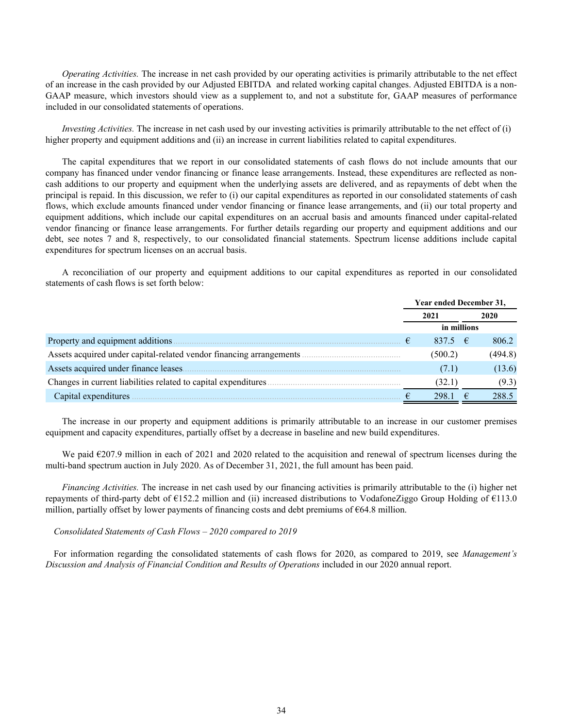*Operating Activities.* The increase in net cash provided by our operating activities is primarily attributable to the net effect of an increase in the cash provided by our Adjusted EBITDA and related working capital changes. Adjusted EBITDA is a non-GAAP measure, which investors should view as a supplement to, and not a substitute for, GAAP measures of performance included in our consolidated statements of operations.

*Investing Activities.* The increase in net cash used by our investing activities is primarily attributable to the net effect of (i) higher property and equipment additions and (ii) an increase in current liabilities related to capital expenditures.

The capital expenditures that we report in our consolidated statements of cash flows do not include amounts that our company has financed under vendor financing or finance lease arrangements. Instead, these expenditures are reflected as noncash additions to our property and equipment when the underlying assets are delivered, and as repayments of debt when the principal is repaid. In this discussion, we refer to (i) our capital expenditures as reported in our consolidated statements of cash flows, which exclude amounts financed under vendor financing or finance lease arrangements, and (ii) our total property and equipment additions, which include our capital expenditures on an accrual basis and amounts financed under capital-related vendor financing or finance lease arrangements. For further details regarding our property and equipment additions and our debt, see notes 7 and 8, respectively, to our consolidated financial statements. Spectrum license additions include capital expenditures for spectrum licenses on an accrual basis.

A reconciliation of our property and equipment additions to our capital expenditures as reported in our consolidated statements of cash flows is set forth below:

|                                                                      |   | Year ended December 31, |   |         |  |
|----------------------------------------------------------------------|---|-------------------------|---|---------|--|
|                                                                      |   | 2021                    |   | 2020    |  |
|                                                                      |   | in millions             |   |         |  |
| Property and equipment additions.                                    | € | 837.5 $\epsilon$        |   | 806.2   |  |
| Assets acquired under capital-related vendor financing arrangements. |   | (500.2)                 |   | (494.8) |  |
| Assets acquired under finance leases.                                |   | (7.1)                   |   | (13.6)  |  |
| Changes in current liabilities related to capital expenditures       |   | (32.1)                  |   | (9.3)   |  |
| Capital expenditures                                                 |   | 298.1                   | € | 288.5   |  |

The increase in our property and equipment additions is primarily attributable to an increase in our customer premises equipment and capacity expenditures, partially offset by a decrease in baseline and new build expenditures.

We paid €207.9 million in each of 2021 and 2020 related to the acquisition and renewal of spectrum licenses during the multi-band spectrum auction in July 2020. As of December 31, 2021, the full amount has been paid.

*Financing Activities.* The increase in net cash used by our financing activities is primarily attributable to the (i) higher net repayments of third-party debt of €152.2 million and (ii) increased distributions to VodafoneZiggo Group Holding of €113.0 million, partially offset by lower payments of financing costs and debt premiums of  $664.8$  million.

#### *Consolidated Statements of Cash Flows – 2020 compared to 2019*

For information regarding the consolidated statements of cash flows for 2020, as compared to 2019, see *Management's Discussion and Analysis of Financial Condition and Results of Operations* included in our 2020 annual report.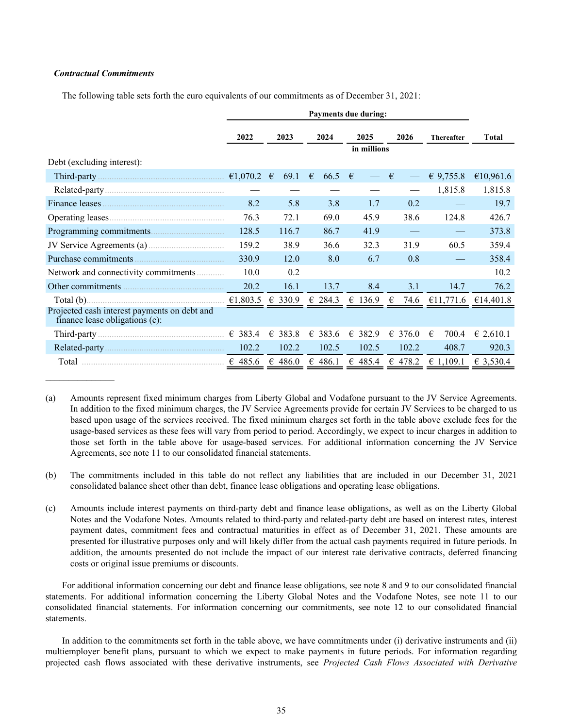# *Contractual Commitments*

The following table sets forth the euro equivalents of our commitments as of December 31, 2021:

|                                                                                | <b>Payments due during:</b> |         |           |             |           |                   |                     |  |
|--------------------------------------------------------------------------------|-----------------------------|---------|-----------|-------------|-----------|-------------------|---------------------|--|
|                                                                                | 2022                        | 2023    | 2024      | 2025        | 2026      | <b>Thereafter</b> | <b>Total</b>        |  |
|                                                                                |                             |         |           | in millions |           |                   |                     |  |
| Debt (excluding interest):                                                     |                             |         |           |             |           |                   |                     |  |
|                                                                                |                             | 69.1    | €<br>66.5 | €           | €         | € 9,755.8         | €10,961.6           |  |
|                                                                                |                             |         |           |             |           | 1,815.8           | 1,815.8             |  |
|                                                                                | 8.2                         | 5.8     | 3.8       | 1.7         | 0.2       |                   | 19.7                |  |
|                                                                                | 76.3                        | 72.1    | 69.0      | 45.9        | 38.6      | 124.8             | 426.7               |  |
|                                                                                | 128.5                       | 116.7   | 86.7      | 41.9        |           |                   | 373.8               |  |
| JV Service Agreements (a)                                                      | 159.2                       | 38.9    | 36.6      | 32.3        | 31.9      | 60.5              | 359.4               |  |
|                                                                                | 330.9                       | 12.0    | 8.0       | 6.7         | 0.8       |                   | 358.4               |  |
| Network and connectivity commitments                                           | 10.0                        | 0.2     |           |             |           |                   | 10.2                |  |
|                                                                                | 20.2                        | 16.1    | 13.7      | 8.4         | 3.1       | 14.7              | 76.2                |  |
| Total $(b)$<br>$\overline{61,803.5}$ $\overline{6}$ 330.9 $\overline{6}$ 284.3 |                             |         |           | € 136.9     | 74.6<br>€ |                   | €11,771.6 €14,401.8 |  |
| Projected cash interest payments on debt and<br>finance lease obligations (c): |                             |         |           |             |           |                   |                     |  |
|                                                                                |                             | € 383.8 | € 383.6   | € 382.9     | € 376.0   | 700.4<br>€        | $\epsilon$ 2,610.1  |  |
|                                                                                | 102.2                       | 102.2   | 102.5     | 102.5       | 102.2     | 408.7             | 920.3               |  |
| Total                                                                          | € 485.6                     | € 486.0 | € 486.1   | € 485.4     | € 478.2   | € 1,109.1         | € 3,530.4           |  |
|                                                                                |                             |         |           |             |           |                   |                     |  |

<sup>(</sup>a) Amounts represent fixed minimum charges from Liberty Global and Vodafone pursuant to the JV Service Agreements. In addition to the fixed minimum charges, the JV Service Agreements provide for certain JV Services to be charged to us based upon usage of the services received. The fixed minimum charges set forth in the table above exclude fees for the usage-based services as these fees will vary from period to period. Accordingly, we expect to incur charges in addition to those set forth in the table above for usage-based services. For additional information concerning the JV Service Agreements, see note 11 to our consolidated financial statements.

- (b) The commitments included in this table do not reflect any liabilities that are included in our December 31, 2021 consolidated balance sheet other than debt, finance lease obligations and operating lease obligations.
- (c) Amounts include interest payments on third-party debt and finance lease obligations, as well as on the Liberty Global Notes and the Vodafone Notes. Amounts related to third-party and related-party debt are based on interest rates, interest payment dates, commitment fees and contractual maturities in effect as of December 31, 2021. These amounts are presented for illustrative purposes only and will likely differ from the actual cash payments required in future periods. In addition, the amounts presented do not include the impact of our interest rate derivative contracts, deferred financing costs or original issue premiums or discounts.

For additional information concerning our debt and finance lease obligations, see note 8 and 9 to our consolidated financial statements. For additional information concerning the Liberty Global Notes and the Vodafone Notes, see note 11 to our consolidated financial statements. For information concerning our commitments, see note 12 to our consolidated financial statements.

In addition to the commitments set forth in the table above, we have commitments under (i) derivative instruments and (ii) multiemployer benefit plans, pursuant to which we expect to make payments in future periods. For information regarding projected cash flows associated with these derivative instruments, see *Projected Cash Flows Associated with Derivative*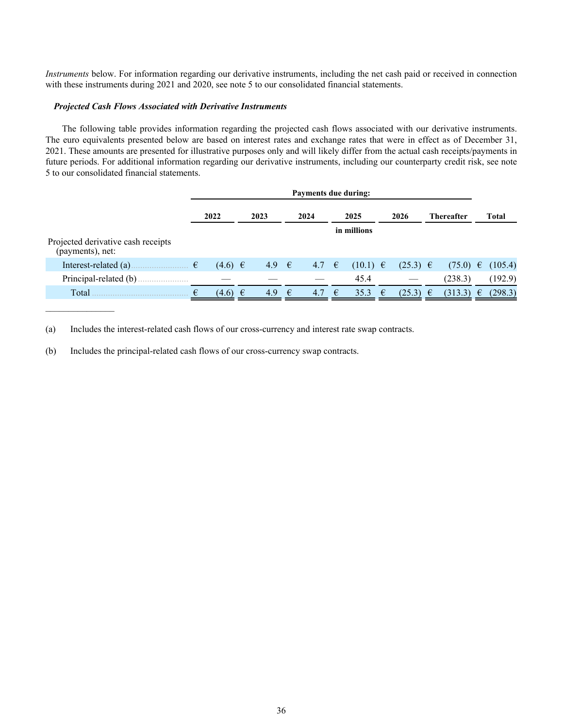*Instruments* below. For information regarding our derivative instruments, including the net cash paid or received in connection with these instruments during 2021 and 2020, see note 5 to our consolidated financial statements.

### *Projected Cash Flows Associated with Derivative Instruments*

The following table provides information regarding the projected cash flows associated with our derivative instruments. The euro equivalents presented below are based on interest rates and exchange rates that were in effect as of December 31, 2021. These amounts are presented for illustrative purposes only and will likely differ from the actual cash receipts/payments in future periods. For additional information regarding our derivative instruments, including our counterparty credit risk, see note 5 to our consolidated financial statements.

|                                                        | <b>Payments due during:</b> |             |           |   |                |            |              |   |              |            |                   |   |              |
|--------------------------------------------------------|-----------------------------|-------------|-----------|---|----------------|------------|--------------|---|--------------|------------|-------------------|---|--------------|
|                                                        | 2022                        |             | 2023      |   | 2024           |            | 2025         |   | 2026         |            | <b>Thereafter</b> |   | <b>Total</b> |
|                                                        |                             |             |           |   |                |            | in millions  |   |              |            |                   |   |              |
| Projected derivative cash receipts<br>(payments), net: |                             |             |           |   |                |            |              |   |              |            |                   |   |              |
| Interest-related (a).                                  |                             | $(4.6) \t∈$ | 4.9 $\in$ |   | 4.7 $\epsilon$ |            | $(10.1) \in$ |   | $(25.3) \in$ |            | $(75.0) \in$      |   | (105.4)      |
| Principal-related (b)                                  |                             |             |           |   |                |            | 45.4         |   |              |            | (238.3)           |   | (192.9)      |
| Total                                                  | €<br>(4.6)                  | €           | 4.9       | € | 4.7            | $\epsilon$ | 35.3         | € | (25.3)       | $\epsilon$ | (313.3)           | € | (298.3)      |

(a) Includes the interest-related cash flows of our cross-currency and interest rate swap contracts.

(b) Includes the principal-related cash flows of our cross-currency swap contracts.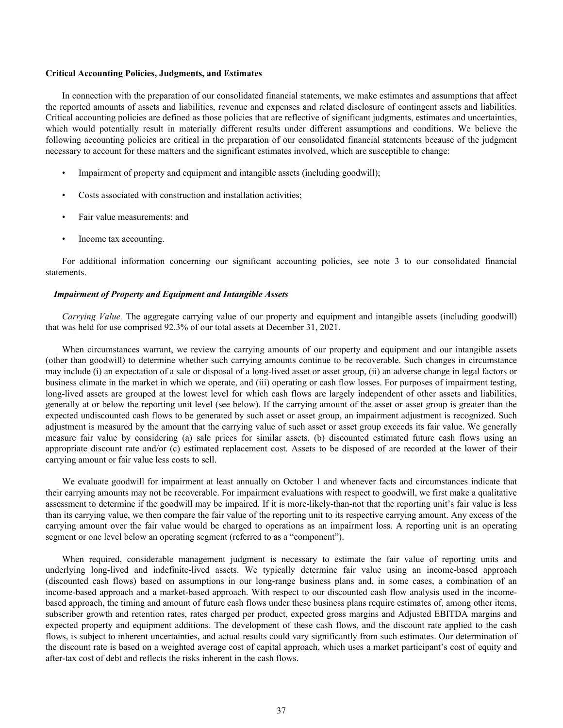#### **Critical Accounting Policies, Judgments, and Estimates**

In connection with the preparation of our consolidated financial statements, we make estimates and assumptions that affect the reported amounts of assets and liabilities, revenue and expenses and related disclosure of contingent assets and liabilities. Critical accounting policies are defined as those policies that are reflective of significant judgments, estimates and uncertainties, which would potentially result in materially different results under different assumptions and conditions. We believe the following accounting policies are critical in the preparation of our consolidated financial statements because of the judgment necessary to account for these matters and the significant estimates involved, which are susceptible to change:

- Impairment of property and equipment and intangible assets (including goodwill);
- Costs associated with construction and installation activities;
- Fair value measurements; and
- Income tax accounting.

For additional information concerning our significant accounting policies, see note 3 to our consolidated financial statements.

### *Impairment of Property and Equipment and Intangible Assets*

*Carrying Value.* The aggregate carrying value of our property and equipment and intangible assets (including goodwill) that was held for use comprised 92.3% of our total assets at December 31, 2021.

When circumstances warrant, we review the carrying amounts of our property and equipment and our intangible assets (other than goodwill) to determine whether such carrying amounts continue to be recoverable. Such changes in circumstance may include (i) an expectation of a sale or disposal of a long-lived asset or asset group, (ii) an adverse change in legal factors or business climate in the market in which we operate, and (iii) operating or cash flow losses. For purposes of impairment testing, long-lived assets are grouped at the lowest level for which cash flows are largely independent of other assets and liabilities, generally at or below the reporting unit level (see below). If the carrying amount of the asset or asset group is greater than the expected undiscounted cash flows to be generated by such asset or asset group, an impairment adjustment is recognized. Such adjustment is measured by the amount that the carrying value of such asset or asset group exceeds its fair value. We generally measure fair value by considering (a) sale prices for similar assets, (b) discounted estimated future cash flows using an appropriate discount rate and/or (c) estimated replacement cost. Assets to be disposed of are recorded at the lower of their carrying amount or fair value less costs to sell.

We evaluate goodwill for impairment at least annually on October 1 and whenever facts and circumstances indicate that their carrying amounts may not be recoverable. For impairment evaluations with respect to goodwill, we first make a qualitative assessment to determine if the goodwill may be impaired. If it is more-likely-than-not that the reporting unit's fair value is less than its carrying value, we then compare the fair value of the reporting unit to its respective carrying amount. Any excess of the carrying amount over the fair value would be charged to operations as an impairment loss. A reporting unit is an operating segment or one level below an operating segment (referred to as a "component").

When required, considerable management judgment is necessary to estimate the fair value of reporting units and underlying long-lived and indefinite-lived assets. We typically determine fair value using an income-based approach (discounted cash flows) based on assumptions in our long-range business plans and, in some cases, a combination of an income-based approach and a market-based approach. With respect to our discounted cash flow analysis used in the incomebased approach, the timing and amount of future cash flows under these business plans require estimates of, among other items, subscriber growth and retention rates, rates charged per product, expected gross margins and Adjusted EBITDA margins and expected property and equipment additions. The development of these cash flows, and the discount rate applied to the cash flows, is subject to inherent uncertainties, and actual results could vary significantly from such estimates. Our determination of the discount rate is based on a weighted average cost of capital approach, which uses a market participant's cost of equity and after-tax cost of debt and reflects the risks inherent in the cash flows.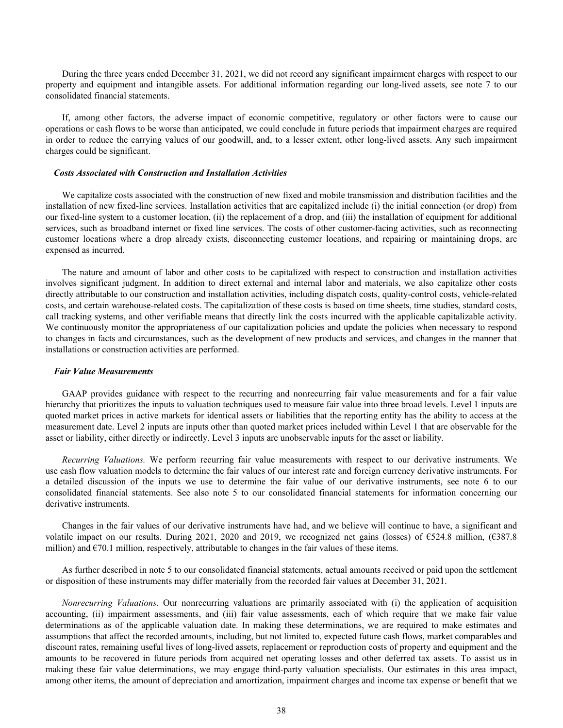During the three years ended December 31, 2021, we did not record any significant impairment charges with respect to our property and equipment and intangible assets. For additional information regarding our long-lived assets, see note 7 to our consolidated financial statements.

If, among other factors, the adverse impact of economic competitive, regulatory or other factors were to cause our operations or cash flows to be worse than anticipated, we could conclude in future periods that impairment charges are required in order to reduce the carrying values of our goodwill, and, to a lesser extent, other long-lived assets. Any such impairment charges could be significant.

#### *Costs Associated with Construction and Installation Activities*

We capitalize costs associated with the construction of new fixed and mobile transmission and distribution facilities and the installation of new fixed-line services. Installation activities that are capitalized include (i) the initial connection (or drop) from our fixed-line system to a customer location, (ii) the replacement of a drop, and (iii) the installation of equipment for additional services, such as broadband internet or fixed line services. The costs of other customer-facing activities, such as reconnecting customer locations where a drop already exists, disconnecting customer locations, and repairing or maintaining drops, are expensed as incurred.

The nature and amount of labor and other costs to be capitalized with respect to construction and installation activities involves significant judgment. In addition to direct external and internal labor and materials, we also capitalize other costs directly attributable to our construction and installation activities, including dispatch costs, quality-control costs, vehicle-related costs, and certain warehouse-related costs. The capitalization of these costs is based on time sheets, time studies, standard costs, call tracking systems, and other verifiable means that directly link the costs incurred with the applicable capitalizable activity. We continuously monitor the appropriateness of our capitalization policies and update the policies when necessary to respond to changes in facts and circumstances, such as the development of new products and services, and changes in the manner that installations or construction activities are performed.

#### *Fair Value Measurements*

GAAP provides guidance with respect to the recurring and nonrecurring fair value measurements and for a fair value hierarchy that prioritizes the inputs to valuation techniques used to measure fair value into three broad levels. Level 1 inputs are quoted market prices in active markets for identical assets or liabilities that the reporting entity has the ability to access at the measurement date. Level 2 inputs are inputs other than quoted market prices included within Level 1 that are observable for the asset or liability, either directly or indirectly. Level 3 inputs are unobservable inputs for the asset or liability.

*Recurring Valuations.* We perform recurring fair value measurements with respect to our derivative instruments. We use cash flow valuation models to determine the fair values of our interest rate and foreign currency derivative instruments. For a detailed discussion of the inputs we use to determine the fair value of our derivative instruments, see note 6 to our consolidated financial statements. See also note 5 to our consolidated financial statements for information concerning our derivative instruments.

Changes in the fair values of our derivative instruments have had, and we believe will continue to have, a significant and volatile impact on our results. During 2021, 2020 and 2019, we recognized net gains (losses) of  $\epsilon$ 524.8 million, ( $\epsilon$ 387.8 million) and  $\epsilon$ 70.1 million, respectively, attributable to changes in the fair values of these items.

As further described in note 5 to our consolidated financial statements, actual amounts received or paid upon the settlement or disposition of these instruments may differ materially from the recorded fair values at December 31, 2021.

*Nonrecurring Valuations.* Our nonrecurring valuations are primarily associated with (i) the application of acquisition accounting, (ii) impairment assessments, and (iii) fair value assessments, each of which require that we make fair value determinations as of the applicable valuation date. In making these determinations, we are required to make estimates and assumptions that affect the recorded amounts, including, but not limited to, expected future cash flows, market comparables and discount rates, remaining useful lives of long-lived assets, replacement or reproduction costs of property and equipment and the amounts to be recovered in future periods from acquired net operating losses and other deferred tax assets. To assist us in making these fair value determinations, we may engage third-party valuation specialists. Our estimates in this area impact, among other items, the amount of depreciation and amortization, impairment charges and income tax expense or benefit that we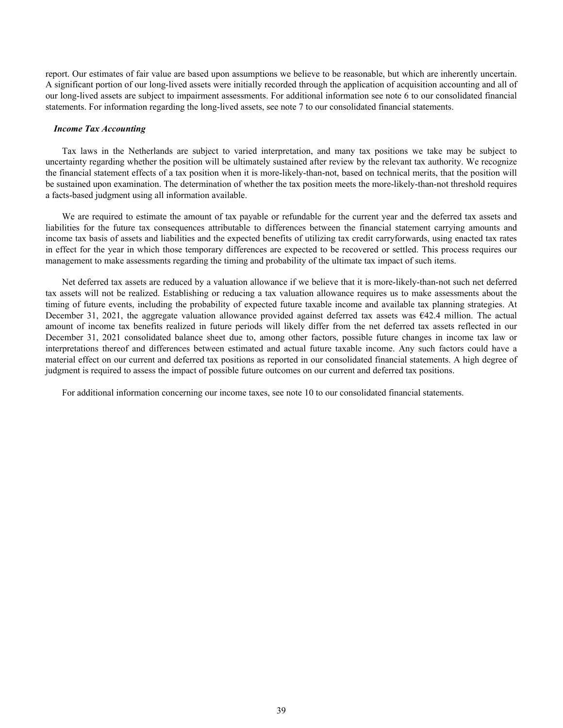report. Our estimates of fair value are based upon assumptions we believe to be reasonable, but which are inherently uncertain. A significant portion of our long-lived assets were initially recorded through the application of acquisition accounting and all of our long-lived assets are subject to impairment assessments. For additional information see note 6 to our consolidated financial statements. For information regarding the long-lived assets, see note 7 to our consolidated financial statements.

#### *Income Tax Accounting*

Tax laws in the Netherlands are subject to varied interpretation, and many tax positions we take may be subject to uncertainty regarding whether the position will be ultimately sustained after review by the relevant tax authority. We recognize the financial statement effects of a tax position when it is more-likely-than-not, based on technical merits, that the position will be sustained upon examination. The determination of whether the tax position meets the more-likely-than-not threshold requires a facts-based judgment using all information available.

We are required to estimate the amount of tax payable or refundable for the current year and the deferred tax assets and liabilities for the future tax consequences attributable to differences between the financial statement carrying amounts and income tax basis of assets and liabilities and the expected benefits of utilizing tax credit carryforwards, using enacted tax rates in effect for the year in which those temporary differences are expected to be recovered or settled. This process requires our management to make assessments regarding the timing and probability of the ultimate tax impact of such items.

Net deferred tax assets are reduced by a valuation allowance if we believe that it is more-likely-than-not such net deferred tax assets will not be realized. Establishing or reducing a tax valuation allowance requires us to make assessments about the timing of future events, including the probability of expected future taxable income and available tax planning strategies. At December 31, 2021, the aggregate valuation allowance provided against deferred tax assets was  $642.4$  million. The actual amount of income tax benefits realized in future periods will likely differ from the net deferred tax assets reflected in our December 31, 2021 consolidated balance sheet due to, among other factors, possible future changes in income tax law or interpretations thereof and differences between estimated and actual future taxable income. Any such factors could have a material effect on our current and deferred tax positions as reported in our consolidated financial statements. A high degree of judgment is required to assess the impact of possible future outcomes on our current and deferred tax positions.

For additional information concerning our income taxes, see note 10 to our consolidated financial statements.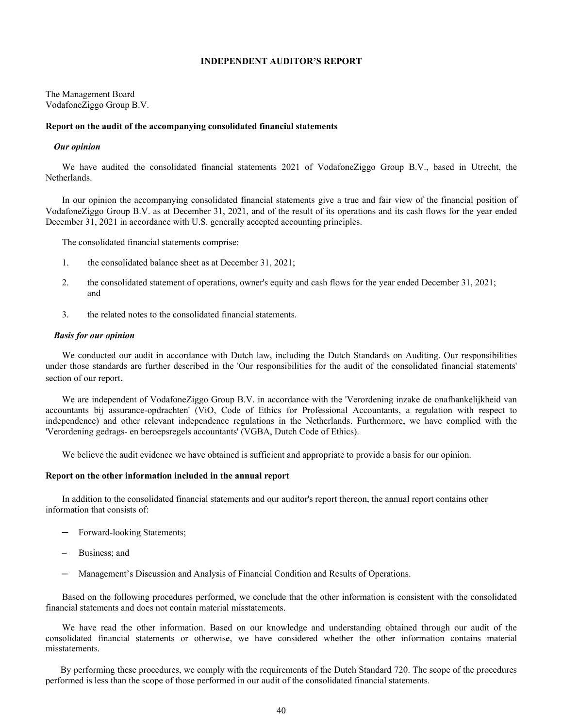### **INDEPENDENT AUDITOR'S REPORT**

The Management Board VodafoneZiggo Group B.V.

### **Report on the audit of the accompanying consolidated financial statements**

### *Our opinion*

We have audited the consolidated financial statements 2021 of VodafoneZiggo Group B.V., based in Utrecht, the Netherlands.

In our opinion the accompanying consolidated financial statements give a true and fair view of the financial position of VodafoneZiggo Group B.V. as at December 31, 2021, and of the result of its operations and its cash flows for the year ended December 31, 2021 in accordance with U.S. generally accepted accounting principles.

The consolidated financial statements comprise:

- 1. the consolidated balance sheet as at December 31, 2021;
- 2. the consolidated statement of operations, owner's equity and cash flows for the year ended December 31, 2021; and
- 3. the related notes to the consolidated financial statements.

#### *Basis for our opinion*

We conducted our audit in accordance with Dutch law, including the Dutch Standards on Auditing. Our responsibilities under those standards are further described in the 'Our responsibilities for the audit of the consolidated financial statements' section of our report.

We are independent of VodafoneZiggo Group B.V. in accordance with the 'Verordening inzake de onafhankelijkheid van accountants bij assurance-opdrachten' (ViO, Code of Ethics for Professional Accountants, a regulation with respect to independence) and other relevant independence regulations in the Netherlands. Furthermore, we have complied with the 'Verordening gedrags- en beroepsregels accountants' (VGBA, Dutch Code of Ethics).

We believe the audit evidence we have obtained is sufficient and appropriate to provide a basis for our opinion.

#### **Report on the other information included in the annual report**

In addition to the consolidated financial statements and our auditor's report thereon, the annual report contains other information that consists of:

- Forward-looking Statements;
- Business; and
- Management's Discussion and Analysis of Financial Condition and Results of Operations.

Based on the following procedures performed, we conclude that the other information is consistent with the consolidated financial statements and does not contain material misstatements.

We have read the other information. Based on our knowledge and understanding obtained through our audit of the consolidated financial statements or otherwise, we have considered whether the other information contains material misstatements.

 By performing these procedures, we comply with the requirements of the Dutch Standard 720. The scope of the procedures performed is less than the scope of those performed in our audit of the consolidated financial statements.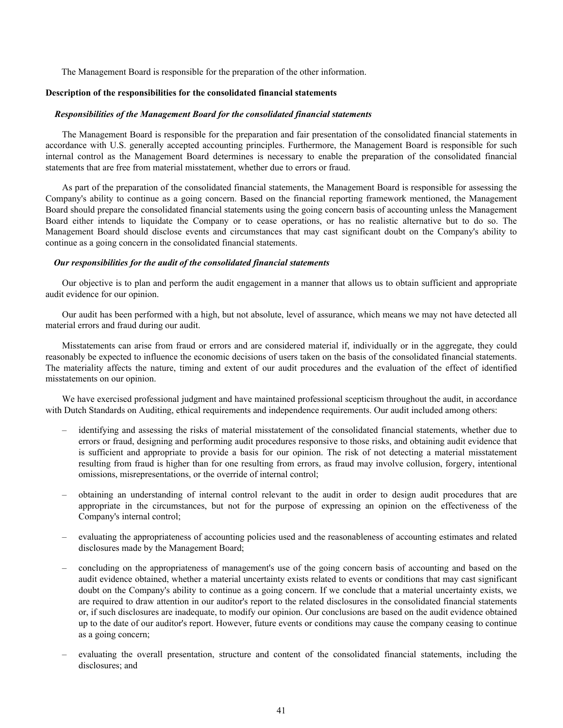The Management Board is responsible for the preparation of the other information.

#### **Description of the responsibilities for the consolidated financial statements**

#### *Responsibilities of the Management Board for the consolidated financial statements*

The Management Board is responsible for the preparation and fair presentation of the consolidated financial statements in accordance with U.S. generally accepted accounting principles. Furthermore, the Management Board is responsible for such internal control as the Management Board determines is necessary to enable the preparation of the consolidated financial statements that are free from material misstatement, whether due to errors or fraud.

As part of the preparation of the consolidated financial statements, the Management Board is responsible for assessing the Company's ability to continue as a going concern. Based on the financial reporting framework mentioned, the Management Board should prepare the consolidated financial statements using the going concern basis of accounting unless the Management Board either intends to liquidate the Company or to cease operations, or has no realistic alternative but to do so. The Management Board should disclose events and circumstances that may cast significant doubt on the Company's ability to continue as a going concern in the consolidated financial statements.

#### *Our responsibilities for the audit of the consolidated financial statements*

Our objective is to plan and perform the audit engagement in a manner that allows us to obtain sufficient and appropriate audit evidence for our opinion.

Our audit has been performed with a high, but not absolute, level of assurance, which means we may not have detected all material errors and fraud during our audit.

Misstatements can arise from fraud or errors and are considered material if, individually or in the aggregate, they could reasonably be expected to influence the economic decisions of users taken on the basis of the consolidated financial statements. The materiality affects the nature, timing and extent of our audit procedures and the evaluation of the effect of identified misstatements on our opinion.

We have exercised professional judgment and have maintained professional scepticism throughout the audit, in accordance with Dutch Standards on Auditing, ethical requirements and independence requirements. Our audit included among others:

- identifying and assessing the risks of material misstatement of the consolidated financial statements, whether due to errors or fraud, designing and performing audit procedures responsive to those risks, and obtaining audit evidence that is sufficient and appropriate to provide a basis for our opinion. The risk of not detecting a material misstatement resulting from fraud is higher than for one resulting from errors, as fraud may involve collusion, forgery, intentional omissions, misrepresentations, or the override of internal control;
- obtaining an understanding of internal control relevant to the audit in order to design audit procedures that are appropriate in the circumstances, but not for the purpose of expressing an opinion on the effectiveness of the Company's internal control;
- evaluating the appropriateness of accounting policies used and the reasonableness of accounting estimates and related disclosures made by the Management Board;
- concluding on the appropriateness of management's use of the going concern basis of accounting and based on the audit evidence obtained, whether a material uncertainty exists related to events or conditions that may cast significant doubt on the Company's ability to continue as a going concern. If we conclude that a material uncertainty exists, we are required to draw attention in our auditor's report to the related disclosures in the consolidated financial statements or, if such disclosures are inadequate, to modify our opinion. Our conclusions are based on the audit evidence obtained up to the date of our auditor's report. However, future events or conditions may cause the company ceasing to continue as a going concern;
- evaluating the overall presentation, structure and content of the consolidated financial statements, including the disclosures; and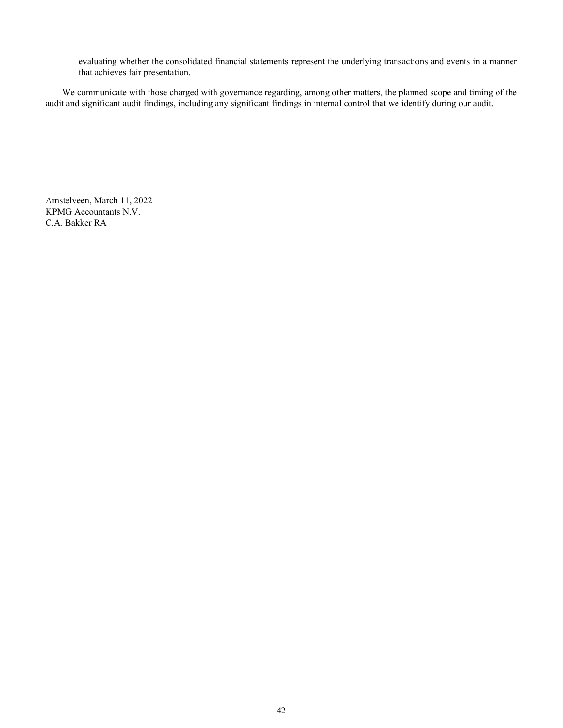– evaluating whether the consolidated financial statements represent the underlying transactions and events in a manner that achieves fair presentation.

We communicate with those charged with governance regarding, among other matters, the planned scope and timing of the audit and significant audit findings, including any significant findings in internal control that we identify during our audit.

Amstelveen, March 11, 2022 KPMG Accountants N.V. C.A. Bakker RA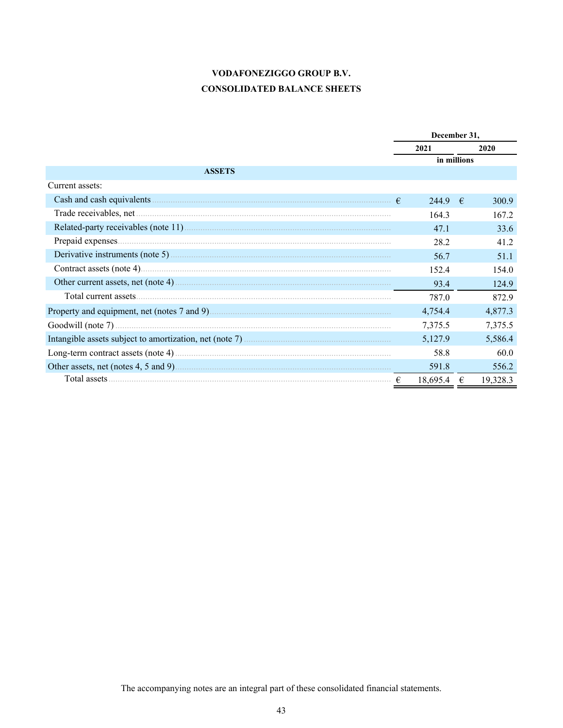# VODAFONEZIGGO GROUP B.V. **CONSOLIDATED BALANCE SHEETS**

|                 | December 31, |             |               |  |
|-----------------|--------------|-------------|---------------|--|
|                 | 2021         |             | 2020          |  |
|                 |              | in millions |               |  |
| <b>ASSETS</b>   |              |             |               |  |
| Current assets: |              |             |               |  |
|                 | 244.9        | $-\epsilon$ | 300.9         |  |
|                 | 164.3        |             | 167.2         |  |
|                 | 47.1         |             | 33.6          |  |
|                 | 28.2         |             | 41.2          |  |
|                 | 56.7         |             | 51.1          |  |
|                 | 152.4        |             | 154.0         |  |
|                 | 93.4         |             | 124.9         |  |
|                 | 787.0        |             | 872.9         |  |
|                 | 4,754.4      |             | 4,877.3       |  |
|                 | 7,375.5      |             | 7,375.5       |  |
|                 | 5,127.9      |             | 5,586.4       |  |
|                 | 58.8         |             | 60.0          |  |
|                 | 591.8        |             | 556.2         |  |
|                 | 18,695.4     |             | 19,328.3<br>€ |  |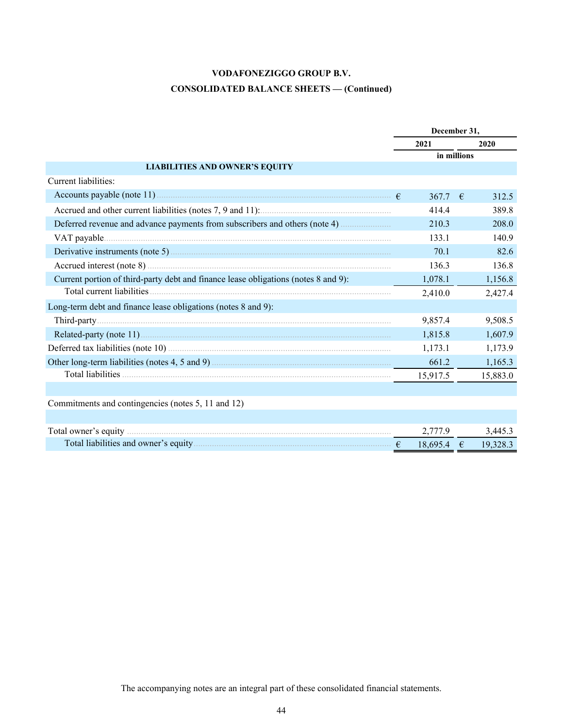### **VODAFONEZIGGO GROUP B.V.**

# **CONSOLIDATED BALANCE SHEETS — (Continued)**

|                                                                                                                                                                                                                               |              | December 31, |
|-------------------------------------------------------------------------------------------------------------------------------------------------------------------------------------------------------------------------------|--------------|--------------|
|                                                                                                                                                                                                                               | 2021         | 2020         |
|                                                                                                                                                                                                                               |              | in millions  |
| <b>LIABILITIES AND OWNER'S EQUITY</b>                                                                                                                                                                                         |              |              |
| Current liabilities:                                                                                                                                                                                                          |              |              |
|                                                                                                                                                                                                                               | 367.7 $\in$  | 312.5        |
|                                                                                                                                                                                                                               | 414.4        | 389.8        |
|                                                                                                                                                                                                                               | 210.3        | 208.0        |
|                                                                                                                                                                                                                               | 133.1        | 140.9        |
| Derivative instruments (note 5) Manual Communication of the state of the state of the state of the state of the state of the state of the state of the state of the state of the state of the state of the state of the state | 70.1         | 82.6         |
|                                                                                                                                                                                                                               | 136.3        | 136.8        |
| Current portion of third-party debt and finance lease obligations (notes 8 and 9):                                                                                                                                            | 1,078.1      | 1,156.8      |
|                                                                                                                                                                                                                               | 2,410.0      | 2,427.4      |
| Long-term debt and finance lease obligations (notes 8 and 9):                                                                                                                                                                 |              |              |
|                                                                                                                                                                                                                               | 9,857.4      | 9,508.5      |
|                                                                                                                                                                                                                               | 1,815.8      | 1,607.9      |
|                                                                                                                                                                                                                               | 1,173.1      | 1,173.9      |
|                                                                                                                                                                                                                               | 661.2        | 1,165.3      |
|                                                                                                                                                                                                                               | 15,917.5     | 15,883.0     |
|                                                                                                                                                                                                                               |              |              |
| Commitments and contingencies (notes 5, 11 and 12)                                                                                                                                                                            |              |              |
|                                                                                                                                                                                                                               |              |              |
|                                                                                                                                                                                                                               | 2,777.9      | 3,445.3      |
|                                                                                                                                                                                                                               | $18,695.4$ € | 19,328.3     |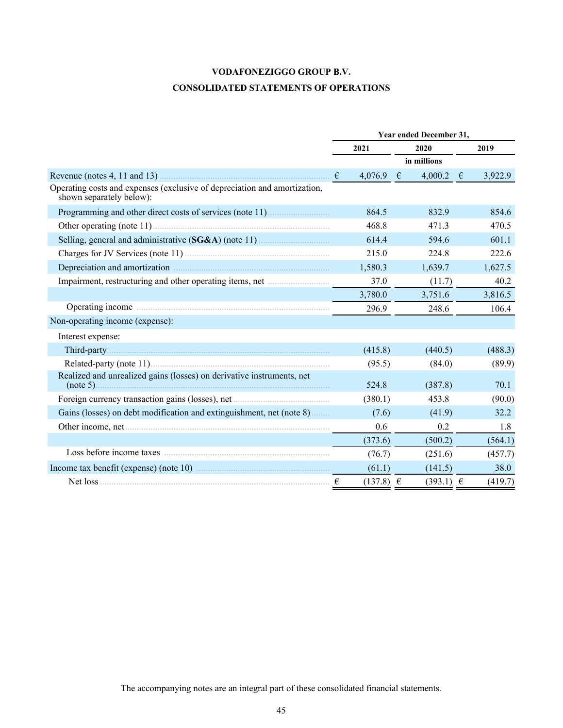# **VODAFONEZIGGO GROUP B.V. CONSOLIDATED STATEMENTS OF OPERATIONS**

|                                                                                                       | Year ended December 31, |               |  |               |  |         |  |
|-------------------------------------------------------------------------------------------------------|-------------------------|---------------|--|---------------|--|---------|--|
|                                                                                                       |                         | 2021          |  | 2020          |  | 2019    |  |
|                                                                                                       |                         |               |  | in millions   |  |         |  |
| Revenue (notes 4, 11 and 13) $\ldots$ $\vdots$                                                        |                         | 4,076.9 $\in$ |  | 4,000.2 $\in$ |  | 3,922.9 |  |
| Operating costs and expenses (exclusive of depreciation and amortization,<br>shown separately below): |                         |               |  |               |  |         |  |
|                                                                                                       |                         | 864.5         |  | 832.9         |  | 854.6   |  |
|                                                                                                       |                         | 468.8         |  | 471.3         |  | 470.5   |  |
|                                                                                                       |                         | 614.4         |  | 594.6         |  | 601.1   |  |
|                                                                                                       |                         | 215.0         |  | 224.8         |  | 222.6   |  |
|                                                                                                       |                         | 1,580.3       |  | 1,639.7       |  | 1,627.5 |  |
| Impairment, restructuring and other operating items, net <i>maintenance</i> met                       |                         | 37.0          |  | (11.7)        |  | 40.2    |  |
|                                                                                                       |                         | 3,780.0       |  | 3,751.6       |  | 3,816.5 |  |
|                                                                                                       |                         | 296.9         |  | 248.6         |  | 106.4   |  |
| Non-operating income (expense):                                                                       |                         |               |  |               |  |         |  |
| Interest expense:                                                                                     |                         |               |  |               |  |         |  |
|                                                                                                       |                         | (415.8)       |  | (440.5)       |  | (488.3) |  |
|                                                                                                       |                         | (95.5)        |  | (84.0)        |  | (89.9)  |  |
| Realized and unrealized gains (losses) on derivative instruments, net                                 |                         | 524.8         |  | (387.8)       |  | 70.1    |  |
|                                                                                                       |                         | (380.1)       |  | 453.8         |  | (90.0)  |  |
| Gains (losses) on debt modification and extinguishment, net (note 8)                                  |                         | (7.6)         |  | (41.9)        |  | 32.2    |  |
|                                                                                                       |                         | 0.6           |  | 0.2           |  | 1.8     |  |
|                                                                                                       |                         | (373.6)       |  | (500.2)       |  | (564.1) |  |
| Loss before income taxes                                                                              |                         | (76.7)        |  | (251.6)       |  | (457.7) |  |
|                                                                                                       |                         | (61.1)        |  | (141.5)       |  | 38.0    |  |
| Net loss $\ldots$ $\vdots$ $\ldots$                                                                   |                         | $(137.8) \in$ |  | $(393.1) \in$ |  | (419.7) |  |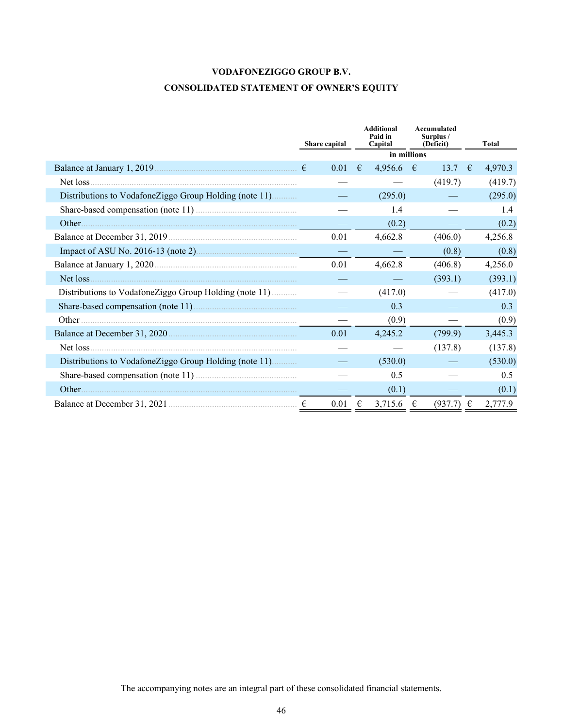# **VODAFONEZIGGO GROUP B.V. CONSOLIDATED STATEMENT OF OWNER'S EQUITY**

|                                                        | Share capital | <b>Additional</b><br>Paid in<br>Capital | Accumulated<br>Surplus/<br>(Deficit) | Total        |
|--------------------------------------------------------|---------------|-----------------------------------------|--------------------------------------|--------------|
|                                                        |               |                                         | in millions                          |              |
|                                                        | 0.01          | 4,956.6 €<br>€                          | 13.7                                 | 4,970.3<br>€ |
| Net loss                                               |               |                                         | (419.7)                              | (419.7)      |
| Distributions to VodafoneZiggo Group Holding (note 11) |               | (295.0)                                 |                                      | (295.0)      |
|                                                        |               | 1.4                                     |                                      | 1.4          |
|                                                        |               | (0.2)                                   |                                      | (0.2)        |
|                                                        | 0.01          | 4,662.8                                 | (406.0)                              | 4,256.8      |
|                                                        |               |                                         | (0.8)                                | (0.8)        |
|                                                        | 0.01          | 4,662.8                                 | (406.8)                              | 4,256.0      |
| Net loss                                               |               |                                         | (393.1)                              | (393.1)      |
| Distributions to VodafoneZiggo Group Holding (note 11) |               | (417.0)                                 |                                      | (417.0)      |
| Share-based compensation (note 11)                     |               | 0.3                                     |                                      | 0.3          |
|                                                        |               | (0.9)                                   |                                      | (0.9)        |
| Balance at December 31, 2020                           | 0.01          | 4,245.2                                 | (799.9)                              | 3,445.3      |
|                                                        |               |                                         | (137.8)                              | (137.8)      |
| Distributions to VodafoneZiggo Group Holding (note 11) |               | (530.0)                                 |                                      | (530.0)      |
|                                                        |               | 0.5                                     |                                      | 0.5          |
| Other.                                                 |               | (0.1)                                   |                                      | (0.1)        |
|                                                        | 0.01<br>€     | 3,715.6<br>€                            | (937.7)<br>€                         | 2,777.9<br>€ |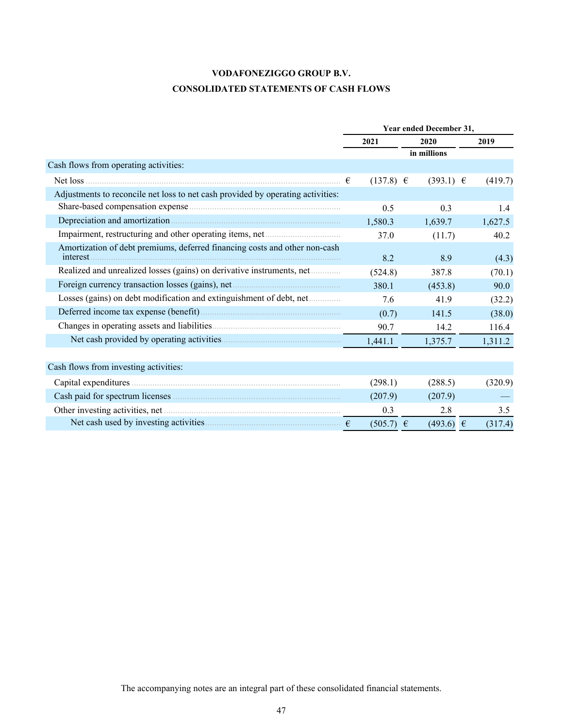## **VODAFONEZIGGO GROUP B.V.**

## **CONSOLIDATED STATEMENTS OF CASH FLOWS**

|                                                                                        | Year ended December 31, |                  |         |  |  |
|----------------------------------------------------------------------------------------|-------------------------|------------------|---------|--|--|
|                                                                                        | 2021                    | 2020             | 2019    |  |  |
|                                                                                        |                         | in millions      |         |  |  |
| Cash flows from operating activities:                                                  |                         |                  |         |  |  |
| Net loss                                                                               | $(137.8) \in$           | $(393.1) \in$    | (419.7) |  |  |
| Adjustments to reconcile net loss to net cash provided by operating activities:        |                         |                  |         |  |  |
|                                                                                        | 0.5                     | 0.3              | 1.4     |  |  |
|                                                                                        | 1,580.3                 | 1,639.7          | 1,627.5 |  |  |
|                                                                                        | 37.0                    | (11.7)           | 40.2    |  |  |
| Amortization of debt premiums, deferred financing costs and other non-cash<br>interest | 8.2                     | 8.9              | (4.3)   |  |  |
| Realized and unrealized losses (gains) on derivative instruments, net                  | (524.8)                 | 387.8            | (70.1)  |  |  |
|                                                                                        | 380.1                   | (453.8)          | 90.0    |  |  |
| Losses (gains) on debt modification and extinguishment of debt, net                    | 7.6                     | 41.9             | (32.2)  |  |  |
|                                                                                        | (0.7)                   | 141.5            | (38.0)  |  |  |
|                                                                                        | 90.7                    | 14.2             | 116.4   |  |  |
|                                                                                        | 1,441.1                 | 1,375.7          | 1,311.2 |  |  |
| Cash flows from investing activities:                                                  |                         |                  |         |  |  |
|                                                                                        | (298.1)                 | (288.5)          | (320.9) |  |  |
|                                                                                        | (207.9)                 | (207.9)          |         |  |  |
|                                                                                        | 0.3                     | 2.8              | 3.5     |  |  |
|                                                                                        | (505.7)                 | $(493.6)$ €<br>€ | (317.4) |  |  |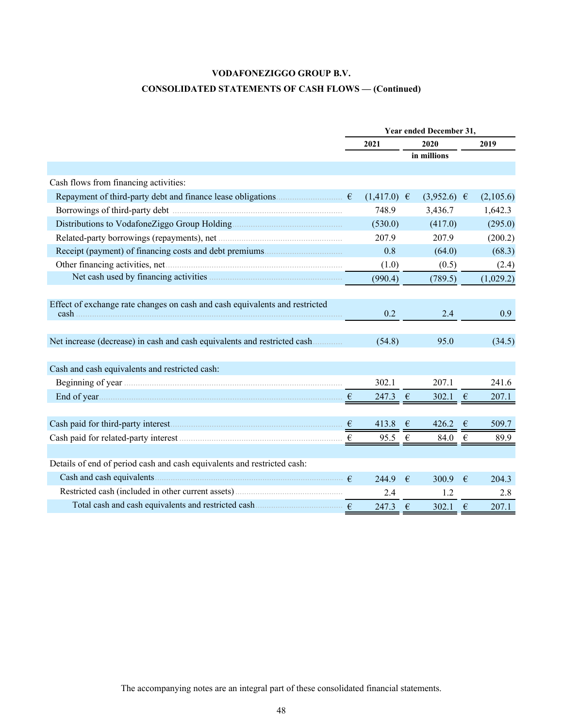## **VODAFONEZIGGO GROUP B.V.**

# **CONSOLIDATED STATEMENTS OF CASH FLOWS — (Continued)**

|                                                                             | Year ended December 31, |                 |             |                 |            |           |
|-----------------------------------------------------------------------------|-------------------------|-----------------|-------------|-----------------|------------|-----------|
|                                                                             |                         | 2021            | 2020        |                 |            | 2019      |
|                                                                             |                         |                 | in millions |                 |            |           |
|                                                                             |                         |                 |             |                 |            |           |
| Cash flows from financing activities:                                       |                         |                 |             |                 |            |           |
|                                                                             |                         | $(1,417.0) \in$ |             | $(3,952.6) \in$ |            | (2,105.6) |
|                                                                             |                         | 748.9           |             | 3,436.7         |            | 1,642.3   |
|                                                                             |                         | (530.0)         |             | (417.0)         |            | (295.0)   |
|                                                                             |                         | 207.9           |             | 207.9           |            | (200.2)   |
|                                                                             |                         | 0.8             |             | (64.0)          |            | (68.3)    |
|                                                                             |                         | (1.0)           |             | (0.5)           |            | (2.4)     |
|                                                                             |                         | (990.4)         |             | (789.5)         |            | (1,029.2) |
|                                                                             |                         |                 |             |                 |            |           |
| Effect of exchange rate changes on cash and cash equivalents and restricted |                         |                 |             |                 |            |           |
|                                                                             |                         | 0.2             |             | 2.4             |            | 0.9       |
|                                                                             |                         |                 |             |                 |            |           |
| Net increase (decrease) in cash and cash equivalents and restricted cash    |                         | (54.8)          |             | 95.0            |            | (34.5)    |
|                                                                             |                         |                 |             |                 |            |           |
| Cash and cash equivalents and restricted cash:                              |                         |                 |             |                 |            |           |
|                                                                             |                         | 302.1           |             | 207.1           |            | 241.6     |
|                                                                             |                         | 247.3           | $\epsilon$  | 302.1           | $\epsilon$ | 207.1     |
|                                                                             |                         |                 |             |                 |            |           |
|                                                                             |                         | 413.8           | $\epsilon$  | 426.2           | $\epsilon$ | 509.7     |
|                                                                             |                         | 95.5            | $\epsilon$  | 84.0            | $\epsilon$ | 89.9      |
|                                                                             |                         |                 |             |                 |            |           |
| Details of end of period cash and cash equivalents and restricted cash:     |                         |                 |             |                 |            |           |
|                                                                             | $\epsilon$              | 244.9           | €           | 300.9           | €          | 204.3     |
|                                                                             |                         | 2.4             |             | 1.2             |            | 2.8       |
|                                                                             |                         | 247.3           | €           | 302.1           | €          | 207.1     |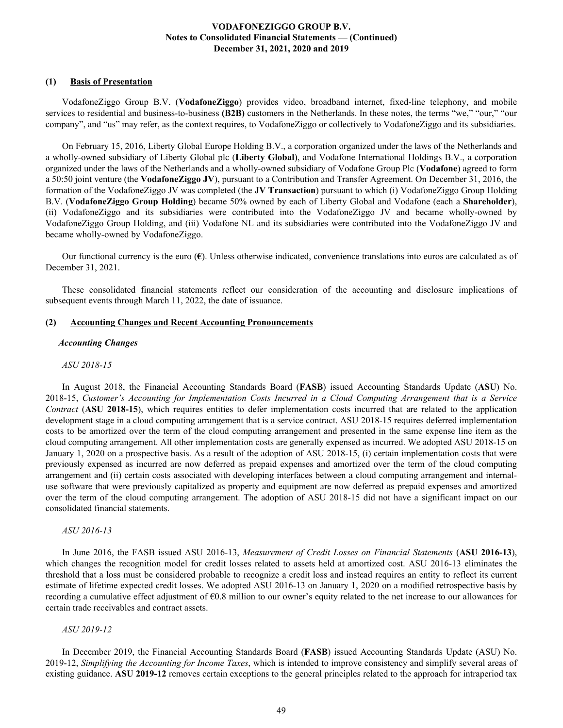#### **(1) Basis of Presentation**

VodafoneZiggo Group B.V. (**VodafoneZiggo**) provides video, broadband internet, fixed-line telephony, and mobile services to residential and business-to-business **(B2B)** customers in the Netherlands. In these notes, the terms "we," "our," "our company", and "us" may refer, as the context requires, to VodafoneZiggo or collectively to VodafoneZiggo and its subsidiaries.

On February 15, 2016, Liberty Global Europe Holding B.V., a corporation organized under the laws of the Netherlands and a wholly-owned subsidiary of Liberty Global plc (**Liberty Global**), and Vodafone International Holdings B.V., a corporation organized under the laws of the Netherlands and a wholly-owned subsidiary of Vodafone Group Plc (**Vodafone**) agreed to form a 50:50 joint venture (the **VodafoneZiggo JV**), pursuant to a Contribution and Transfer Agreement. On December 31, 2016, the formation of the VodafoneZiggo JV was completed (the **JV Transaction**) pursuant to which (i) VodafoneZiggo Group Holding B.V. (**VodafoneZiggo Group Holding**) became 50% owned by each of Liberty Global and Vodafone (each a **Shareholder**), (ii) VodafoneZiggo and its subsidiaries were contributed into the VodafoneZiggo JV and became wholly-owned by VodafoneZiggo Group Holding, and (iii) Vodafone NL and its subsidiaries were contributed into the VodafoneZiggo JV and became wholly-owned by VodafoneZiggo.

Our functional currency is the euro (**€**). Unless otherwise indicated, convenience translations into euros are calculated as of December 31, 2021.

These consolidated financial statements reflect our consideration of the accounting and disclosure implications of subsequent events through March 11, 2022, the date of issuance.

#### **(2) Accounting Changes and Recent Accounting Pronouncements**

#### *Accounting Changes*

#### *ASU 2018-15*

In August 2018, the Financial Accounting Standards Board (**FASB**) issued Accounting Standards Update (**ASU**) No. 2018-15, *Customer's Accounting for Implementation Costs Incurred in a Cloud Computing Arrangement that is a Service Contract* (**ASU 2018-15**), which requires entities to defer implementation costs incurred that are related to the application development stage in a cloud computing arrangement that is a service contract. ASU 2018-15 requires deferred implementation costs to be amortized over the term of the cloud computing arrangement and presented in the same expense line item as the cloud computing arrangement. All other implementation costs are generally expensed as incurred. We adopted ASU 2018-15 on January 1, 2020 on a prospective basis. As a result of the adoption of ASU 2018-15, (i) certain implementation costs that were previously expensed as incurred are now deferred as prepaid expenses and amortized over the term of the cloud computing arrangement and (ii) certain costs associated with developing interfaces between a cloud computing arrangement and internaluse software that were previously capitalized as property and equipment are now deferred as prepaid expenses and amortized over the term of the cloud computing arrangement. The adoption of ASU 2018-15 did not have a significant impact on our consolidated financial statements.

### *ASU 2016-13*

In June 2016, the FASB issued ASU 2016-13, *Measurement of Credit Losses on Financial Statements* (**ASU 2016-13**), which changes the recognition model for credit losses related to assets held at amortized cost. ASU 2016-13 eliminates the threshold that a loss must be considered probable to recognize a credit loss and instead requires an entity to reflect its current estimate of lifetime expected credit losses. We adopted ASU 2016-13 on January 1, 2020 on a modified retrospective basis by recording a cumulative effect adjustment of €0.8 million to our owner's equity related to the net increase to our allowances for certain trade receivables and contract assets.

### *ASU 2019-12*

In December 2019, the Financial Accounting Standards Board (**FASB**) issued Accounting Standards Update (ASU) No. 2019-12, *Simplifying the Accounting for Income Taxes*, which is intended to improve consistency and simplify several areas of existing guidance. **ASU 2019-12** removes certain exceptions to the general principles related to the approach for intraperiod tax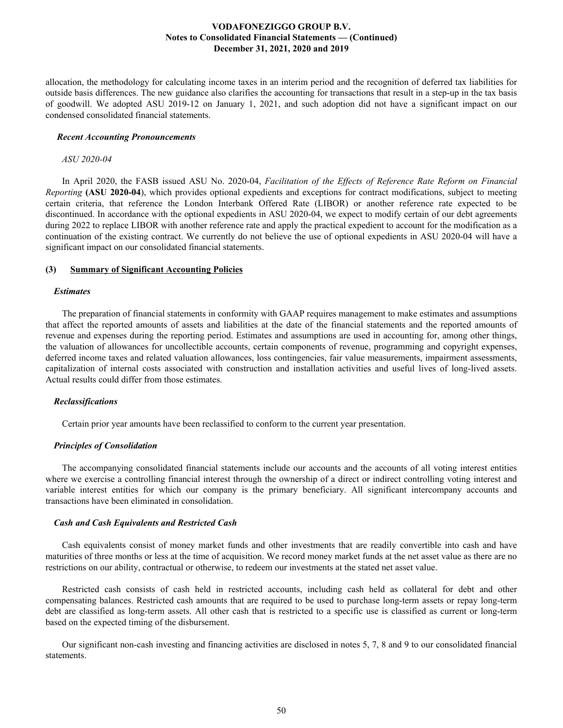allocation, the methodology for calculating income taxes in an interim period and the recognition of deferred tax liabilities for outside basis differences. The new guidance also clarifies the accounting for transactions that result in a step-up in the tax basis of goodwill. We adopted ASU 2019-12 on January 1, 2021, and such adoption did not have a significant impact on our condensed consolidated financial statements.

#### *Recent Accounting Pronouncements*

#### *ASU 2020-04*

In April 2020, the FASB issued ASU No. 2020-04, *Facilitation of the Effects of Reference Rate Reform on Financial Reporting* **(ASU 2020-04**), which provides optional expedients and exceptions for contract modifications, subject to meeting certain criteria, that reference the London Interbank Offered Rate (LIBOR) or another reference rate expected to be discontinued. In accordance with the optional expedients in ASU 2020-04, we expect to modify certain of our debt agreements during 2022 to replace LIBOR with another reference rate and apply the practical expedient to account for the modification as a continuation of the existing contract. We currently do not believe the use of optional expedients in ASU 2020-04 will have a significant impact on our consolidated financial statements.

#### **(3) Summary of Significant Accounting Policies**

#### *Estimates*

The preparation of financial statements in conformity with GAAP requires management to make estimates and assumptions that affect the reported amounts of assets and liabilities at the date of the financial statements and the reported amounts of revenue and expenses during the reporting period. Estimates and assumptions are used in accounting for, among other things, the valuation of allowances for uncollectible accounts, certain components of revenue, programming and copyright expenses, deferred income taxes and related valuation allowances, loss contingencies, fair value measurements, impairment assessments, capitalization of internal costs associated with construction and installation activities and useful lives of long-lived assets. Actual results could differ from those estimates.

#### *Reclassifications*

Certain prior year amounts have been reclassified to conform to the current year presentation.

#### *Principles of Consolidation*

The accompanying consolidated financial statements include our accounts and the accounts of all voting interest entities where we exercise a controlling financial interest through the ownership of a direct or indirect controlling voting interest and variable interest entities for which our company is the primary beneficiary. All significant intercompany accounts and transactions have been eliminated in consolidation.

#### *Cash and Cash Equivalents and Restricted Cash*

Cash equivalents consist of money market funds and other investments that are readily convertible into cash and have maturities of three months or less at the time of acquisition. We record money market funds at the net asset value as there are no restrictions on our ability, contractual or otherwise, to redeem our investments at the stated net asset value.

Restricted cash consists of cash held in restricted accounts, including cash held as collateral for debt and other compensating balances. Restricted cash amounts that are required to be used to purchase long-term assets or repay long-term debt are classified as long-term assets. All other cash that is restricted to a specific use is classified as current or long-term based on the expected timing of the disbursement.

Our significant non-cash investing and financing activities are disclosed in notes 5, 7, 8 and 9 to our consolidated financial statements.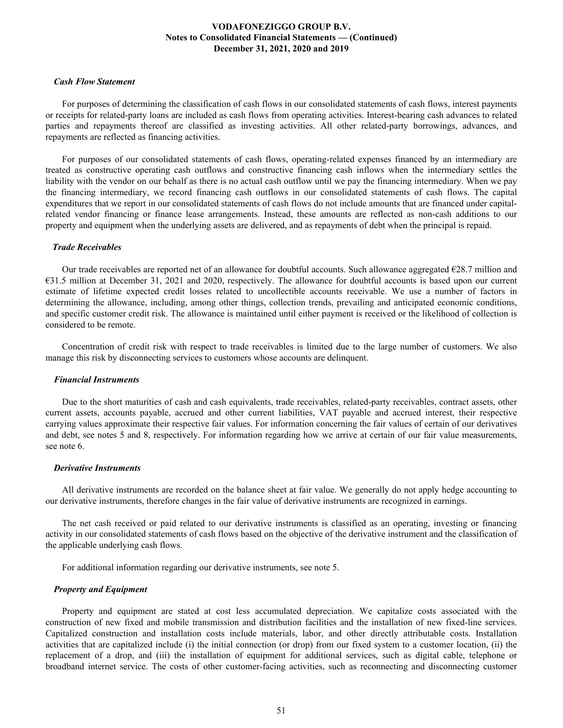#### *Cash Flow Statement*

For purposes of determining the classification of cash flows in our consolidated statements of cash flows, interest payments or receipts for related-party loans are included as cash flows from operating activities. Interest-bearing cash advances to related parties and repayments thereof are classified as investing activities. All other related-party borrowings, advances, and repayments are reflected as financing activities.

For purposes of our consolidated statements of cash flows, operating-related expenses financed by an intermediary are treated as constructive operating cash outflows and constructive financing cash inflows when the intermediary settles the liability with the vendor on our behalf as there is no actual cash outflow until we pay the financing intermediary. When we pay the financing intermediary, we record financing cash outflows in our consolidated statements of cash flows. The capital expenditures that we report in our consolidated statements of cash flows do not include amounts that are financed under capitalrelated vendor financing or finance lease arrangements. Instead, these amounts are reflected as non-cash additions to our property and equipment when the underlying assets are delivered, and as repayments of debt when the principal is repaid.

#### *Trade Receivables*

Our trade receivables are reported net of an allowance for doubtful accounts. Such allowance aggregated  $\epsilon$ 28.7 million and €31.5 million at December 31, 2021 and 2020, respectively. The allowance for doubtful accounts is based upon our current estimate of lifetime expected credit losses related to uncollectible accounts receivable. We use a number of factors in determining the allowance, including, among other things, collection trends, prevailing and anticipated economic conditions, and specific customer credit risk. The allowance is maintained until either payment is received or the likelihood of collection is considered to be remote.

Concentration of credit risk with respect to trade receivables is limited due to the large number of customers. We also manage this risk by disconnecting services to customers whose accounts are delinquent.

### *Financial Instruments*

Due to the short maturities of cash and cash equivalents, trade receivables, related-party receivables, contract assets, other current assets, accounts payable, accrued and other current liabilities, VAT payable and accrued interest, their respective carrying values approximate their respective fair values. For information concerning the fair values of certain of our derivatives and debt, see notes 5 and 8, respectively. For information regarding how we arrive at certain of our fair value measurements, see note 6.

#### *Derivative Instruments*

All derivative instruments are recorded on the balance sheet at fair value. We generally do not apply hedge accounting to our derivative instruments, therefore changes in the fair value of derivative instruments are recognized in earnings.

The net cash received or paid related to our derivative instruments is classified as an operating, investing or financing activity in our consolidated statements of cash flows based on the objective of the derivative instrument and the classification of the applicable underlying cash flows.

For additional information regarding our derivative instruments, see note 5.

#### *Property and Equipment*

Property and equipment are stated at cost less accumulated depreciation. We capitalize costs associated with the construction of new fixed and mobile transmission and distribution facilities and the installation of new fixed-line services. Capitalized construction and installation costs include materials, labor, and other directly attributable costs. Installation activities that are capitalized include (i) the initial connection (or drop) from our fixed system to a customer location, (ii) the replacement of a drop, and (iii) the installation of equipment for additional services, such as digital cable, telephone or broadband internet service. The costs of other customer-facing activities, such as reconnecting and disconnecting customer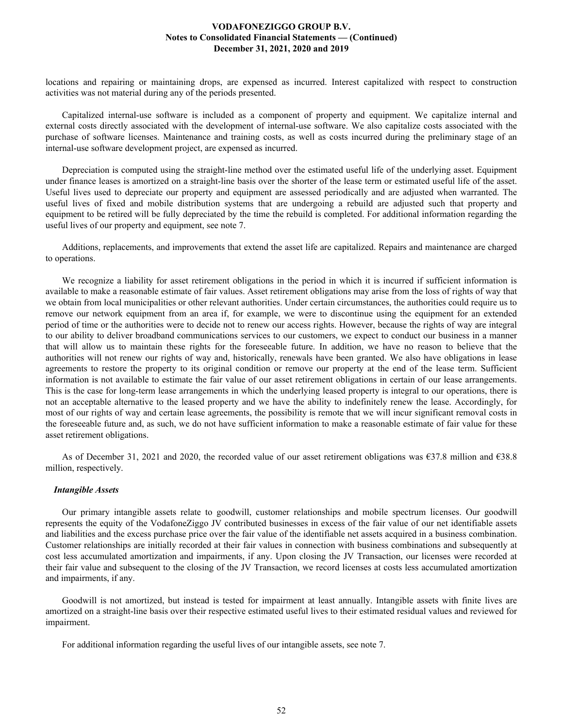locations and repairing or maintaining drops, are expensed as incurred. Interest capitalized with respect to construction activities was not material during any of the periods presented.

Capitalized internal-use software is included as a component of property and equipment. We capitalize internal and external costs directly associated with the development of internal-use software. We also capitalize costs associated with the purchase of software licenses. Maintenance and training costs, as well as costs incurred during the preliminary stage of an internal-use software development project, are expensed as incurred.

Depreciation is computed using the straight-line method over the estimated useful life of the underlying asset. Equipment under finance leases is amortized on a straight-line basis over the shorter of the lease term or estimated useful life of the asset. Useful lives used to depreciate our property and equipment are assessed periodically and are adjusted when warranted. The useful lives of fixed and mobile distribution systems that are undergoing a rebuild are adjusted such that property and equipment to be retired will be fully depreciated by the time the rebuild is completed. For additional information regarding the useful lives of our property and equipment, see note 7.

Additions, replacements, and improvements that extend the asset life are capitalized. Repairs and maintenance are charged to operations.

We recognize a liability for asset retirement obligations in the period in which it is incurred if sufficient information is available to make a reasonable estimate of fair values. Asset retirement obligations may arise from the loss of rights of way that we obtain from local municipalities or other relevant authorities. Under certain circumstances, the authorities could require us to remove our network equipment from an area if, for example, we were to discontinue using the equipment for an extended period of time or the authorities were to decide not to renew our access rights. However, because the rights of way are integral to our ability to deliver broadband communications services to our customers, we expect to conduct our business in a manner that will allow us to maintain these rights for the foreseeable future. In addition, we have no reason to believe that the authorities will not renew our rights of way and, historically, renewals have been granted. We also have obligations in lease agreements to restore the property to its original condition or remove our property at the end of the lease term. Sufficient information is not available to estimate the fair value of our asset retirement obligations in certain of our lease arrangements. This is the case for long-term lease arrangements in which the underlying leased property is integral to our operations, there is not an acceptable alternative to the leased property and we have the ability to indefinitely renew the lease. Accordingly, for most of our rights of way and certain lease agreements, the possibility is remote that we will incur significant removal costs in the foreseeable future and, as such, we do not have sufficient information to make a reasonable estimate of fair value for these asset retirement obligations.

As of December 31, 2021 and 2020, the recorded value of our asset retirement obligations was  $\epsilon$ 37.8 million and  $\epsilon$ 38.8 million, respectively.

#### *Intangible Assets*

Our primary intangible assets relate to goodwill, customer relationships and mobile spectrum licenses. Our goodwill represents the equity of the VodafoneZiggo JV contributed businesses in excess of the fair value of our net identifiable assets and liabilities and the excess purchase price over the fair value of the identifiable net assets acquired in a business combination. Customer relationships are initially recorded at their fair values in connection with business combinations and subsequently at cost less accumulated amortization and impairments, if any. Upon closing the JV Transaction, our licenses were recorded at their fair value and subsequent to the closing of the JV Transaction, we record licenses at costs less accumulated amortization and impairments, if any.

Goodwill is not amortized, but instead is tested for impairment at least annually. Intangible assets with finite lives are amortized on a straight-line basis over their respective estimated useful lives to their estimated residual values and reviewed for impairment.

For additional information regarding the useful lives of our intangible assets, see note 7.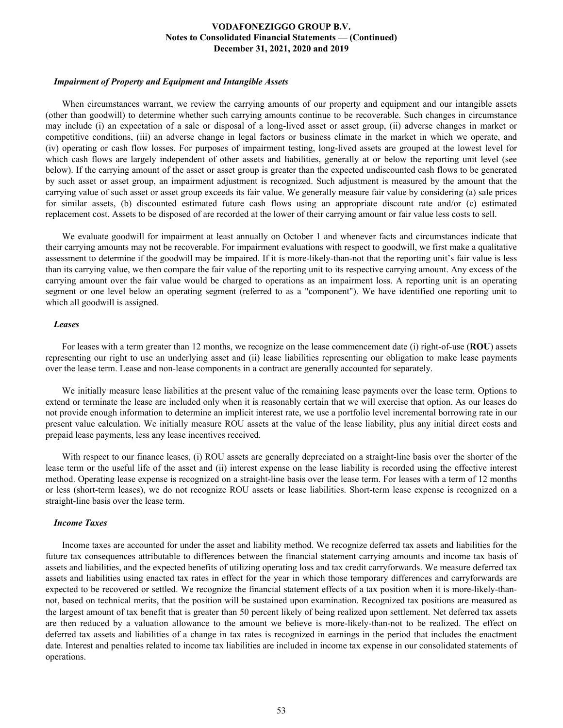#### *Impairment of Property and Equipment and Intangible Assets*

When circumstances warrant, we review the carrying amounts of our property and equipment and our intangible assets (other than goodwill) to determine whether such carrying amounts continue to be recoverable. Such changes in circumstance may include (i) an expectation of a sale or disposal of a long-lived asset or asset group, (ii) adverse changes in market or competitive conditions, (iii) an adverse change in legal factors or business climate in the market in which we operate, and (iv) operating or cash flow losses. For purposes of impairment testing, long-lived assets are grouped at the lowest level for which cash flows are largely independent of other assets and liabilities, generally at or below the reporting unit level (see below). If the carrying amount of the asset or asset group is greater than the expected undiscounted cash flows to be generated by such asset or asset group, an impairment adjustment is recognized. Such adjustment is measured by the amount that the carrying value of such asset or asset group exceeds its fair value. We generally measure fair value by considering (a) sale prices for similar assets, (b) discounted estimated future cash flows using an appropriate discount rate and/or (c) estimated replacement cost. Assets to be disposed of are recorded at the lower of their carrying amount or fair value less costs to sell.

We evaluate goodwill for impairment at least annually on October 1 and whenever facts and circumstances indicate that their carrying amounts may not be recoverable. For impairment evaluations with respect to goodwill, we first make a qualitative assessment to determine if the goodwill may be impaired. If it is more-likely-than-not that the reporting unit's fair value is less than its carrying value, we then compare the fair value of the reporting unit to its respective carrying amount. Any excess of the carrying amount over the fair value would be charged to operations as an impairment loss. A reporting unit is an operating segment or one level below an operating segment (referred to as a "component"). We have identified one reporting unit to which all goodwill is assigned.

#### *Leases*

For leases with a term greater than 12 months, we recognize on the lease commencement date (i) right-of-use (**ROU**) assets representing our right to use an underlying asset and (ii) lease liabilities representing our obligation to make lease payments over the lease term. Lease and non-lease components in a contract are generally accounted for separately.

We initially measure lease liabilities at the present value of the remaining lease payments over the lease term. Options to extend or terminate the lease are included only when it is reasonably certain that we will exercise that option. As our leases do not provide enough information to determine an implicit interest rate, we use a portfolio level incremental borrowing rate in our present value calculation. We initially measure ROU assets at the value of the lease liability, plus any initial direct costs and prepaid lease payments, less any lease incentives received.

With respect to our finance leases, (i) ROU assets are generally depreciated on a straight-line basis over the shorter of the lease term or the useful life of the asset and (ii) interest expense on the lease liability is recorded using the effective interest method. Operating lease expense is recognized on a straight-line basis over the lease term. For leases with a term of 12 months or less (short-term leases), we do not recognize ROU assets or lease liabilities. Short-term lease expense is recognized on a straight-line basis over the lease term.

#### *Income Taxes*

Income taxes are accounted for under the asset and liability method. We recognize deferred tax assets and liabilities for the future tax consequences attributable to differences between the financial statement carrying amounts and income tax basis of assets and liabilities, and the expected benefits of utilizing operating loss and tax credit carryforwards. We measure deferred tax assets and liabilities using enacted tax rates in effect for the year in which those temporary differences and carryforwards are expected to be recovered or settled. We recognize the financial statement effects of a tax position when it is more-likely-thannot, based on technical merits, that the position will be sustained upon examination. Recognized tax positions are measured as the largest amount of tax benefit that is greater than 50 percent likely of being realized upon settlement. Net deferred tax assets are then reduced by a valuation allowance to the amount we believe is more-likely-than-not to be realized. The effect on deferred tax assets and liabilities of a change in tax rates is recognized in earnings in the period that includes the enactment date. Interest and penalties related to income tax liabilities are included in income tax expense in our consolidated statements of operations.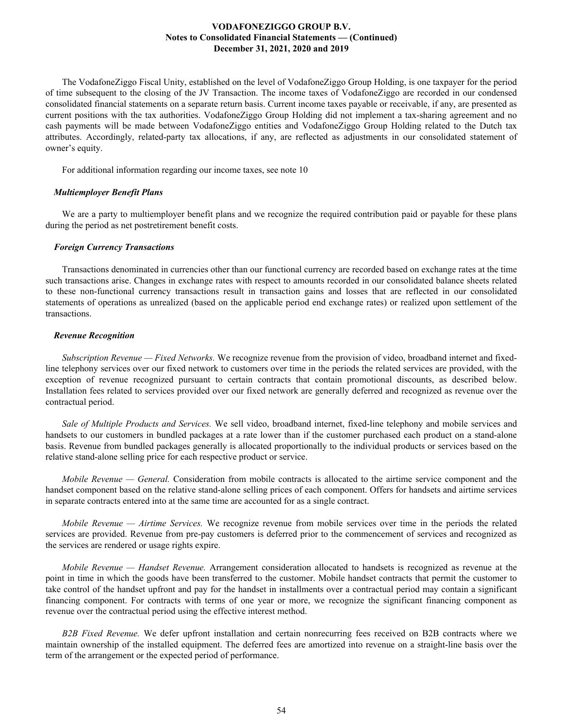The VodafoneZiggo Fiscal Unity, established on the level of VodafoneZiggo Group Holding, is one taxpayer for the period of time subsequent to the closing of the JV Transaction. The income taxes of VodafoneZiggo are recorded in our condensed consolidated financial statements on a separate return basis. Current income taxes payable or receivable, if any, are presented as current positions with the tax authorities. VodafoneZiggo Group Holding did not implement a tax-sharing agreement and no cash payments will be made between VodafoneZiggo entities and VodafoneZiggo Group Holding related to the Dutch tax attributes. Accordingly, related-party tax allocations, if any, are reflected as adjustments in our consolidated statement of owner's equity.

For additional information regarding our income taxes, see note 10

#### *Multiemployer Benefit Plans*

We are a party to multiemployer benefit plans and we recognize the required contribution paid or payable for these plans during the period as net postretirement benefit costs.

#### *Foreign Currency Transactions*

Transactions denominated in currencies other than our functional currency are recorded based on exchange rates at the time such transactions arise. Changes in exchange rates with respect to amounts recorded in our consolidated balance sheets related to these non-functional currency transactions result in transaction gains and losses that are reflected in our consolidated statements of operations as unrealized (based on the applicable period end exchange rates) or realized upon settlement of the transactions.

#### *Revenue Recognition*

*Subscription Revenue — Fixed Networks.* We recognize revenue from the provision of video, broadband internet and fixedline telephony services over our fixed network to customers over time in the periods the related services are provided, with the exception of revenue recognized pursuant to certain contracts that contain promotional discounts, as described below. Installation fees related to services provided over our fixed network are generally deferred and recognized as revenue over the contractual period.

*Sale of Multiple Products and Services.* We sell video, broadband internet, fixed-line telephony and mobile services and handsets to our customers in bundled packages at a rate lower than if the customer purchased each product on a stand-alone basis. Revenue from bundled packages generally is allocated proportionally to the individual products or services based on the relative stand-alone selling price for each respective product or service.

*Mobile Revenue — General.* Consideration from mobile contracts is allocated to the airtime service component and the handset component based on the relative stand-alone selling prices of each component. Offers for handsets and airtime services in separate contracts entered into at the same time are accounted for as a single contract.

*Mobile Revenue — Airtime Services.* We recognize revenue from mobile services over time in the periods the related services are provided. Revenue from pre-pay customers is deferred prior to the commencement of services and recognized as the services are rendered or usage rights expire.

*Mobile Revenue — Handset Revenue.* Arrangement consideration allocated to handsets is recognized as revenue at the point in time in which the goods have been transferred to the customer. Mobile handset contracts that permit the customer to take control of the handset upfront and pay for the handset in installments over a contractual period may contain a significant financing component. For contracts with terms of one year or more, we recognize the significant financing component as revenue over the contractual period using the effective interest method.

*B2B Fixed Revenue.* We defer upfront installation and certain nonrecurring fees received on B2B contracts where we maintain ownership of the installed equipment. The deferred fees are amortized into revenue on a straight-line basis over the term of the arrangement or the expected period of performance.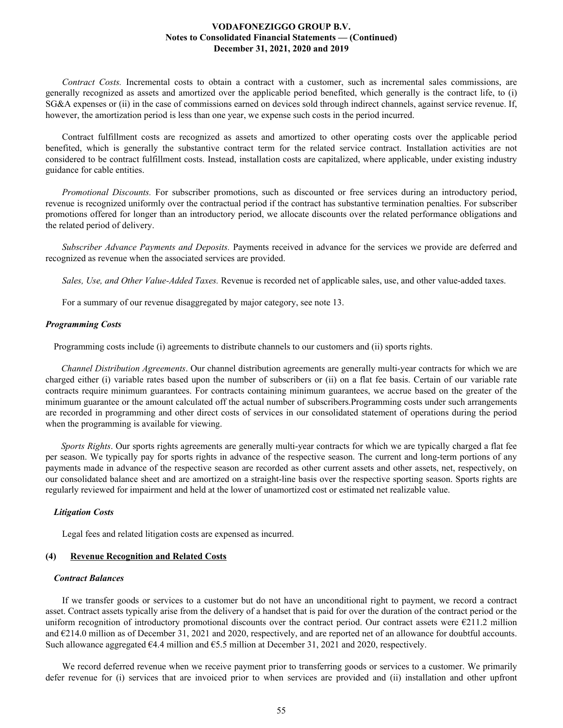*Contract Costs.* Incremental costs to obtain a contract with a customer, such as incremental sales commissions, are generally recognized as assets and amortized over the applicable period benefited, which generally is the contract life, to (i) SG&A expenses or (ii) in the case of commissions earned on devices sold through indirect channels, against service revenue. If, however, the amortization period is less than one year, we expense such costs in the period incurred.

Contract fulfillment costs are recognized as assets and amortized to other operating costs over the applicable period benefited, which is generally the substantive contract term for the related service contract. Installation activities are not considered to be contract fulfillment costs. Instead, installation costs are capitalized, where applicable, under existing industry guidance for cable entities.

*Promotional Discounts.* For subscriber promotions, such as discounted or free services during an introductory period, revenue is recognized uniformly over the contractual period if the contract has substantive termination penalties. For subscriber promotions offered for longer than an introductory period, we allocate discounts over the related performance obligations and the related period of delivery.

*Subscriber Advance Payments and Deposits.* Payments received in advance for the services we provide are deferred and recognized as revenue when the associated services are provided.

*Sales, Use, and Other Value-Added Taxes.* Revenue is recorded net of applicable sales, use, and other value-added taxes.

For a summary of our revenue disaggregated by major category, see note 13.

#### *Programming Costs*

Programming costs include (i) agreements to distribute channels to our customers and (ii) sports rights.

 *Channel Distribution Agreements*. Our channel distribution agreements are generally multi-year contracts for which we are charged either (i) variable rates based upon the number of subscribers or (ii) on a flat fee basis. Certain of our variable rate contracts require minimum guarantees. For contracts containing minimum guarantees, we accrue based on the greater of the minimum guarantee or the amount calculated off the actual number of subscribers.Programming costs under such arrangements are recorded in programming and other direct costs of services in our consolidated statement of operations during the period when the programming is available for viewing.

 *Sports Rights*. Our sports rights agreements are generally multi-year contracts for which we are typically charged a flat fee per season. We typically pay for sports rights in advance of the respective season. The current and long-term portions of any payments made in advance of the respective season are recorded as other current assets and other assets, net, respectively, on our consolidated balance sheet and are amortized on a straight-line basis over the respective sporting season. Sports rights are regularly reviewed for impairment and held at the lower of unamortized cost or estimated net realizable value.

### *Litigation Costs*

Legal fees and related litigation costs are expensed as incurred.

### **(4) Revenue Recognition and Related Costs**

### *Contract Balances*

If we transfer goods or services to a customer but do not have an unconditional right to payment, we record a contract asset. Contract assets typically arise from the delivery of a handset that is paid for over the duration of the contract period or the uniform recognition of introductory promotional discounts over the contract period. Our contract assets were  $E211.2$  million and €214.0 million as of December 31, 2021 and 2020, respectively, and are reported net of an allowance for doubtful accounts. Such allowance aggregated €4.4 million and €5.5 million at December 31, 2021 and 2020, respectively.

We record deferred revenue when we receive payment prior to transferring goods or services to a customer. We primarily defer revenue for (i) services that are invoiced prior to when services are provided and (ii) installation and other upfront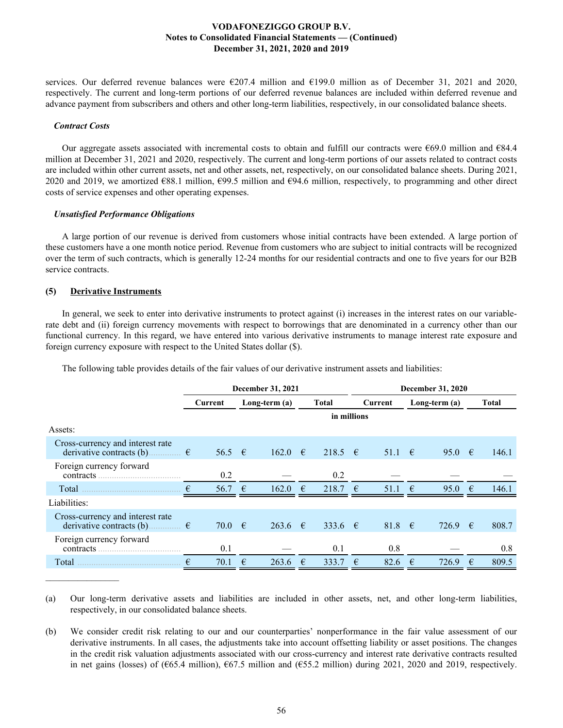services. Our deferred revenue balances were  $\epsilon$ 207.4 million and  $\epsilon$ 199.0 million as of December 31, 2021 and 2020, respectively. The current and long-term portions of our deferred revenue balances are included within deferred revenue and advance payment from subscribers and others and other long-term liabilities, respectively, in our consolidated balance sheets.

#### *Contract Costs*

Our aggregate assets associated with incremental costs to obtain and fulfill our contracts were  $669.0$  million and  $684.4$ million at December 31, 2021 and 2020, respectively. The current and long-term portions of our assets related to contract costs are included within other current assets, net and other assets, net, respectively, on our consolidated balance sheets. During 2021, 2020 and 2019, we amortized  $\epsilon$ 88.1 million,  $\epsilon$ 99.5 million and  $\epsilon$ 94.6 million, respectively, to programming and other direct costs of service expenses and other operating expenses.

### *Unsatisfied Performance Obligations*

A large portion of our revenue is derived from customers whose initial contracts have been extended. A large portion of these customers have a one month notice period. Revenue from customers who are subject to initial contracts will be recognized over the term of such contracts, which is generally 12-24 months for our residential contracts and one to five years for our B2B service contracts.

### **(5) Derivative Instruments**

In general, we seek to enter into derivative instruments to protect against (i) increases in the interest rates on our variablerate debt and (ii) foreign currency movements with respect to borrowings that are denominated in a currency other than our functional currency. In this regard, we have entered into various derivative instruments to manage interest rate exposure and foreign currency exposure with respect to the United States dollar (\$).

|                                                                                    | December 31, 2021 |            |            |                  |            |                  | <b>December 31, 2020</b> |                  |  |                 |            |              |
|------------------------------------------------------------------------------------|-------------------|------------|------------|------------------|------------|------------------|--------------------------|------------------|--|-----------------|------------|--------------|
|                                                                                    |                   | Current    |            | Long-term $(a)$  |            | <b>Total</b>     |                          | Current          |  | Long-term $(a)$ |            | <b>Total</b> |
|                                                                                    |                   |            |            |                  |            | in millions      |                          |                  |  |                 |            |              |
| Assets:                                                                            |                   |            |            |                  |            |                  |                          |                  |  |                 |            |              |
| Cross-currency and interest rate<br>derivative contracts (b) $\qquad \qquad$ $\in$ |                   | 56.5 €     |            | 162.0 $\in$      |            | 218.5 $\in$      |                          | $51.1 \quad \in$ |  | 95.0            | $\epsilon$ | 146.1        |
| Foreign currency forward<br>contracts                                              |                   | 0.2        |            |                  |            | 0.2              |                          |                  |  |                 |            |              |
| Total                                                                              | €                 | 56.7       | $\epsilon$ | 162.0            | $\epsilon$ | 218.7            | $\epsilon$               | 51.1 $\epsilon$  |  | 95.0            | $\epsilon$ | 146.1        |
| Liabilities:                                                                       |                   |            |            |                  |            |                  |                          |                  |  |                 |            |              |
| Cross-currency and interest rate<br>derivative contracts (b) $\epsilon$            |                   | $70.0 \in$ |            | 263.6 $\epsilon$ |            | 333.6 $\epsilon$ |                          | 81.8 $\in$       |  | 726.9           | €          | 808.7        |
| Foreign currency forward<br>contracts                                              |                   | 0.1        |            |                  |            | 0.1              |                          | 0.8              |  |                 |            | 0.8          |
| Total                                                                              | €                 | 70.1       | €          | 263.6            | €          | 333.7            | €                        | 82.6 $\epsilon$  |  | 726.9           | €          | 809.5        |

The following table provides details of the fair values of our derivative instrument assets and liabilities:

(a) Our long-term derivative assets and liabilities are included in other assets, net, and other long-term liabilities, respectively, in our consolidated balance sheets.

(b) We consider credit risk relating to our and our counterparties' nonperformance in the fair value assessment of our derivative instruments. In all cases, the adjustments take into account offsetting liability or asset positions. The changes in the credit risk valuation adjustments associated with our cross-currency and interest rate derivative contracts resulted in net gains (losses) of ( $665.4$  million),  $667.5$  million and ( $655.2$  million) during 2021, 2020 and 2019, respectively.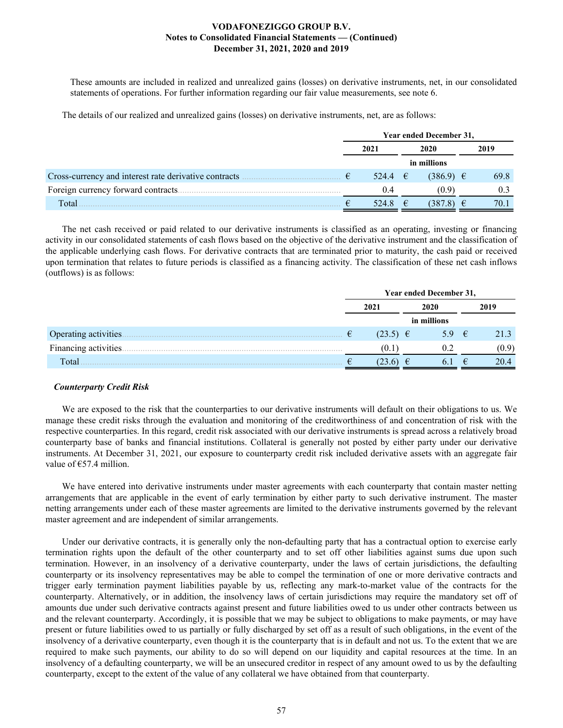These amounts are included in realized and unrealized gains (losses) on derivative instruments, net, in our consolidated statements of operations. For further information regarding our fair value measurements, see note 6.

The details of our realized and unrealized gains (losses) on derivative instruments, net, are as follows:

|                                                                     | Year ended December 31, |                   |   |               |  |      |  |  |
|---------------------------------------------------------------------|-------------------------|-------------------|---|---------------|--|------|--|--|
|                                                                     |                         | 2021              |   | 2020          |  | 2019 |  |  |
|                                                                     |                         |                   |   | in millions   |  |      |  |  |
| Cross-currency and interest rate derivative contracts measurements. | €                       | $524.4 \quad \in$ |   | $(386.9) \in$ |  | 69.8 |  |  |
|                                                                     |                         | (14)              |   | (0.9)         |  |      |  |  |
| Total                                                               |                         | 524.8             | € | (387.8)       |  | 70.1 |  |  |

The net cash received or paid related to our derivative instruments is classified as an operating, investing or financing activity in our consolidated statements of cash flows based on the objective of the derivative instrument and the classification of the applicable underlying cash flows. For derivative contracts that are terminated prior to maturity, the cash paid or received upon termination that relates to future periods is classified as a financing activity. The classification of these net cash inflows (outflows) is as follows:

|                       | Year ended December 31, |              |  |      |            |       |  |  |
|-----------------------|-------------------------|--------------|--|------|------------|-------|--|--|
|                       | 2021                    |              |  | 2020 |            | 2019  |  |  |
|                       |                         | in millions  |  |      |            |       |  |  |
| Operating activities. |                         | $(23.5) \in$ |  | 5.9  | $\epsilon$ | 21.3  |  |  |
| Financing activities. |                         | (U.I         |  |      |            | (0.9) |  |  |
| Total                 |                         |              |  |      |            | 20.4  |  |  |

### *Counterparty Credit Risk*

We are exposed to the risk that the counterparties to our derivative instruments will default on their obligations to us. We manage these credit risks through the evaluation and monitoring of the creditworthiness of and concentration of risk with the respective counterparties. In this regard, credit risk associated with our derivative instruments is spread across a relatively broad counterparty base of banks and financial institutions. Collateral is generally not posted by either party under our derivative instruments. At December 31, 2021, our exposure to counterparty credit risk included derivative assets with an aggregate fair value of  $€57.4$  million.

We have entered into derivative instruments under master agreements with each counterparty that contain master netting arrangements that are applicable in the event of early termination by either party to such derivative instrument. The master netting arrangements under each of these master agreements are limited to the derivative instruments governed by the relevant master agreement and are independent of similar arrangements.

Under our derivative contracts, it is generally only the non-defaulting party that has a contractual option to exercise early termination rights upon the default of the other counterparty and to set off other liabilities against sums due upon such termination. However, in an insolvency of a derivative counterparty, under the laws of certain jurisdictions, the defaulting counterparty or its insolvency representatives may be able to compel the termination of one or more derivative contracts and trigger early termination payment liabilities payable by us, reflecting any mark-to-market value of the contracts for the counterparty. Alternatively, or in addition, the insolvency laws of certain jurisdictions may require the mandatory set off of amounts due under such derivative contracts against present and future liabilities owed to us under other contracts between us and the relevant counterparty. Accordingly, it is possible that we may be subject to obligations to make payments, or may have present or future liabilities owed to us partially or fully discharged by set off as a result of such obligations, in the event of the insolvency of a derivative counterparty, even though it is the counterparty that is in default and not us. To the extent that we are required to make such payments, our ability to do so will depend on our liquidity and capital resources at the time. In an insolvency of a defaulting counterparty, we will be an unsecured creditor in respect of any amount owed to us by the defaulting counterparty, except to the extent of the value of any collateral we have obtained from that counterparty.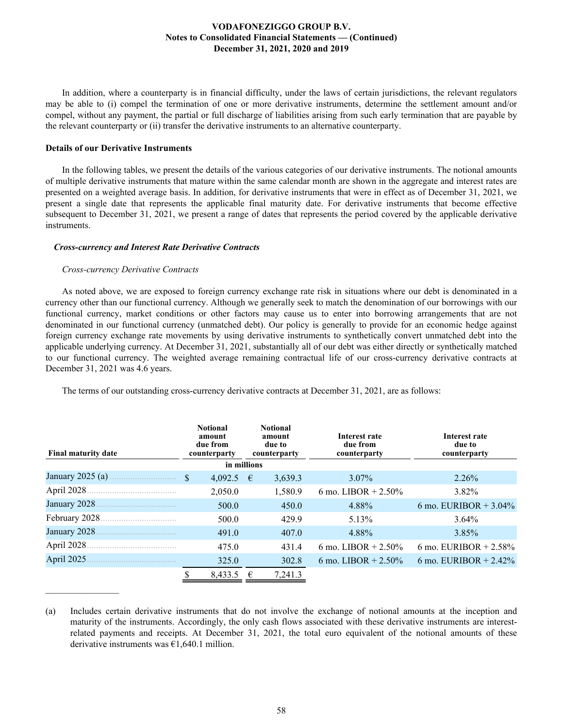In addition, where a counterparty is in financial difficulty, under the laws of certain jurisdictions, the relevant regulators may be able to (i) compel the termination of one or more derivative instruments, determine the settlement amount and/or compel, without any payment, the partial or full discharge of liabilities arising from such early termination that are payable by the relevant counterparty or (ii) transfer the derivative instruments to an alternative counterparty.

#### **Details of our Derivative Instruments**

In the following tables, we present the details of the various categories of our derivative instruments. The notional amounts of multiple derivative instruments that mature within the same calendar month are shown in the aggregate and interest rates are presented on a weighted average basis. In addition, for derivative instruments that were in effect as of December 31, 2021, we present a single date that represents the applicable final maturity date. For derivative instruments that become effective subsequent to December 31, 2021, we present a range of dates that represents the period covered by the applicable derivative instruments.

#### *Cross-currency and Interest Rate Derivative Contracts*

#### *Cross-currency Derivative Contracts*

As noted above, we are exposed to foreign currency exchange rate risk in situations where our debt is denominated in a currency other than our functional currency. Although we generally seek to match the denomination of our borrowings with our functional currency, market conditions or other factors may cause us to enter into borrowing arrangements that are not denominated in our functional currency (unmatched debt). Our policy is generally to provide for an economic hedge against foreign currency exchange rate movements by using derivative instruments to synthetically convert unmatched debt into the applicable underlying currency. At December 31, 2021, substantially all of our debt was either directly or synthetically matched to our functional currency. The weighted average remaining contractual life of our cross-currency derivative contracts at December 31, 2021 was 4.6 years.

The terms of our outstanding cross-currency derivative contracts at December 31, 2021, are as follows:

| <b>Final maturity date</b> |    | <b>Notional</b><br>amount<br>due from<br>counterparty |   | <b>Notional</b><br>amount<br>due to<br>counterparty | Interest rate<br>due from<br>counterparty | Interest rate<br>due to<br>counterparty |
|----------------------------|----|-------------------------------------------------------|---|-----------------------------------------------------|-------------------------------------------|-----------------------------------------|
|                            |    | in millions                                           |   |                                                     |                                           |                                         |
| January $2025(a)$ .        | \$ | 4,092.5                                               | € | 3,639.3                                             | $3.07\%$                                  | 2.26%                                   |
| April 2028.                |    | 2,050.0                                               |   | 1,580.9                                             | 6 mo. LIBOR + $2.50\%$                    | 3.82%                                   |
| January 2028               |    | 500.0                                                 |   | 450.0                                               | 4.88%                                     | 6 mo. EURIBOR + $3.04\%$                |
| February 2028.             |    | 500.0                                                 |   | 429.9                                               | 5.13%                                     | $3.64\%$                                |
| January 2028               |    | 491.0                                                 |   | 407.0                                               | 4.88%                                     | $3.85\%$                                |
| April 2028.                |    | 475.0                                                 |   | 431.4                                               | 6 mo. LIBOR $+ 2.50\%$                    | 6 mo. EURIBOR $+ 2.58\%$                |
| April 2025                 |    | 325.0                                                 |   | 302.8                                               | 6 mo. LIBOR $+ 2.50\%$                    | 6 mo. EURIBOR + $2.42\%$                |
|                            |    | 8,433.5                                               | € | 7,241.3                                             |                                           |                                         |
|                            |    |                                                       |   |                                                     |                                           |                                         |

(a) Includes certain derivative instruments that do not involve the exchange of notional amounts at the inception and maturity of the instruments. Accordingly, the only cash flows associated with these derivative instruments are interestrelated payments and receipts. At December 31, 2021, the total euro equivalent of the notional amounts of these derivative instruments was  $\epsilon$ 1,640.1 million.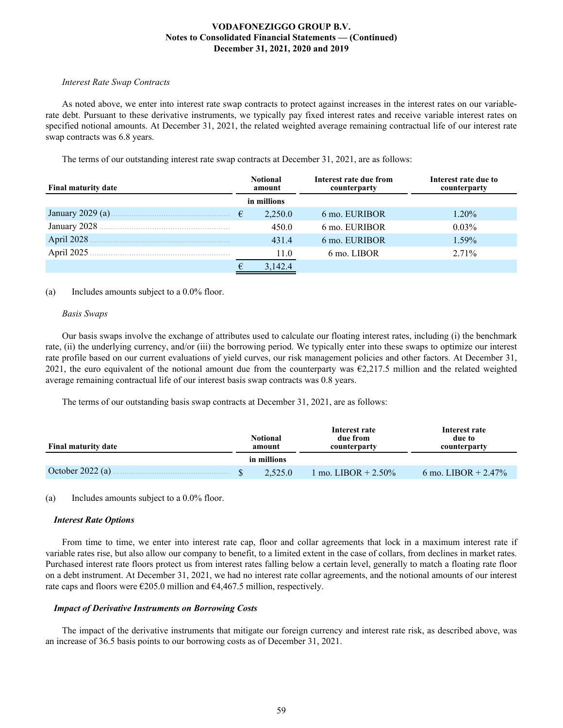### *Interest Rate Swap Contracts*

As noted above, we enter into interest rate swap contracts to protect against increases in the interest rates on our variablerate debt. Pursuant to these derivative instruments, we typically pay fixed interest rates and receive variable interest rates on specified notional amounts. At December 31, 2021, the related weighted average remaining contractual life of our interest rate swap contracts was 6.8 years.

The terms of our outstanding interest rate swap contracts at December 31, 2021, are as follows:

| <b>Final maturity date</b> |   | <b>Notional</b><br>amount | Interest rate due from<br>counterparty | Interest rate due to<br>counterparty |
|----------------------------|---|---------------------------|----------------------------------------|--------------------------------------|
|                            |   | in millions               |                                        |                                      |
| January 2029 (a) $6.1$     |   | 2,250.0                   | 6 mo. EURIBOR                          | $1.20\%$                             |
| January 2028.              |   | 450.0                     | 6 mo. EURIBOR                          | $0.03\%$                             |
| April 2028                 |   | 431.4                     | 6 mo. EURIBOR                          | 1.59%                                |
| April 2025                 |   | 11.0                      | 6 mo. LIBOR                            | $2.71\%$                             |
|                            | € | 3.142.4                   |                                        |                                      |

(a) Includes amounts subject to a 0.0% floor.

### *Basis Swaps*

Our basis swaps involve the exchange of attributes used to calculate our floating interest rates, including (i) the benchmark rate, (ii) the underlying currency, and/or (iii) the borrowing period. We typically enter into these swaps to optimize our interest rate profile based on our current evaluations of yield curves, our risk management policies and other factors. At December 31, 2021, the euro equivalent of the notional amount due from the counterparty was  $\epsilon$ 2,217.5 million and the related weighted average remaining contractual life of our interest basis swap contracts was 0.8 years.

The terms of our outstanding basis swap contracts at December 31, 2021, are as follows:

| <b>Final maturity date</b> |  | <b>Notional</b><br>amount | Interest rate<br>due from<br>counterparty | Interest rate<br>due to<br>counterparty |
|----------------------------|--|---------------------------|-------------------------------------------|-----------------------------------------|
|                            |  | in millions               |                                           |                                         |
|                            |  | 2.525.0                   | 1 mo. LIBOR $+ 2.50\%$                    | 6 mo. LIBOR + $2.47\%$                  |

(a) Includes amounts subject to a 0.0% floor.

### *Interest Rate Options*

From time to time, we enter into interest rate cap, floor and collar agreements that lock in a maximum interest rate if variable rates rise, but also allow our company to benefit, to a limited extent in the case of collars, from declines in market rates. Purchased interest rate floors protect us from interest rates falling below a certain level, generally to match a floating rate floor on a debt instrument. At December 31, 2021, we had no interest rate collar agreements, and the notional amounts of our interest rate caps and floors were  $\epsilon$ 205.0 million and  $\epsilon$ 4,467.5 million, respectively.

### *Impact of Derivative Instruments on Borrowing Costs*

The impact of the derivative instruments that mitigate our foreign currency and interest rate risk, as described above, was an increase of 36.5 basis points to our borrowing costs as of December 31, 2021.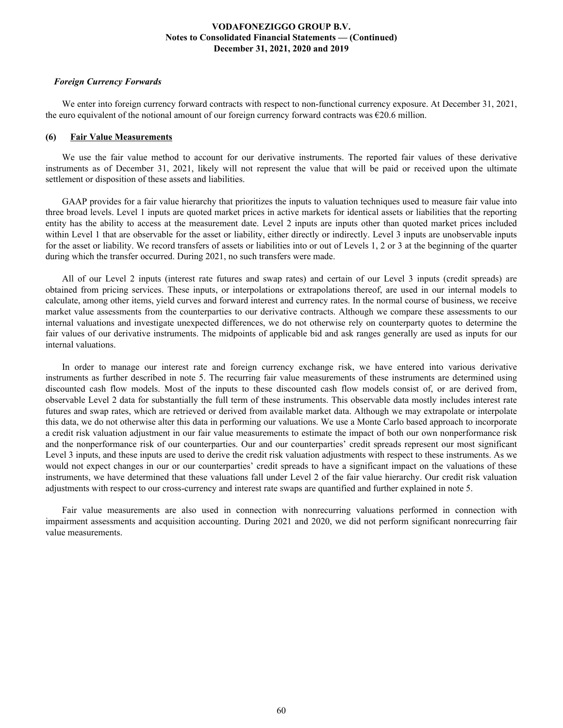#### *Foreign Currency Forwards*

We enter into foreign currency forward contracts with respect to non-functional currency exposure. At December 31, 2021, the euro equivalent of the notional amount of our foreign currency forward contracts was  $\epsilon$ 20.6 million.

#### **(6) Fair Value Measurements**

We use the fair value method to account for our derivative instruments. The reported fair values of these derivative instruments as of December 31, 2021, likely will not represent the value that will be paid or received upon the ultimate settlement or disposition of these assets and liabilities.

GAAP provides for a fair value hierarchy that prioritizes the inputs to valuation techniques used to measure fair value into three broad levels. Level 1 inputs are quoted market prices in active markets for identical assets or liabilities that the reporting entity has the ability to access at the measurement date. Level 2 inputs are inputs other than quoted market prices included within Level 1 that are observable for the asset or liability, either directly or indirectly. Level 3 inputs are unobservable inputs for the asset or liability. We record transfers of assets or liabilities into or out of Levels 1, 2 or 3 at the beginning of the quarter during which the transfer occurred. During 2021, no such transfers were made.

All of our Level 2 inputs (interest rate futures and swap rates) and certain of our Level 3 inputs (credit spreads) are obtained from pricing services. These inputs, or interpolations or extrapolations thereof, are used in our internal models to calculate, among other items, yield curves and forward interest and currency rates. In the normal course of business, we receive market value assessments from the counterparties to our derivative contracts. Although we compare these assessments to our internal valuations and investigate unexpected differences, we do not otherwise rely on counterparty quotes to determine the fair values of our derivative instruments. The midpoints of applicable bid and ask ranges generally are used as inputs for our internal valuations.

In order to manage our interest rate and foreign currency exchange risk, we have entered into various derivative instruments as further described in note 5. The recurring fair value measurements of these instruments are determined using discounted cash flow models. Most of the inputs to these discounted cash flow models consist of, or are derived from, observable Level 2 data for substantially the full term of these instruments. This observable data mostly includes interest rate futures and swap rates, which are retrieved or derived from available market data. Although we may extrapolate or interpolate this data, we do not otherwise alter this data in performing our valuations. We use a Monte Carlo based approach to incorporate a credit risk valuation adjustment in our fair value measurements to estimate the impact of both our own nonperformance risk and the nonperformance risk of our counterparties. Our and our counterparties' credit spreads represent our most significant Level 3 inputs, and these inputs are used to derive the credit risk valuation adjustments with respect to these instruments. As we would not expect changes in our or our counterparties' credit spreads to have a significant impact on the valuations of these instruments, we have determined that these valuations fall under Level 2 of the fair value hierarchy. Our credit risk valuation adjustments with respect to our cross-currency and interest rate swaps are quantified and further explained in note 5.

Fair value measurements are also used in connection with nonrecurring valuations performed in connection with impairment assessments and acquisition accounting. During 2021 and 2020, we did not perform significant nonrecurring fair value measurements.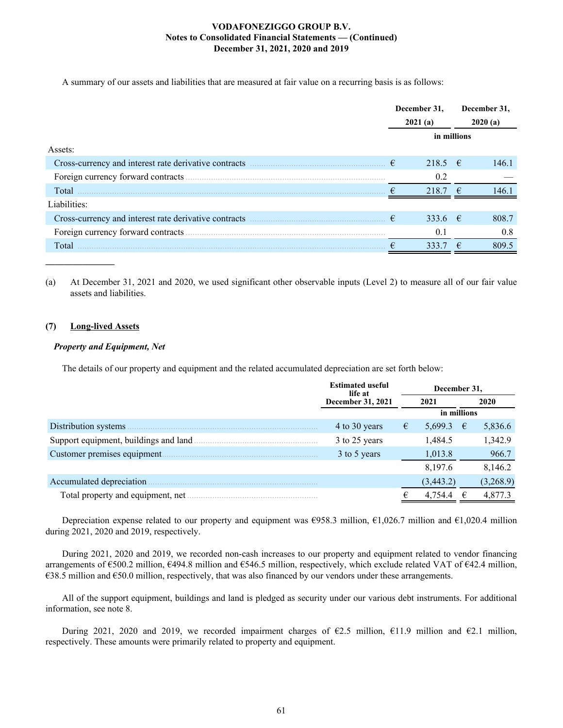A summary of our assets and liabilities that are measured at fair value on a recurring basis is as follows:

|                                                                                                           | December 31.<br>2021(a) |                  |             | December 31.<br>2020(a) |
|-----------------------------------------------------------------------------------------------------------|-------------------------|------------------|-------------|-------------------------|
|                                                                                                           |                         | in millions      |             |                         |
| Assets:                                                                                                   |                         |                  |             |                         |
| Cross-currency and interest rate derivative contracts manufactured and interest rate derivative contracts |                         | 218.5 €          |             | 146.1                   |
|                                                                                                           |                         | 0.2              |             |                         |
| Total                                                                                                     |                         | 218.7            | $-\epsilon$ | 1461                    |
| Liabilities:                                                                                              |                         |                  |             |                         |
|                                                                                                           |                         | 333.6 $\epsilon$ |             | 808.7                   |
|                                                                                                           |                         | 0.1              |             | 0.8                     |
| Total                                                                                                     |                         | 333.7            | €           | 809.5                   |

(a) At December 31, 2021 and 2020, we used significant other observable inputs (Level 2) to measure all of our fair value assets and liabilities.

### **(7) Long-lived Assets**

### *Property and Equipment, Net*

The details of our property and equipment and the related accumulated depreciation are set forth below:

|                                       | <b>Estimated useful</b><br>life at |   |             | December 31, |           |  |
|---------------------------------------|------------------------------------|---|-------------|--------------|-----------|--|
|                                       | <b>December 31, 2021</b>           |   | 2021        |              | 2020      |  |
|                                       |                                    |   | in millions |              |           |  |
| Distribution systems                  | 4 to 30 years                      | € | 5,699.3 €   |              | 5,836.6   |  |
| Support equipment, buildings and land | 3 to 25 years                      |   | 1,484.5     |              | 1,342.9   |  |
| Customer premises equipment           | 3 to 5 years                       |   | 1,013.8     |              | 966.7     |  |
|                                       |                                    |   | 8,197.6     |              | 8,146.2   |  |
| Accumulated depreciation              |                                    |   | (3,443.2)   |              | (3,268.9) |  |
| Total property and equipment, net     |                                    |   | 4.754.4     |              | 4,877.3   |  |

Depreciation expense related to our property and equipment was €958.3 million, €1,026.7 million and €1,020.4 million during 2021, 2020 and 2019, respectively.

During 2021, 2020 and 2019, we recorded non-cash increases to our property and equipment related to vendor financing arrangements of  $\epsilon$ 500.2 million,  $\epsilon$ 494.8 million and  $\epsilon$ 546.5 million, respectively, which exclude related VAT of  $\epsilon$ 42.4 million, €38.5 million and €50.0 million, respectively, that was also financed by our vendors under these arrangements.

All of the support equipment, buildings and land is pledged as security under our various debt instruments. For additional information, see note 8.

During 2021, 2020 and 2019, we recorded impairment charges of  $\epsilon$ 2.5 million,  $\epsilon$ 11.9 million and  $\epsilon$ 2.1 million, respectively. These amounts were primarily related to property and equipment.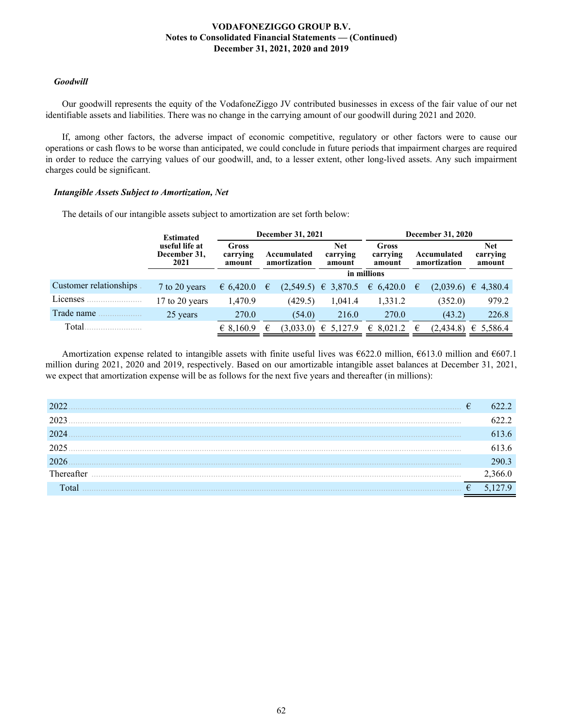### *Goodwill*

Our goodwill represents the equity of the VodafoneZiggo JV contributed businesses in excess of the fair value of our net identifiable assets and liabilities. There was no change in the carrying amount of our goodwill during 2021 and 2020.

If, among other factors, the adverse impact of economic competitive, regulatory or other factors were to cause our operations or cash flows to be worse than anticipated, we could conclude in future periods that impairment charges are required in order to reduce the carrying values of our goodwill, and, to a lesser extent, other long-lived assets. Any such impairment charges could be significant.

### *Intangible Assets Subject to Amortization, Net*

The details of our intangible assets subject to amortization are set forth below:

|                        | <b>Estimated</b>                       |                             | <b>December 31, 2021</b>    |           |                                  |             | <b>December 31, 2020</b>                          |           |                                  |
|------------------------|----------------------------------------|-----------------------------|-----------------------------|-----------|----------------------------------|-------------|---------------------------------------------------|-----------|----------------------------------|
|                        | useful life at<br>December 31,<br>2021 | Gross<br>carrying<br>amount | Accumulated<br>amortization |           | <b>Net</b><br>carrying<br>amount |             | Accumulated<br>carrying<br>amortization<br>amount |           | <b>Net</b><br>carrying<br>amount |
|                        |                                        |                             |                             |           |                                  | in millions |                                                   |           |                                  |
| Customer relationships | 7 to 20 years                          | 6,420.0                     | €                           | (2,549.5) | € 3,870.5                        | 6,420.0     | €                                                 | (2,039.6) | 4,380.4<br>€                     |
| Licenses               | 17 to 20 years                         | 1,470.9                     |                             | (429.5)   | 1,041.4                          | 1,331.2     |                                                   | (352.0)   | 979.2                            |
| Trade name             | 25 years                               | 270.0                       |                             | (54.0)    | 216.0                            | 270.0       |                                                   | (43.2)    | 226.8                            |
| Total                  |                                        | € 8,160.9                   | €                           | (3,033.0) | € 5,127.9                        | € 8,021.2   |                                                   | (2,434.8) | € 5,586.4                        |

Amortization expense related to intangible assets with finite useful lives was €622.0 million, €613.0 million and €607.1 million during 2021, 2020 and 2019, respectively. Based on our amortizable intangible asset balances at December 31, 2021, we expect that amortization expense will be as follows for the next five years and thereafter (in millions):

| 202  | € |     |
|------|---|-----|
| 2023 |   |     |
| 2024 |   | 36  |
| 2025 |   | 3.6 |
| 2026 |   |     |
|      |   |     |
|      | € |     |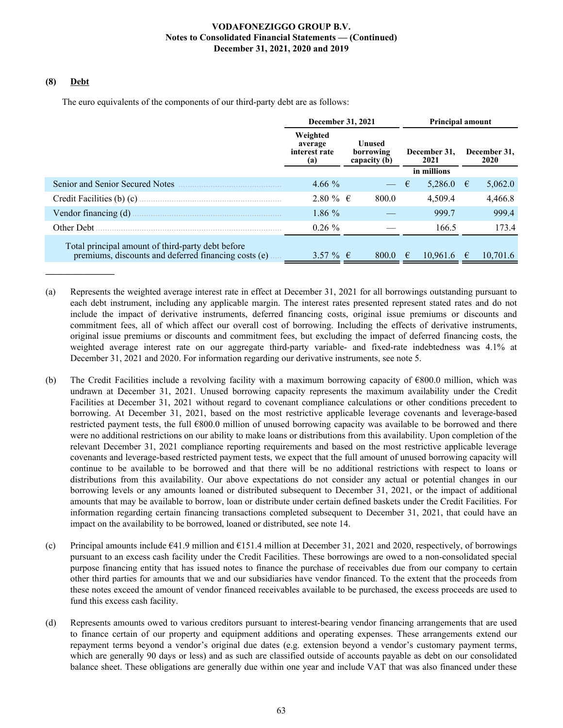### **(8) Debt**

The euro equivalents of the components of our third-party debt are as follows:

|                                                                                                           | December 31, 2021                           |                                                             |               | <b>Principal amount</b> |  |                      |
|-----------------------------------------------------------------------------------------------------------|---------------------------------------------|-------------------------------------------------------------|---------------|-------------------------|--|----------------------|
|                                                                                                           | Weighted<br>average<br>interest rate<br>(a) | Unused<br>borrowing<br>December 31,<br>capacity (b)<br>2021 |               |                         |  | December 31,<br>2020 |
|                                                                                                           |                                             |                                                             | in millions   |                         |  |                      |
| Senior and Senior Secured Notes                                                                           | 4.66 $\%$                                   |                                                             | 5,286.0<br>€  | 5,062.0<br>€            |  |                      |
| Credit Facilities (b) (c)                                                                                 | 2.80 % €                                    | 800.0                                                       | 4,509.4       | 4,466.8                 |  |                      |
| Vendor financing $(d)$ .                                                                                  | 1.86 $%$                                    |                                                             | 999.7         | 999.4                   |  |                      |
| Other Debt                                                                                                | $0.26 \%$                                   |                                                             | 166.5         | 173.4                   |  |                      |
| Total principal amount of third-party debt before<br>premiums, discounts and deferred financing costs (e) | 3.57 % $\in$                                | 800.0                                                       | 10.961.6<br>€ | 10,701.6<br>€           |  |                      |

- (a) Represents the weighted average interest rate in effect at December 31, 2021 for all borrowings outstanding pursuant to each debt instrument, including any applicable margin. The interest rates presented represent stated rates and do not include the impact of derivative instruments, deferred financing costs, original issue premiums or discounts and commitment fees, all of which affect our overall cost of borrowing. Including the effects of derivative instruments, original issue premiums or discounts and commitment fees, but excluding the impact of deferred financing costs, the weighted average interest rate on our aggregate third-party variable- and fixed-rate indebtedness was 4.1% at December 31, 2021 and 2020. For information regarding our derivative instruments, see note 5.
- (b) The Credit Facilities include a revolving facility with a maximum borrowing capacity of  $\epsilon$ 800.0 million, which was undrawn at December 31, 2021. Unused borrowing capacity represents the maximum availability under the Credit Facilities at December 31, 2021 without regard to covenant compliance calculations or other conditions precedent to borrowing. At December 31, 2021, based on the most restrictive applicable leverage covenants and leverage-based restricted payment tests, the full €800.0 million of unused borrowing capacity was available to be borrowed and there were no additional restrictions on our ability to make loans or distributions from this availability. Upon completion of the relevant December 31, 2021 compliance reporting requirements and based on the most restrictive applicable leverage covenants and leverage-based restricted payment tests, we expect that the full amount of unused borrowing capacity will continue to be available to be borrowed and that there will be no additional restrictions with respect to loans or distributions from this availability. Our above expectations do not consider any actual or potential changes in our borrowing levels or any amounts loaned or distributed subsequent to December 31, 2021, or the impact of additional amounts that may be available to borrow, loan or distribute under certain defined baskets under the Credit Facilities. For information regarding certain financing transactions completed subsequent to December 31, 2021, that could have an impact on the availability to be borrowed, loaned or distributed, see note 14.
- (c) Principal amounts include  $641.9$  million and  $6151.4$  million at December 31, 2021 and 2020, respectively, of borrowings pursuant to an excess cash facility under the Credit Facilities. These borrowings are owed to a non-consolidated special purpose financing entity that has issued notes to finance the purchase of receivables due from our company to certain other third parties for amounts that we and our subsidiaries have vendor financed. To the extent that the proceeds from these notes exceed the amount of vendor financed receivables available to be purchased, the excess proceeds are used to fund this excess cash facility.
- (d) Represents amounts owed to various creditors pursuant to interest-bearing vendor financing arrangements that are used to finance certain of our property and equipment additions and operating expenses. These arrangements extend our repayment terms beyond a vendor's original due dates (e.g. extension beyond a vendor's customary payment terms, which are generally 90 days or less) and as such are classified outside of accounts payable as debt on our consolidated balance sheet. These obligations are generally due within one year and include VAT that was also financed under these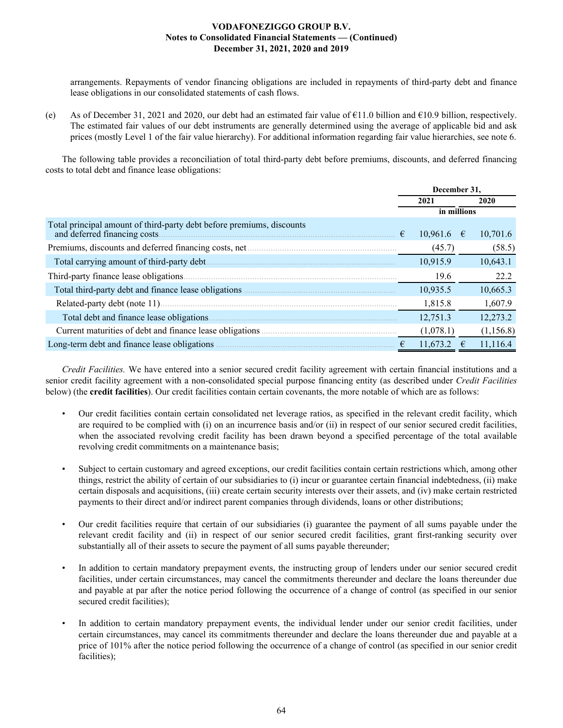arrangements. Repayments of vendor financing obligations are included in repayments of third-party debt and finance lease obligations in our consolidated statements of cash flows.

(e) As of December 31, 2021 and 2020, our debt had an estimated fair value of  $\epsilon$ 11.0 billion and  $\epsilon$ 10.9 billion, respectively. The estimated fair values of our debt instruments are generally determined using the average of applicable bid and ask prices (mostly Level 1 of the fair value hierarchy). For additional information regarding fair value hierarchies, see note 6.

The following table provides a reconciliation of total third-party debt before premiums, discounts, and deferred financing costs to total debt and finance lease obligations:

|                                                                                                        |   | December 31. |   |           |
|--------------------------------------------------------------------------------------------------------|---|--------------|---|-----------|
|                                                                                                        |   | 2021         |   | 2020      |
|                                                                                                        |   | in millions  |   |           |
| Total principal amount of third-party debt before premiums, discounts<br>and deferred financing costs. | € | 10,961.6     | € | 10,701.6  |
| Premiums, discounts and deferred financing costs, net                                                  |   | (45.7)       |   | (58.5)    |
| Total carrying amount of third-party debt.                                                             |   | 10,915.9     |   | 10,643.1  |
| Third-party finance lease obligations.                                                                 |   | 19.6         |   | 22.2      |
| Total third-party debt and finance lease obligations.                                                  |   | 10,935.5     |   | 10,665.3  |
|                                                                                                        |   | 1,815.8      |   | 1,607.9   |
| Total debt and finance lease obligations.                                                              |   | 12,751.3     |   | 12,273.2  |
| Current maturities of debt and finance lease obligations                                               |   | (1,078.1)    |   | (1,156.8) |
| Long-term debt and finance lease obligations                                                           |   | 11,673.2     | € | 11,116.4  |

*Credit Facilities.* We have entered into a senior secured credit facility agreement with certain financial institutions and a senior credit facility agreement with a non-consolidated special purpose financing entity (as described under *Credit Facilities* below) (the **credit facilities**). Our credit facilities contain certain covenants, the more notable of which are as follows:

- Our credit facilities contain certain consolidated net leverage ratios, as specified in the relevant credit facility, which are required to be complied with (i) on an incurrence basis and/or (ii) in respect of our senior secured credit facilities, when the associated revolving credit facility has been drawn beyond a specified percentage of the total available revolving credit commitments on a maintenance basis;
- Subject to certain customary and agreed exceptions, our credit facilities contain restrictions which, among other things, restrict the ability of certain of our subsidiaries to (i) incur or guarantee certain financial indebtedness, (ii) make certain disposals and acquisitions, (iii) create certain security interests over their assets, and (iv) make certain restricted payments to their direct and/or indirect parent companies through dividends, loans or other distributions;
- Our credit facilities require that certain of our subsidiaries (i) guarantee the payment of all sums payable under the relevant credit facility and (ii) in respect of our senior secured credit facilities, grant first-ranking security over substantially all of their assets to secure the payment of all sums payable thereunder;
- In addition to certain mandatory prepayment events, the instructing group of lenders under our senior secured credit facilities, under certain circumstances, may cancel the commitments thereunder and declare the loans thereunder due and payable at par after the notice period following the occurrence of a change of control (as specified in our senior secured credit facilities);
- In addition to certain mandatory prepayment events, the individual lender under our senior credit facilities, under certain circumstances, may cancel its commitments thereunder and declare the loans thereunder due and payable at a price of 101% after the notice period following the occurrence of a change of control (as specified in our senior credit facilities);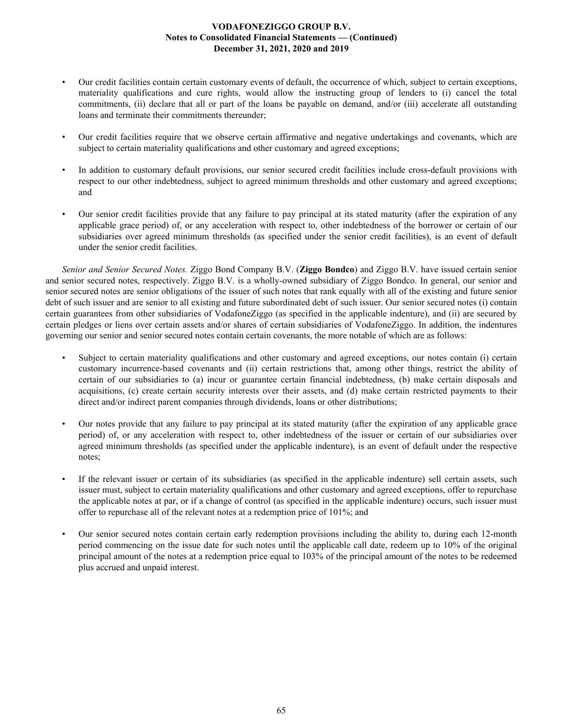- Our credit facilities contain certain customary events of default, the occurrence of which, subject to certain exceptions, materiality qualifications and cure rights, would allow the instructing group of lenders to (i) cancel the total commitments, (ii) declare that all or part of the loans be payable on demand, and/or (iii) accelerate all outstanding loans and terminate their commitments thereunder;
- Our credit facilities require that we observe certain affirmative and negative undertakings and covenants, which are subject to certain materiality qualifications and other customary and agreed exceptions;
- In addition to customary default provisions, our senior secured credit facilities include cross-default provisions with respect to our other indebtedness, subject to agreed minimum thresholds and other customary and agreed exceptions; and
- Our senior credit facilities provide that any failure to pay principal at its stated maturity (after the expiration of any applicable grace period) of, or any acceleration with respect to, other indebtedness of the borrower or certain of our subsidiaries over agreed minimum thresholds (as specified under the senior credit facilities), is an event of default under the senior credit facilities.

*Senior and Senior Secured Notes.* Ziggo Bond Company B.V. (**Ziggo Bondco**) and Ziggo B.V. have issued certain senior and senior secured notes, respectively. Ziggo B.V. is a wholly-owned subsidiary of Ziggo Bondco. In general, our senior and senior secured notes are senior obligations of the issuer of such notes that rank equally with all of the existing and future senior debt of such issuer and are senior to all existing and future subordinated debt of such issuer. Our senior secured notes (i) contain certain guarantees from other subsidiaries of VodafoneZiggo (as specified in the applicable indenture), and (ii) are secured by certain pledges or liens over certain assets and/or shares of certain subsidiaries of VodafoneZiggo. In addition, the indentures governing our senior and senior secured notes contain certain covenants, the more notable of which are as follows:

- Subject to certain materiality qualifications and other customary and agreed exceptions, our notes contain (i) certain customary incurrence-based covenants and (ii) certain restrictions that, among other things, restrict the ability of certain of our subsidiaries to (a) incur or guarantee certain financial indebtedness, (b) make certain disposals and acquisitions, (c) create certain security interests over their assets, and (d) make certain restricted payments to their direct and/or indirect parent companies through dividends, loans or other distributions;
- Our notes provide that any failure to pay principal at its stated maturity (after the expiration of any applicable grace period) of, or any acceleration with respect to, other indebtedness of the issuer or certain of our subsidiaries over agreed minimum thresholds (as specified under the applicable indenture), is an event of default under the respective notes;
- If the relevant issuer or certain of its subsidiaries (as specified in the applicable indenture) sell certain assets, such issuer must, subject to certain materiality qualifications and other customary and agreed exceptions, offer to repurchase the applicable notes at par, or if a change of control (as specified in the applicable indenture) occurs, such issuer must offer to repurchase all of the relevant notes at a redemption price of 101%; and
- Our senior secured notes contain certain early redemption provisions including the ability to, during each 12-month period commencing on the issue date for such notes until the applicable call date, redeem up to 10% of the original principal amount of the notes at a redemption price equal to 103% of the principal amount of the notes to be redeemed plus accrued and unpaid interest.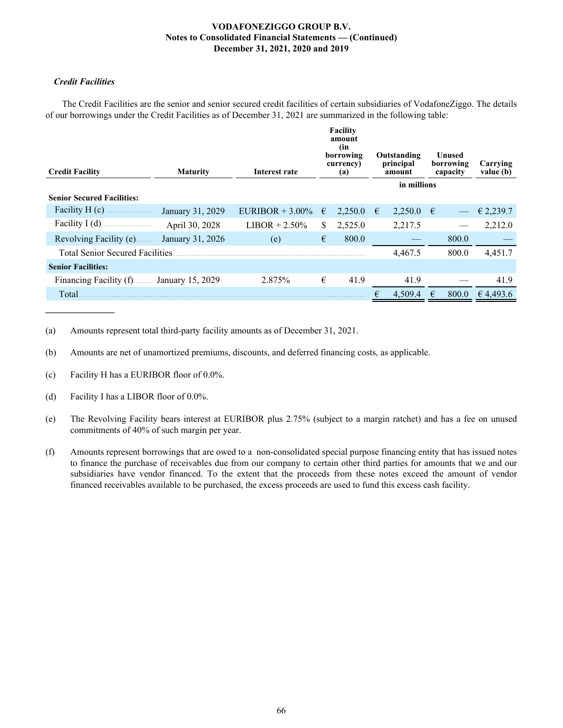## *Credit Facilities*

The Credit Facilities are the senior and senior secured credit facilities of certain subsidiaries of VodafoneZiggo. The details of our borrowings under the Credit Facilities as of December 31, 2021 are summarized in the following table:

| <b>Credit Facility</b>                 | <b>Maturity</b>  | Interest rate     |    | <b>Facility</b><br>amount<br>(in<br>borrowing<br>currency)<br>(a) |   | Outstanding<br>principal<br>amount |            | Unused<br>borrowing<br>capacity | Carrying<br>value (b) |
|----------------------------------------|------------------|-------------------|----|-------------------------------------------------------------------|---|------------------------------------|------------|---------------------------------|-----------------------|
|                                        |                  |                   |    |                                                                   |   | in millions                        |            |                                 |                       |
| <b>Senior Secured Facilities:</b>      |                  |                   |    |                                                                   |   |                                    |            |                                 |                       |
| Facility $H(c)$                        | January 31, 2029 | EURIBOR $+3.00\%$ | €  | 2,250.0                                                           | € | 2,250.0                            | $\epsilon$ |                                 | € 2,239.7             |
| Facility $I(d)$ .                      | April 30, 2028   | $LIBOR + 2.50\%$  | S. | 2,525.0                                                           |   | 2,217.5                            |            |                                 | 2,212.0               |
| Revolving Facility (e).                | January 31, 2026 | (e)               | €  | 800.0                                                             |   |                                    |            | 800.0                           |                       |
| <b>Total Senior Secured Facilities</b> |                  |                   |    |                                                                   |   | 4,467.5                            |            | 800.0                           | 4,451.7               |
| <b>Senior Facilities:</b>              |                  |                   |    |                                                                   |   |                                    |            |                                 |                       |
| Financing Facility (f)                 | January 15, 2029 | 2.875%            | €  | 41.9                                                              |   | 41.9                               |            |                                 | 41.9                  |
| Total                                  |                  |                   |    |                                                                   |   | 4,509.4                            | €          | 800.0                           | € 4,493.6             |

(a) Amounts represent total third-party facility amounts as of December 31, 2021.

(b) Amounts are net of unamortized premiums, discounts, and deferred financing costs, as applicable.

- (c) Facility H has a EURIBOR floor of 0.0%.
- (d) Facility I has a LIBOR floor of 0.0%.
- (e) The Revolving Facility bears interest at EURIBOR plus 2.75% (subject to a margin ratchet) and has a fee on unused commitments of 40% of such margin per year.
- (f) Amounts represent borrowings that are owed to a non-consolidated special purpose financing entity that has issued notes to finance the purchase of receivables due from our company to certain other third parties for amounts that we and our subsidiaries have vendor financed. To the extent that the proceeds from these notes exceed the amount of vendor financed receivables available to be purchased, the excess proceeds are used to fund this excess cash facility.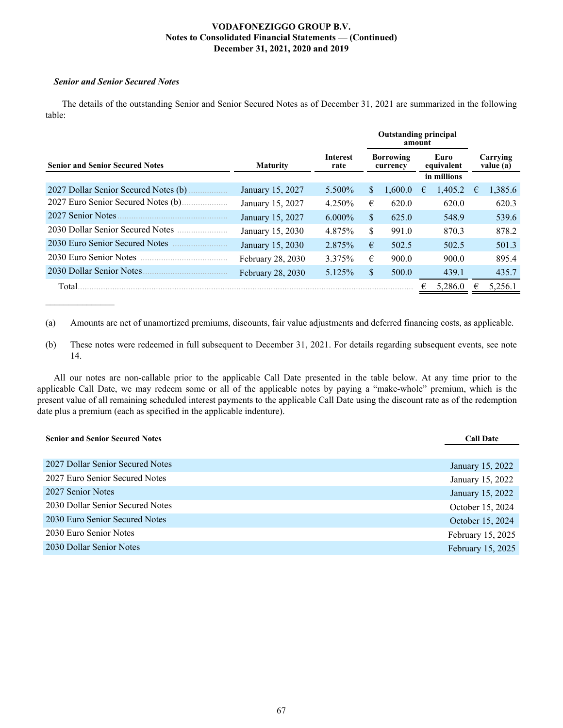### *Senior and Senior Secured Notes*

**\_\_\_\_\_\_\_\_\_\_\_\_\_\_\_**

The details of the outstanding Senior and Senior Secured Notes as of December 31, 2021 are summarized in the following table:

|                                        |                                            |           | <b>Outstanding principal</b><br>amount |         |   |                    |   |                       |
|----------------------------------------|--------------------------------------------|-----------|----------------------------------------|---------|---|--------------------|---|-----------------------|
| <b>Senior and Senior Secured Notes</b> | <b>Interest</b><br><b>Maturity</b><br>rate |           | <b>Borrowing</b><br>currency           |         |   | Euro<br>equivalent |   | Carrying<br>value (a) |
|                                        |                                            |           |                                        |         |   | in millions        |   |                       |
| 2027 Dollar Senior Secured Notes (b)   | January 15, 2027                           | 5.500%    | S.                                     | 1,600.0 | € | 1,405.2            | € | 1,385.6               |
| 2027 Euro Senior Secured Notes (b).    | January 15, 2027                           | 4.250%    | €                                      | 620.0   |   | 620.0              |   | 620.3                 |
| 2027 Senior Notes                      | January 15, 2027                           | $6.000\%$ | \$.                                    | 625.0   |   | 548.9              |   | 539.6                 |
| 2030 Dollar Senior Secured Notes       | January 15, 2030                           | 4.875%    | \$                                     | 991.0   |   | 870.3              |   | 878.2                 |
| 2030 Euro Senior Secured Notes         | January 15, 2030                           | 2.875%    | €                                      | 502.5   |   | 502.5              |   | 501.3                 |
| 2030 Euro Senior Notes                 | February 28, 2030                          | 3.375%    | €                                      | 900.0   |   | 900.0              |   | 895.4                 |
| 2030 Dollar Senior Notes               | February 28, 2030                          | 5.125%    | \$.                                    | 500.0   |   | 439.1              |   | 435.7                 |
| Total                                  |                                            |           |                                        |         |   | 5,286.0            |   | 5,256.1               |

(a) Amounts are net of unamortized premiums, discounts, fair value adjustments and deferred financing costs, as applicable.

(b) These notes were redeemed in full subsequent to December 31, 2021. For details regarding subsequent events, see note 14.

All our notes are non-callable prior to the applicable Call Date presented in the table below. At any time prior to the applicable Call Date, we may redeem some or all of the applicable notes by paying a "make-whole" premium, which is the present value of all remaining scheduled interest payments to the applicable Call Date using the discount rate as of the redemption date plus a premium (each as specified in the applicable indenture).

| <b>Senior and Senior Secured Notes</b> | <b>Call Date</b>  |
|----------------------------------------|-------------------|
|                                        |                   |
| 2027 Dollar Senior Secured Notes       | January 15, 2022  |
| 2027 Euro Senior Secured Notes         | January 15, 2022  |
| 2027 Senior Notes                      | January 15, 2022  |
| 2030 Dollar Senior Secured Notes       | October 15, 2024  |
| 2030 Euro Senior Secured Notes         | October 15, 2024  |
| 2030 Euro Senior Notes                 | February 15, 2025 |
| 2030 Dollar Senior Notes               | February 15, 2025 |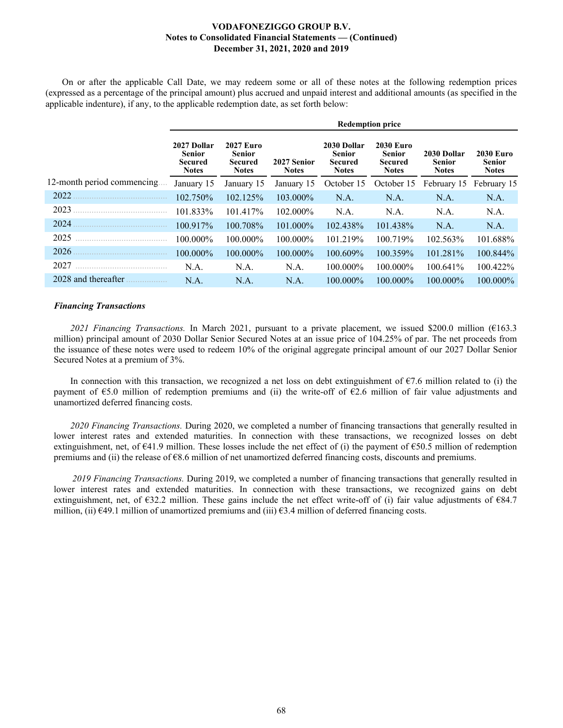On or after the applicable Call Date, we may redeem some or all of these notes at the following redemption prices (expressed as a percentage of the principal amount) plus accrued and unpaid interest and additional amounts (as specified in the applicable indenture), if any, to the applicable redemption date, as set forth below:

|                            | <b>Redemption price</b>                                 |                                                              |                             |                                                                |                                                              |                                              |                                                   |  |  |  |  |
|----------------------------|---------------------------------------------------------|--------------------------------------------------------------|-----------------------------|----------------------------------------------------------------|--------------------------------------------------------------|----------------------------------------------|---------------------------------------------------|--|--|--|--|
|                            | 2027 Dollar<br>Senior<br><b>Secured</b><br><b>Notes</b> | <b>2027 Euro</b><br><b>Senior</b><br>Secured<br><b>Notes</b> | 2027 Senior<br><b>Notes</b> | 2030 Dollar<br><b>Senior</b><br><b>Secured</b><br><b>Notes</b> | <b>2030 Euro</b><br><b>Senior</b><br>Secured<br><b>Notes</b> | 2030 Dollar<br><b>Senior</b><br><b>Notes</b> | <b>2030 Euro</b><br><b>Senior</b><br><b>Notes</b> |  |  |  |  |
| 12-month period commencing | January 15                                              | January 15                                                   | January 15                  | October 15                                                     | October 15                                                   | February 15                                  | February 15                                       |  |  |  |  |
| 2022                       | 102.750\%                                               | 102.125%                                                     | 103.000%                    | N.A.                                                           | N.A.                                                         | N.A.                                         | N.A.                                              |  |  |  |  |
| 2023                       | 101.833%                                                | 101.417%                                                     | $102.000\%$                 | N.A.                                                           | N.A.                                                         | N.A.                                         | N.A.                                              |  |  |  |  |
| 2024                       | 100.917%                                                | 100.708%                                                     | 101.000%                    | 102.438%                                                       | 101.438%                                                     | N.A.                                         | N.A.                                              |  |  |  |  |
| 2025                       | $100.000\%$                                             | $100.000\%$                                                  | $100.000\%$                 | 101.219%                                                       | 100.719%                                                     | 102.563%                                     | 101.688%                                          |  |  |  |  |
| 2026                       | $100.000\%$                                             | 100.000%                                                     | 100.000%                    | 100.609%                                                       | 100.359%                                                     | 101.281%                                     | 100.844%                                          |  |  |  |  |
| 2027                       | N.A.                                                    | N.A.                                                         | N.A.                        | $100.000\%$                                                    | $100.000\%$                                                  | 100.641%                                     | 100.422%                                          |  |  |  |  |
| 2028 and thereafter        | N.A.                                                    | N.A.                                                         | N.A.                        | $100.000\%$                                                    | $100.000\%$                                                  | $100.000\%$                                  | $100.000\%$                                       |  |  |  |  |

### *Financing Transactions*

*2021 Financing Transactions.* In March 2021, pursuant to a private placement, we issued \$200.0 million (€163.3 million) principal amount of 2030 Dollar Senior Secured Notes at an issue price of 104.25% of par. The net proceeds from the issuance of these notes were used to redeem 10% of the original aggregate principal amount of our 2027 Dollar Senior Secured Notes at a premium of 3%.

In connection with this transaction, we recognized a net loss on debt extinguishment of  $\epsilon$ 7.6 million related to (i) the payment of  $\epsilon$ 5.0 million of redemption premiums and (ii) the write-off of  $\epsilon$ 2.6 million of fair value adjustments and unamortized deferred financing costs.

*2020 Financing Transactions.* During 2020, we completed a number of financing transactions that generally resulted in lower interest rates and extended maturities. In connection with these transactions, we recognized losses on debt extinguishment, net, of  $\epsilon$ 41.9 million. These losses include the net effect of (i) the payment of  $\epsilon$ 50.5 million of redemption premiums and (ii) the release of €8.6 million of net unamortized deferred financing costs, discounts and premiums.

 *2019 Financing Transactions.* During 2019, we completed a number of financing transactions that generally resulted in lower interest rates and extended maturities. In connection with these transactions, we recognized gains on debt extinguishment, net, of €32.2 million. These gains include the net effect write-off of (i) fair value adjustments of €84.7 million, (ii)  $\in$ 49.1 million of unamortized premiums and (iii)  $\in$ 3.4 million of deferred financing costs.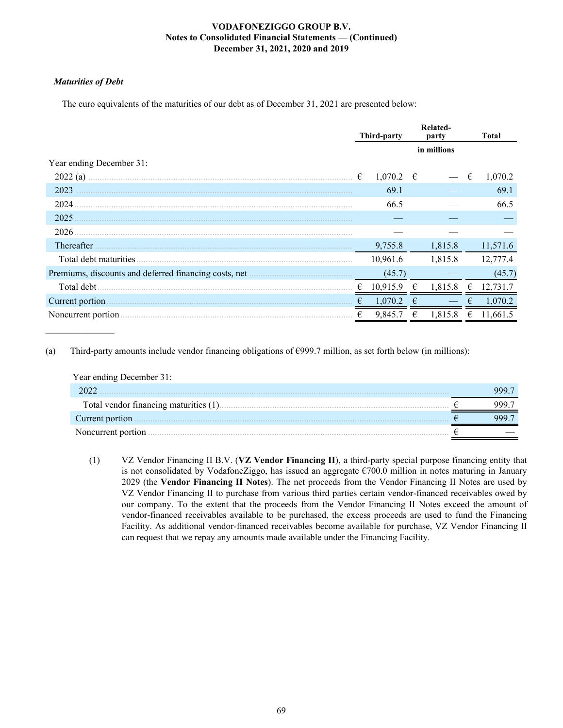### *Maturities of Debt*

**\_\_\_\_\_\_\_\_\_\_\_\_\_\_\_**

The euro equivalents of the maturities of our debt as of December 31, 2021 are presented below:

|                                                       |   | Third-party   |             | Related-<br>party |   | <b>Total</b> |
|-------------------------------------------------------|---|---------------|-------------|-------------------|---|--------------|
|                                                       |   |               | in millions |                   |   |              |
| Year ending December 31:                              |   |               |             |                   |   |              |
| 2022(a)                                               | € | $1,070.2 \in$ |             |                   | € | 1,070.2      |
| 2023                                                  |   | 69.1          |             |                   |   | 69.1         |
| 2024                                                  |   | 66.5          |             |                   |   | 66.5         |
| 2025                                                  |   |               |             |                   |   |              |
| 2026                                                  |   |               |             |                   |   |              |
| Thereafter                                            |   | 9,755.8       |             | 1,815.8           |   | 11,571.6     |
| Total debt maturities                                 |   | 10,961.6      |             | 1,815.8           |   | 12,777.4     |
| Premiums, discounts and deferred financing costs, net |   | (45.7)        |             |                   |   | (45.7)       |
| Total debt                                            | € | 10,915.9      | €           | 1,815.8           | € | 12.731.7     |
| Current portion                                       | € | 1,070.2       |             |                   | € | 1,070.2      |
| Noncurrent portion                                    | € | 9,845.7       | €           | 1,815.8           | € | 11,661.5     |

(a) Third-party amounts include vendor financing obligations of  $\epsilon$ 999.7 million, as set forth below (in millions):

| Year ending December 31:              |  |
|---------------------------------------|--|
|                                       |  |
| Total vendor financing maturities (1) |  |
| Current portion.                      |  |
| Noncurrent portion                    |  |

(1) VZ Vendor Financing II B.V. (**VZ Vendor Financing II**), a third-party special purpose financing entity that is not consolidated by VodafoneZiggo, has issued an aggregate  $\epsilon$ 700.0 million in notes maturing in January 2029 (the **Vendor Financing II Notes**). The net proceeds from the Vendor Financing II Notes are used by VZ Vendor Financing II to purchase from various third parties certain vendor-financed receivables owed by our company. To the extent that the proceeds from the Vendor Financing II Notes exceed the amount of vendor-financed receivables available to be purchased, the excess proceeds are used to fund the Financing Facility. As additional vendor-financed receivables become available for purchase, VZ Vendor Financing II can request that we repay any amounts made available under the Financing Facility.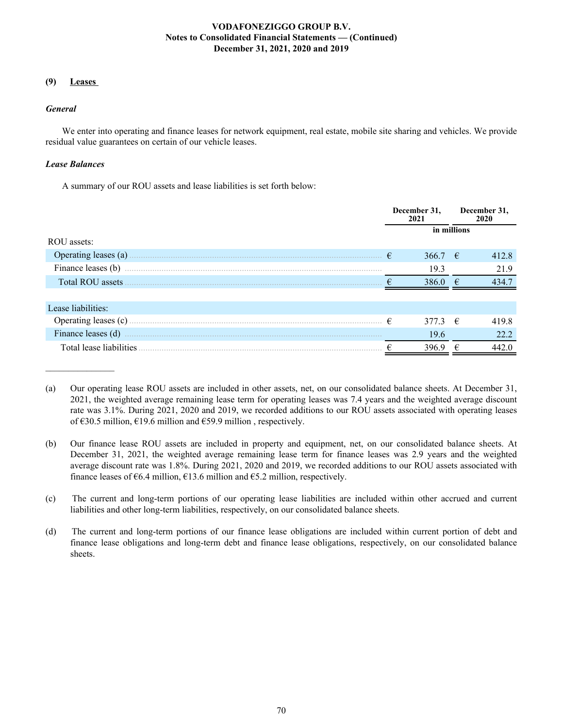### **(9) Leases**

### *General*

We enter into operating and finance leases for network equipment, real estate, mobile site sharing and vehicles. We provide residual value guarantees on certain of our vehicle leases.

### *Lease Balances*

A summary of our ROU assets and lease liabilities is set forth below:

|                         | December 31,<br>2021 |                  | December 31,<br>2020 |       |
|-------------------------|----------------------|------------------|----------------------|-------|
|                         |                      | in millions      |                      |       |
| ROU assets:             |                      |                  |                      |       |
| Operating leases (a)    | €                    | 366.7 $\in$      |                      | 412.8 |
| Finance leases (b)      |                      | 19.3             |                      | 21.9  |
| Total ROU assets        |                      | 386 O            | €                    | 434.7 |
|                         |                      |                  |                      |       |
| Lease liabilities:      |                      |                  |                      |       |
|                         | €                    | 377.3 $\epsilon$ |                      | 419.8 |
| Finance leases (d)      |                      | 19.6             |                      | 22.2  |
| Total lease liabilities |                      | 396.9            | €                    | 442.0 |

<sup>(</sup>a) Our operating lease ROU assets are included in other assets, net, on our consolidated balance sheets. At December 31, 2021, the weighted average remaining lease term for operating leases was 7.4 years and the weighted average discount rate was 3.1%. During 2021, 2020 and 2019, we recorded additions to our ROU assets associated with operating leases of €30.5 million, €19.6 million and €59.9 million, respectively.

<sup>(</sup>b) Our finance lease ROU assets are included in property and equipment, net, on our consolidated balance sheets. At December 31, 2021, the weighted average remaining lease term for finance leases was 2.9 years and the weighted average discount rate was 1.8%. During 2021, 2020 and 2019, we recorded additions to our ROU assets associated with finance leases of  $\epsilon$ 6.4 million,  $\epsilon$ 13.6 million and  $\epsilon$ 5.2 million, respectively.

<sup>(</sup>c) The current and long-term portions of our operating lease liabilities are included within other accrued and current liabilities and other long-term liabilities, respectively, on our consolidated balance sheets.

<sup>(</sup>d) The current and long-term portions of our finance lease obligations are included within current portion of debt and finance lease obligations and long-term debt and finance lease obligations, respectively, on our consolidated balance sheets.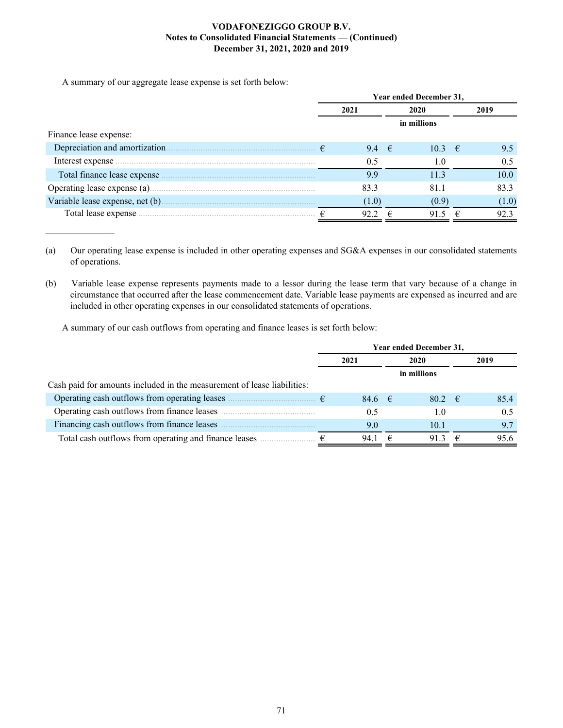A summary of our aggregate lease expense is set forth below:

 $\mathcal{L}_\text{max}$  and  $\mathcal{L}_\text{max}$ 

|                                                                                                                                                        | Year ended December 31, |  |                       |  |       |
|--------------------------------------------------------------------------------------------------------------------------------------------------------|-------------------------|--|-----------------------|--|-------|
|                                                                                                                                                        | 2021                    |  | 2020                  |  | 2019  |
|                                                                                                                                                        |                         |  | in millions           |  |       |
| Finance lease expense:                                                                                                                                 |                         |  |                       |  |       |
|                                                                                                                                                        | 9.4 $\epsilon$          |  | $10.3 \quad \epsilon$ |  | 9.5   |
| Interest expense <i>measurement</i> and <i>measurement</i> and <i>measurement</i> and <i>measurement</i> and <i>measurement</i> and <i>measurement</i> | 0.5                     |  | 1.0                   |  | 0.5   |
|                                                                                                                                                        | 9.9                     |  | 11.3                  |  | 10.0  |
|                                                                                                                                                        | 83.3                    |  | 81.1                  |  | 83.3  |
|                                                                                                                                                        | (1.0)                   |  | (0.9)                 |  | (1.0) |
| Total lease expense                                                                                                                                    | 92.2                    |  | 91.5                  |  | 92.3  |

(a) Our operating lease expense is included in other operating expenses and SG&A expenses in our consolidated statements of operations.

(b) Variable lease expense represents payments made to a lessor during the lease term that vary because of a change in circumstance that occurred after the lease commencement date. Variable lease payments are expensed as incurred and are included in other operating expenses in our consolidated statements of operations.

A summary of our cash outflows from operating and finance leases is set forth below:

|                                                                         | Year ended December 31, |                       |           |  |  |
|-------------------------------------------------------------------------|-------------------------|-----------------------|-----------|--|--|
|                                                                         | 2021                    | 2020                  | 2019      |  |  |
|                                                                         |                         | in millions           |           |  |  |
| Cash paid for amounts included in the measurement of lease liabilities: |                         |                       |           |  |  |
| Operating cash outflows from operating leases <b>manufactures</b>       | $84.6$ €                | $80.2 \quad \epsilon$ | 85.4      |  |  |
|                                                                         | 0.5                     | 1.0                   | 0.5       |  |  |
| Financing cash outflows from finance leases                             | 9.0                     | 10.1                  | 97        |  |  |
| Total cash outflows from operating and finance leases                   | 94.1                    | 913<br>€              | 95.6<br>€ |  |  |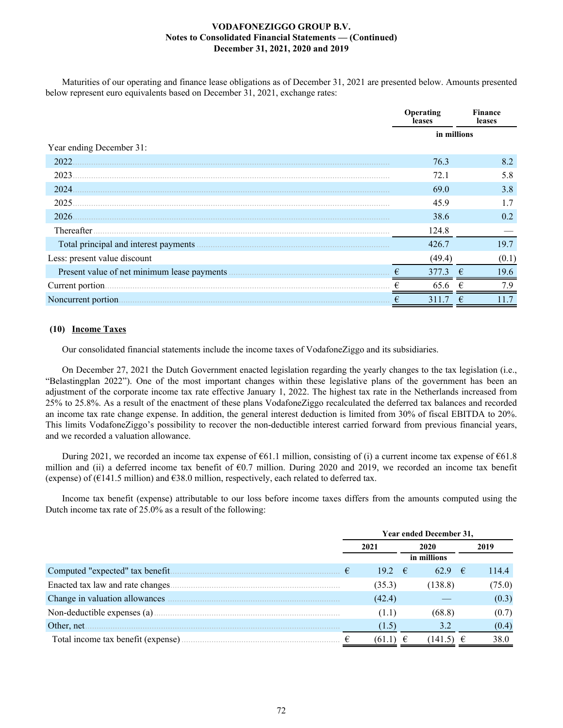Maturities of our operating and finance lease obligations as of December 31, 2021 are presented below. Amounts presented below represent euro equivalents based on December 31, 2021, exchange rates:

|                                        | Operating<br>leases | Finance<br>leases |
|----------------------------------------|---------------------|-------------------|
|                                        |                     | in millions       |
| Year ending December 31:               |                     |                   |
| 2022                                   | 76.3                | 8.2               |
| 2023                                   | 72.1                | 5.8               |
| 2024                                   | 69.0                | 3.8               |
| 2025                                   | 45.9                |                   |
| 2026                                   | 38.6                | 0.2               |
| Thereafter                             | 124.8               |                   |
| Total principal and interest payments. | 426.7               | 19.7              |
| Less: present value discount           | (49.4)              | (0.1)             |
|                                        | €<br>377.3          | 19.6              |
|                                        | 65.6                | 7.9               |
| Noncurrent portion.                    | 311.7               | €                 |

# **(10) Income Taxes**

Our consolidated financial statements include the income taxes of VodafoneZiggo and its subsidiaries.

On December 27, 2021 the Dutch Government enacted legislation regarding the yearly changes to the tax legislation (i.e., "Belastingplan 2022"). One of the most important changes within these legislative plans of the government has been an adjustment of the corporate income tax rate effective January 1, 2022. The highest tax rate in the Netherlands increased from 25% to 25.8%. As a result of the enactment of these plans VodafoneZiggo recalculated the deferred tax balances and recorded an income tax rate change expense. In addition, the general interest deduction is limited from 30% of fiscal EBITDA to 20%. This limits VodafoneZiggo's possibility to recover the non-deductible interest carried forward from previous financial years, and we recorded a valuation allowance.

During 2021, we recorded an income tax expense of  $661.1$  million, consisting of (i) a current income tax expense of  $661.8$ million and (ii) a deferred income tax benefit of  $60.7$  million. During 2020 and 2019, we recorded an income tax benefit (expense) of ( $E141.5$  million) and  $E38.0$  million, respectively, each related to deferred tax.

Income tax benefit (expense) attributable to our loss before income taxes differs from the amounts computed using the Dutch income tax rate of 25.0% as a result of the following:

|                                    |           | <b>Year ended December 31,</b> |             |  |  |  |
|------------------------------------|-----------|--------------------------------|-------------|--|--|--|
|                                    | 2021      | 2020                           | 2019        |  |  |  |
|                                    |           | in millions                    |             |  |  |  |
| Computed "expected" tax benefit.   | €<br>19.2 | €<br>62.9                      | 114.4<br>−€ |  |  |  |
| Enacted tax law and rate changes.  | (35.3)    | (138.8)                        | (75.0)      |  |  |  |
|                                    | (42.4)    |                                | (0.3)       |  |  |  |
|                                    | (1.1)     | (68.8)                         | (0.7)       |  |  |  |
| Other, net.                        | (1.5)     | 3.2                            | (0.4)       |  |  |  |
| Total income tax benefit (expense) | (61.1)    | 141.5)                         | 38.0        |  |  |  |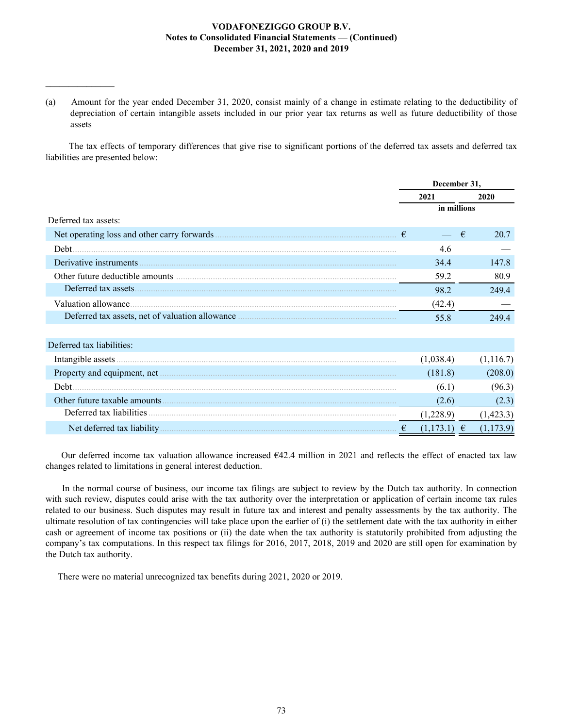(a) Amount for the year ended December 31, 2020, consist mainly of a change in estimate relating to the deductibility of depreciation of certain intangible assets included in our prior year tax returns as well as future deductibility of those assets

 $\mathcal{L}_\text{max}$  , where  $\mathcal{L}_\text{max}$ 

 The tax effects of temporary differences that give rise to significant portions of the deferred tax assets and deferred tax liabilities are presented below:

|                               | December 31, |             |   |            |
|-------------------------------|--------------|-------------|---|------------|
|                               |              | 2021        |   | 2020       |
|                               |              | in millions |   |            |
| Deferred tax assets:          |              |             |   |            |
|                               | €            |             | € | 20.7       |
| Debt.                         |              | 4.6         |   |            |
| Derivative instruments        |              | 34.4        |   | 147.8      |
|                               |              | 59.2        |   | 80.9       |
| Deferred tax assets.          |              | 98.2        |   | 249.4      |
| Valuation allowance.          |              | (42.4)      |   |            |
|                               |              | 55.8        |   | 249.4      |
|                               |              |             |   |            |
| Deferred tax liabilities:     |              |             |   |            |
|                               |              | (1,038.4)   |   | (1, 116.7) |
|                               |              | (181.8)     |   | (208.0)    |
| Debt                          |              | (6.1)       |   | (96.3)     |
| Other future taxable amounts. |              | (2.6)       |   | (2.3)      |
| Deferred tax liabilities      |              | (1,228.9)   |   | (1,423.3)  |
|                               | $\epsilon$   | (1,173.1)   | € | (1,173.9)  |

Our deferred income tax valuation allowance increased  $642.4$  million in 2021 and reflects the effect of enacted tax law changes related to limitations in general interest deduction.

In the normal course of business, our income tax filings are subject to review by the Dutch tax authority. In connection with such review, disputes could arise with the tax authority over the interpretation or application of certain income tax rules related to our business. Such disputes may result in future tax and interest and penalty assessments by the tax authority. The ultimate resolution of tax contingencies will take place upon the earlier of (i) the settlement date with the tax authority in either cash or agreement of income tax positions or (ii) the date when the tax authority is statutorily prohibited from adjusting the company's tax computations. In this respect tax filings for 2016, 2017, 2018, 2019 and 2020 are still open for examination by the Dutch tax authority.

There were no material unrecognized tax benefits during 2021, 2020 or 2019.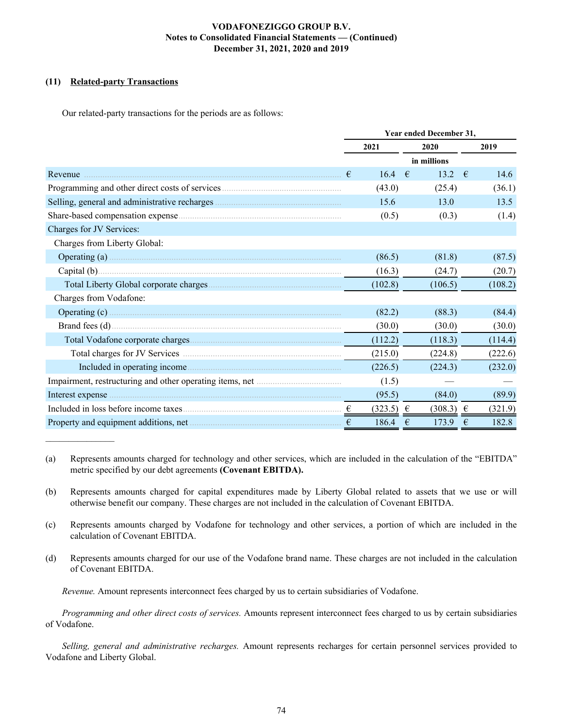# **(11) Related-party Transactions**

 $\frac{1}{2}$ 

Our related-party transactions for the periods are as follows:

|                                                                                    | Year ended December 31, |               |            |               |            |         |  |
|------------------------------------------------------------------------------------|-------------------------|---------------|------------|---------------|------------|---------|--|
|                                                                                    | 2021                    |               | 2020       |               |            | 2019    |  |
|                                                                                    |                         |               |            | in millions   |            |         |  |
| Revenue                                                                            | €                       | 16.4          | $\epsilon$ | 13.2          | $\epsilon$ | 14.6    |  |
|                                                                                    |                         | (43.0)        |            | (25.4)        |            | (36.1)  |  |
|                                                                                    |                         | 15.6          |            | 13.0          |            | 13.5    |  |
| Share-based compensation expense manufactured and state based compensation expense |                         | (0.5)         |            | (0.3)         |            | (1.4)   |  |
| Charges for JV Services:                                                           |                         |               |            |               |            |         |  |
| Charges from Liberty Global:                                                       |                         |               |            |               |            |         |  |
|                                                                                    |                         | (86.5)        |            | (81.8)        |            | (87.5)  |  |
|                                                                                    |                         | (16.3)        |            | (24.7)        |            | (20.7)  |  |
|                                                                                    |                         | (102.8)       |            | (106.5)       |            | (108.2) |  |
| Charges from Vodafone:                                                             |                         |               |            |               |            |         |  |
|                                                                                    |                         | (82.2)        |            | (88.3)        |            | (84.4)  |  |
|                                                                                    |                         | (30.0)        |            | (30.0)        |            | (30.0)  |  |
|                                                                                    |                         | (112.2)       |            | (118.3)       |            | (114.4) |  |
|                                                                                    |                         | (215.0)       |            | (224.8)       |            | (222.6) |  |
|                                                                                    |                         | (226.5)       |            | (224.3)       |            | (232.0) |  |
|                                                                                    |                         | (1.5)         |            |               |            |         |  |
| Interest expense                                                                   |                         | (95.5)        |            | (84.0)        |            | (89.9)  |  |
|                                                                                    |                         | $(323.5) \in$ |            | $(308.3) \in$ |            | (321.9) |  |
|                                                                                    | €                       | 186.4 $\in$   |            | 173.9         | €          | 182.8   |  |

(a) Represents amounts charged for technology and other services, which are included in the calculation of the "EBITDA" metric specified by our debt agreements **(Covenant EBITDA).**

(b) Represents amounts charged for capital expenditures made by Liberty Global related to assets that we use or will otherwise benefit our company. These charges are not included in the calculation of Covenant EBITDA.

- (c) Represents amounts charged by Vodafone for technology and other services, a portion of which are included in the calculation of Covenant EBITDA.
- (d) Represents amounts charged for our use of the Vodafone brand name. These charges are not included in the calculation of Covenant EBITDA.

*Revenue.* Amount represents interconnect fees charged by us to certain subsidiaries of Vodafone.

*Programming and other direct costs of services.* Amounts represent interconnect fees charged to us by certain subsidiaries of Vodafone.

*Selling, general and administrative recharges.* Amount represents recharges for certain personnel services provided to Vodafone and Liberty Global.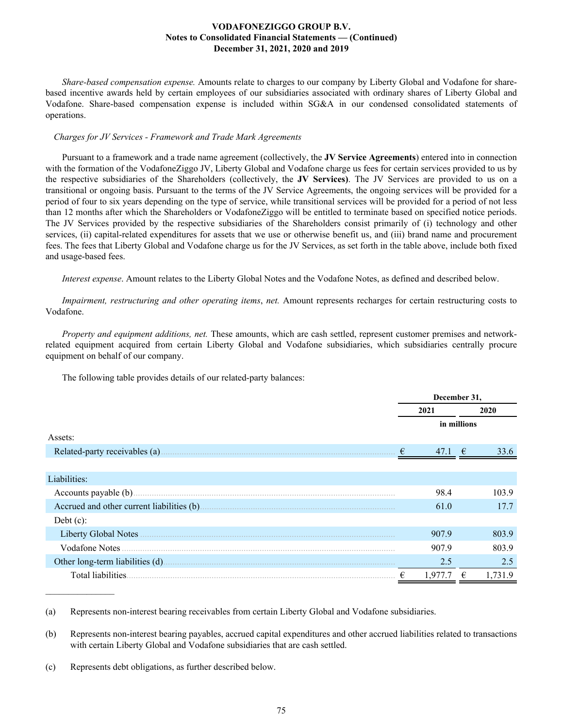*Share-based compensation expense.* Amounts relate to charges to our company by Liberty Global and Vodafone for sharebased incentive awards held by certain employees of our subsidiaries associated with ordinary shares of Liberty Global and Vodafone. Share-based compensation expense is included within SG&A in our condensed consolidated statements of operations.

### *Charges for JV Services - Framework and Trade Mark Agreements*

Pursuant to a framework and a trade name agreement (collectively, the **JV Service Agreements**) entered into in connection with the formation of the VodafoneZiggo JV, Liberty Global and Vodafone charge us fees for certain services provided to us by the respective subsidiaries of the Shareholders (collectively, the **JV Services)**. The JV Services are provided to us on a transitional or ongoing basis. Pursuant to the terms of the JV Service Agreements, the ongoing services will be provided for a period of four to six years depending on the type of service, while transitional services will be provided for a period of not less than 12 months after which the Shareholders or VodafoneZiggo will be entitled to terminate based on specified notice periods. The JV Services provided by the respective subsidiaries of the Shareholders consist primarily of (i) technology and other services, (ii) capital-related expenditures for assets that we use or otherwise benefit us, and (iii) brand name and procurement fees. The fees that Liberty Global and Vodafone charge us for the JV Services, as set forth in the table above, include both fixed and usage-based fees.

*Interest expense*. Amount relates to the Liberty Global Notes and the Vodafone Notes, as defined and described below.

*Impairment, restructuring and other operating items*, *net.* Amount represents recharges for certain restructuring costs to Vodafone.

*Property and equipment additions, net.* These amounts, which are cash settled, represent customer premises and networkrelated equipment acquired from certain Liberty Global and Vodafone subsidiaries, which subsidiaries centrally procure equipment on behalf of our company.

The following table provides details of our related-party balances:

|                                                                                                                                                                                                                                |   | December 31, |             |       |  |  |
|--------------------------------------------------------------------------------------------------------------------------------------------------------------------------------------------------------------------------------|---|--------------|-------------|-------|--|--|
|                                                                                                                                                                                                                                |   | 2021         | 2020        |       |  |  |
|                                                                                                                                                                                                                                |   |              | in millions |       |  |  |
| Assets:                                                                                                                                                                                                                        |   |              |             |       |  |  |
| Related-party receivables (a).                                                                                                                                                                                                 | € | 47.1         | €           | 33.6  |  |  |
|                                                                                                                                                                                                                                |   |              |             |       |  |  |
| Liabilities:                                                                                                                                                                                                                   |   |              |             |       |  |  |
| Accounts payable (b).                                                                                                                                                                                                          |   | 98.4         |             | 103.9 |  |  |
| Accrued and other current liabilities (b) expressional contract of the system of the system of the system of the system of the system of the system of the system of the system of the system of the system of the system of t |   | 61.0         |             | 17.7  |  |  |
| Debt $(c)$ :                                                                                                                                                                                                                   |   |              |             |       |  |  |
| Liberty Global Notes                                                                                                                                                                                                           |   | 907.9        |             | 803.9 |  |  |
| Vodafone Notes                                                                                                                                                                                                                 |   | 907.9        |             | 803.9 |  |  |
|                                                                                                                                                                                                                                |   | 2.5          |             | 2.5   |  |  |
| Total liabilities.                                                                                                                                                                                                             |   | 1.977.7      |             | 731.9 |  |  |

<sup>(</sup>a) Represents non-interest bearing receivables from certain Liberty Global and Vodafone subsidiaries.

 $\mathcal{L}_\text{max}$  , where  $\mathcal{L}_\text{max}$ 

<sup>(</sup>b) Represents non-interest bearing payables, accrued capital expenditures and other accrued liabilities related to transactions with certain Liberty Global and Vodafone subsidiaries that are cash settled.

<sup>(</sup>c) Represents debt obligations, as further described below.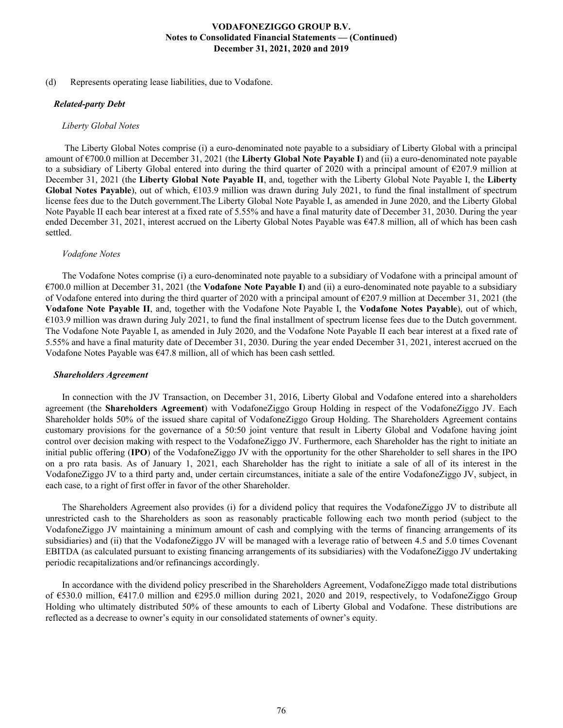(d) Represents operating lease liabilities, due to Vodafone.

### *Related-party Debt*

#### *Liberty Global Notes*

 The Liberty Global Notes comprise (i) a euro-denominated note payable to a subsidiary of Liberty Global with a principal amount of €700.0 million at December 31, 2021 (the **Liberty Global Note Payable I**) and (ii) a euro-denominated note payable to a subsidiary of Liberty Global entered into during the third quarter of 2020 with a principal amount of €207.9 million at December 31, 2021 (the **Liberty Global Note Payable II**, and, together with the Liberty Global Note Payable I, the **Liberty Global Notes Payable**), out of which, €103.9 million was drawn during July 2021, to fund the final installment of spectrum license fees due to the Dutch government.The Liberty Global Note Payable I, as amended in June 2020, and the Liberty Global Note Payable II each bear interest at a fixed rate of 5.55% and have a final maturity date of December 31, 2030. During the year ended December 31, 2021, interest accrued on the Liberty Global Notes Payable was €47.8 million, all of which has been cash settled.

#### *Vodafone Notes*

The Vodafone Notes comprise (i) a euro-denominated note payable to a subsidiary of Vodafone with a principal amount of €700.0 million at December 31, 2021 (the **Vodafone Note Payable I**) and (ii) a euro-denominated note payable to a subsidiary of Vodafone entered into during the third quarter of 2020 with a principal amount of  $\epsilon$ 207.9 million at December 31, 2021 (the **Vodafone Note Payable II**, and, together with the Vodafone Note Payable I, the **Vodafone Notes Payable**), out of which, €103.9 million was drawn during July 2021, to fund the final installment of spectrum license fees due to the Dutch government. The Vodafone Note Payable I, as amended in July 2020, and the Vodafone Note Payable II each bear interest at a fixed rate of 5.55% and have a final maturity date of December 31, 2030. During the year ended December 31, 2021, interest accrued on the Vodafone Notes Payable was €47.8 million, all of which has been cash settled.

#### *Shareholders Agreement*

In connection with the JV Transaction, on December 31, 2016, Liberty Global and Vodafone entered into a shareholders agreement (the **Shareholders Agreement**) with VodafoneZiggo Group Holding in respect of the VodafoneZiggo JV. Each Shareholder holds 50% of the issued share capital of VodafoneZiggo Group Holding. The Shareholders Agreement contains customary provisions for the governance of a 50:50 joint venture that result in Liberty Global and Vodafone having joint control over decision making with respect to the VodafoneZiggo JV. Furthermore, each Shareholder has the right to initiate an initial public offering (**IPO**) of the VodafoneZiggo JV with the opportunity for the other Shareholder to sell shares in the IPO on a pro rata basis. As of January 1, 2021, each Shareholder has the right to initiate a sale of all of its interest in the VodafoneZiggo JV to a third party and, under certain circumstances, initiate a sale of the entire VodafoneZiggo JV, subject, in each case, to a right of first offer in favor of the other Shareholder.

The Shareholders Agreement also provides (i) for a dividend policy that requires the VodafoneZiggo JV to distribute all unrestricted cash to the Shareholders as soon as reasonably practicable following each two month period (subject to the VodafoneZiggo JV maintaining a minimum amount of cash and complying with the terms of financing arrangements of its subsidiaries) and (ii) that the VodafoneZiggo JV will be managed with a leverage ratio of between 4.5 and 5.0 times Covenant EBITDA (as calculated pursuant to existing financing arrangements of its subsidiaries) with the VodafoneZiggo JV undertaking periodic recapitalizations and/or refinancings accordingly.

In accordance with the dividend policy prescribed in the Shareholders Agreement, VodafoneZiggo made total distributions of €530.0 million, €417.0 million and €295.0 million during 2021, 2020 and 2019, respectively, to VodafoneZiggo Group Holding who ultimately distributed 50% of these amounts to each of Liberty Global and Vodafone. These distributions are reflected as a decrease to owner's equity in our consolidated statements of owner's equity.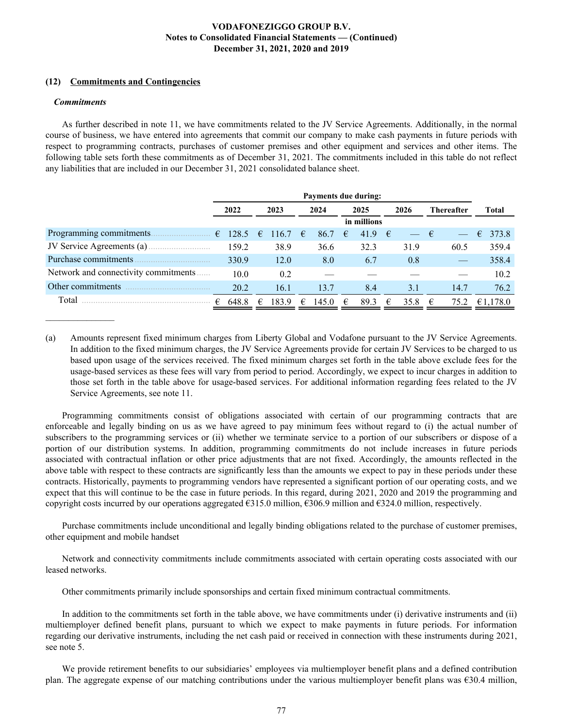## **(12) Commitments and Contingencies**

### *Commitments*

 $\mathcal{L}_\text{max}$  , where  $\mathcal{L}_\text{max}$ 

As further described in note 11, we have commitments related to the JV Service Agreements. Additionally, in the normal course of business, we have entered into agreements that commit our company to make cash payments in future periods with respect to programming contracts, purchases of customer premises and other equipment and services and other items. The following table sets forth these commitments as of December 31, 2021. The commitments included in this table do not reflect any liabilities that are included in our December 31, 2021 consolidated balance sheet.

|                                       | <b>Payments due during:</b> |             |   |             |   |       |   |             |            |      |             |                   |   |              |
|---------------------------------------|-----------------------------|-------------|---|-------------|---|-------|---|-------------|------------|------|-------------|-------------------|---|--------------|
|                                       |                             | 2022        |   | 2023        |   | 2024  |   | 2025        |            | 2026 |             | <b>Thereafter</b> |   | <b>Total</b> |
|                                       |                             |             |   |             |   |       |   | in millions |            |      |             |                   |   |              |
| Programming commitments.              | $\epsilon$                  | $128.5 \in$ |   | 116.7 $\in$ |   | 86.7  | € | 41.9        | $\epsilon$ |      | $-\epsilon$ |                   | € | 373.8        |
| JV Service Agreements (a)             |                             | 159.2       |   | 38.9        |   | 36.6  |   | 32.3        |            | 31.9 |             | 60.5              |   | 359.4        |
| Purchase commitments                  |                             | 330.9       |   | 12.0        |   | 8.0   |   | 6.7         |            | 0.8  |             |                   |   | 358.4        |
| Network and connectivity commitments. |                             | 10.0        |   | 0.2         |   |       |   |             |            |      |             |                   |   | 10.2         |
| Other commitments                     |                             | 20.2        |   | 16.1        |   | 13.7  |   | 8.4         |            | 3.1  |             | 14.7              |   | 76.2         |
| Total                                 | €                           | 648.8       | € | 183.9       | € | 145.0 | € | 89.3        | €          | 35.8 | €           | 75.2              |   | €1,178.0     |

(a) Amounts represent fixed minimum charges from Liberty Global and Vodafone pursuant to the JV Service Agreements. In addition to the fixed minimum charges, the JV Service Agreements provide for certain JV Services to be charged to us based upon usage of the services received. The fixed minimum charges set forth in the table above exclude fees for the usage-based services as these fees will vary from period to period. Accordingly, we expect to incur charges in addition to those set forth in the table above for usage-based services. For additional information regarding fees related to the JV Service Agreements, see note 11.

Programming commitments consist of obligations associated with certain of our programming contracts that are enforceable and legally binding on us as we have agreed to pay minimum fees without regard to (i) the actual number of subscribers to the programming services or (ii) whether we terminate service to a portion of our subscribers or dispose of a portion of our distribution systems. In addition, programming commitments do not include increases in future periods associated with contractual inflation or other price adjustments that are not fixed. Accordingly, the amounts reflected in the above table with respect to these contracts are significantly less than the amounts we expect to pay in these periods under these contracts. Historically, payments to programming vendors have represented a significant portion of our operating costs, and we expect that this will continue to be the case in future periods. In this regard, during 2021, 2020 and 2019 the programming and copyright costs incurred by our operations aggregated €315.0 million, €306.9 million and €324.0 million, respectively.

Purchase commitments include unconditional and legally binding obligations related to the purchase of customer premises, other equipment and mobile handset

Network and connectivity commitments include commitments associated with certain operating costs associated with our leased networks.

Other commitments primarily include sponsorships and certain fixed minimum contractual commitments.

In addition to the commitments set forth in the table above, we have commitments under (i) derivative instruments and (ii) multiemployer defined benefit plans, pursuant to which we expect to make payments in future periods. For information regarding our derivative instruments, including the net cash paid or received in connection with these instruments during 2021, see note 5.

We provide retirement benefits to our subsidiaries' employees via multiemployer benefit plans and a defined contribution plan. The aggregate expense of our matching contributions under the various multiemployer benefit plans was  $\epsilon$ 30.4 million,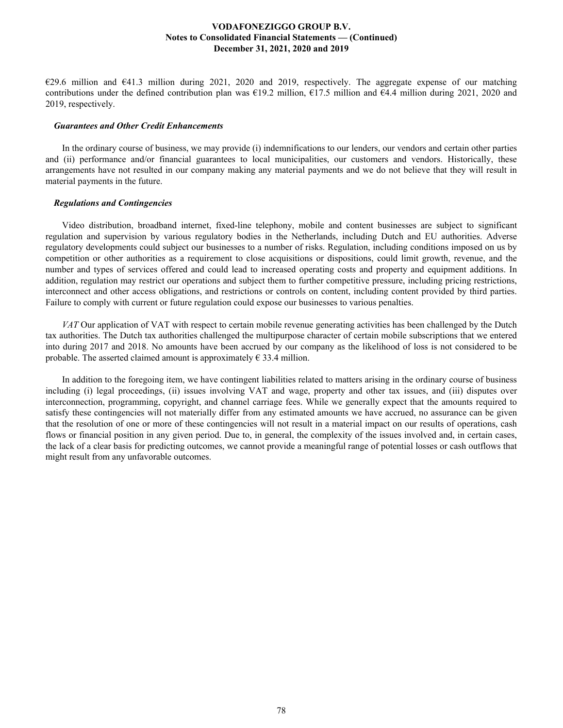€29.6 million and €41.3 million during 2021, 2020 and 2019, respectively. The aggregate expense of our matching contributions under the defined contribution plan was  $\epsilon$ 19.2 million,  $\epsilon$ 17.5 million and  $\epsilon$ 4.4 million during 2021, 2020 and 2019, respectively.

#### *Guarantees and Other Credit Enhancements*

In the ordinary course of business, we may provide (i) indemnifications to our lenders, our vendors and certain other parties and (ii) performance and/or financial guarantees to local municipalities, our customers and vendors. Historically, these arrangements have not resulted in our company making any material payments and we do not believe that they will result in material payments in the future.

### *Regulations and Contingencies*

Video distribution, broadband internet, fixed-line telephony, mobile and content businesses are subject to significant regulation and supervision by various regulatory bodies in the Netherlands, including Dutch and EU authorities. Adverse regulatory developments could subject our businesses to a number of risks. Regulation, including conditions imposed on us by competition or other authorities as a requirement to close acquisitions or dispositions, could limit growth, revenue, and the number and types of services offered and could lead to increased operating costs and property and equipment additions. In addition, regulation may restrict our operations and subject them to further competitive pressure, including pricing restrictions, interconnect and other access obligations, and restrictions or controls on content, including content provided by third parties. Failure to comply with current or future regulation could expose our businesses to various penalties.

*VAT* Our application of VAT with respect to certain mobile revenue generating activities has been challenged by the Dutch tax authorities. The Dutch tax authorities challenged the multipurpose character of certain mobile subscriptions that we entered into during 2017 and 2018. No amounts have been accrued by our company as the likelihood of loss is not considered to be probable. The asserted claimed amount is approximately  $\epsilon$  33.4 million.

In addition to the foregoing item, we have contingent liabilities related to matters arising in the ordinary course of business including (i) legal proceedings, (ii) issues involving VAT and wage, property and other tax issues, and (iii) disputes over interconnection, programming, copyright, and channel carriage fees. While we generally expect that the amounts required to satisfy these contingencies will not materially differ from any estimated amounts we have accrued, no assurance can be given that the resolution of one or more of these contingencies will not result in a material impact on our results of operations, cash flows or financial position in any given period. Due to, in general, the complexity of the issues involved and, in certain cases, the lack of a clear basis for predicting outcomes, we cannot provide a meaningful range of potential losses or cash outflows that might result from any unfavorable outcomes.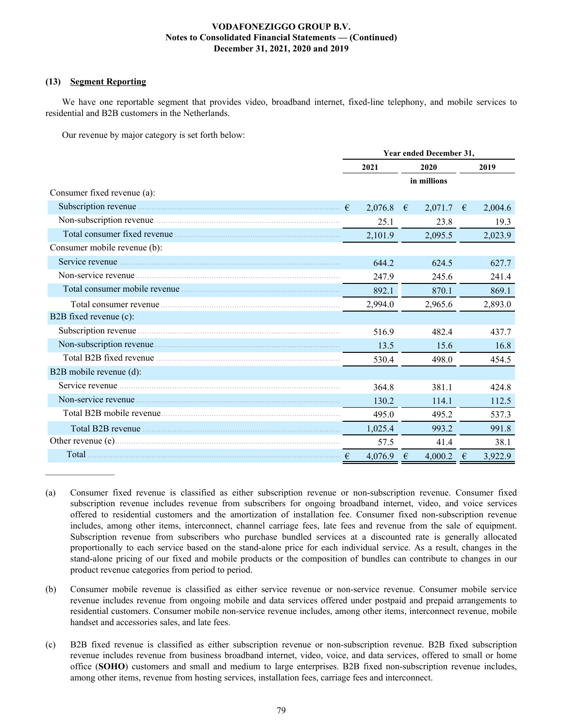### **(13) Segment Reporting**

 $\mathcal{L}_\text{max}$  , where  $\mathcal{L}_\text{max}$ 

We have one reportable segment that provides video, broadband internet, fixed-line telephony, and mobile services to residential and B2B customers in the Netherlands.

Our revenue by major category is set forth below:

|                              | Year ended December 31, |         |   |             |   |         |
|------------------------------|-------------------------|---------|---|-------------|---|---------|
|                              |                         | 2021    |   | 2020        |   | 2019    |
|                              |                         |         |   | in millions |   |         |
| Consumer fixed revenue (a):  |                         |         |   |             |   |         |
|                              | $\epsilon$              | 2,076.8 | € | 2,071.7     | € | 2,004.6 |
|                              |                         | 25.1    |   | 23.8        |   | 19.3    |
|                              |                         | 2,101.9 |   | 2,095.5     |   | 2,023.9 |
| Consumer mobile revenue (b): |                         |         |   |             |   |         |
|                              |                         | 644.2   |   | 624.5       |   | 627.7   |
|                              |                         | 247.9   |   | 245.6       |   | 241.4   |
|                              |                         | 892.1   |   | 870.1       |   | 869.1   |
|                              |                         | 2,994.0 |   | 2,965.6     |   | 2,893.0 |
| B2B fixed revenue (c):       |                         |         |   |             |   |         |
|                              |                         | 516.9   |   | 482.4       |   | 437.7   |
|                              |                         | 13.5    |   | 15.6        |   | 16.8    |
|                              |                         | 530.4   |   | 498.0       |   | 454.5   |
| B2B mobile revenue (d):      |                         |         |   |             |   |         |
| Service revenue              |                         | 364.8   |   | 381.1       |   | 424.8   |
|                              |                         | 130.2   |   | 114.1       |   | 112.5   |
| Total B2B mobile revenue     |                         | 495.0   |   | 495.2       |   | 537.3   |
|                              |                         | 1,025.4 |   | 993.2       |   | 991.8   |
|                              |                         | 57.5    |   | 41.4        |   | 38.1    |
|                              |                         | 4,076.9 | € | 4,000.2     | € | 3,922.9 |

<sup>(</sup>a) Consumer fixed revenue is classified as either subscription revenue or non-subscription revenue. Consumer fixed subscription revenue includes revenue from subscribers for ongoing broadband internet, video, and voice services offered to residential customers and the amortization of installation fee. Consumer fixed non-subscription revenue includes, among other items, interconnect, channel carriage fees, late fees and revenue from the sale of equipment. Subscription revenue from subscribers who purchase bundled services at a discounted rate is generally allocated proportionally to each service based on the stand-alone price for each individual service. As a result, changes in the stand-alone pricing of our fixed and mobile products or the composition of bundles can contribute to changes in our product revenue categories from period to period.

(c) B2B fixed revenue is classified as either subscription revenue or non-subscription revenue. B2B fixed subscription revenue includes revenue from business broadband internet, video, voice, and data services, offered to small or home office (**SOHO**) customers and small and medium to large enterprises. B2B fixed non-subscription revenue includes, among other items, revenue from hosting services, installation fees, carriage fees and interconnect.

<sup>(</sup>b) Consumer mobile revenue is classified as either service revenue or non-service revenue. Consumer mobile service revenue includes revenue from ongoing mobile and data services offered under postpaid and prepaid arrangements to residential customers. Consumer mobile non-service revenue includes, among other items, interconnect revenue, mobile handset and accessories sales, and late fees.